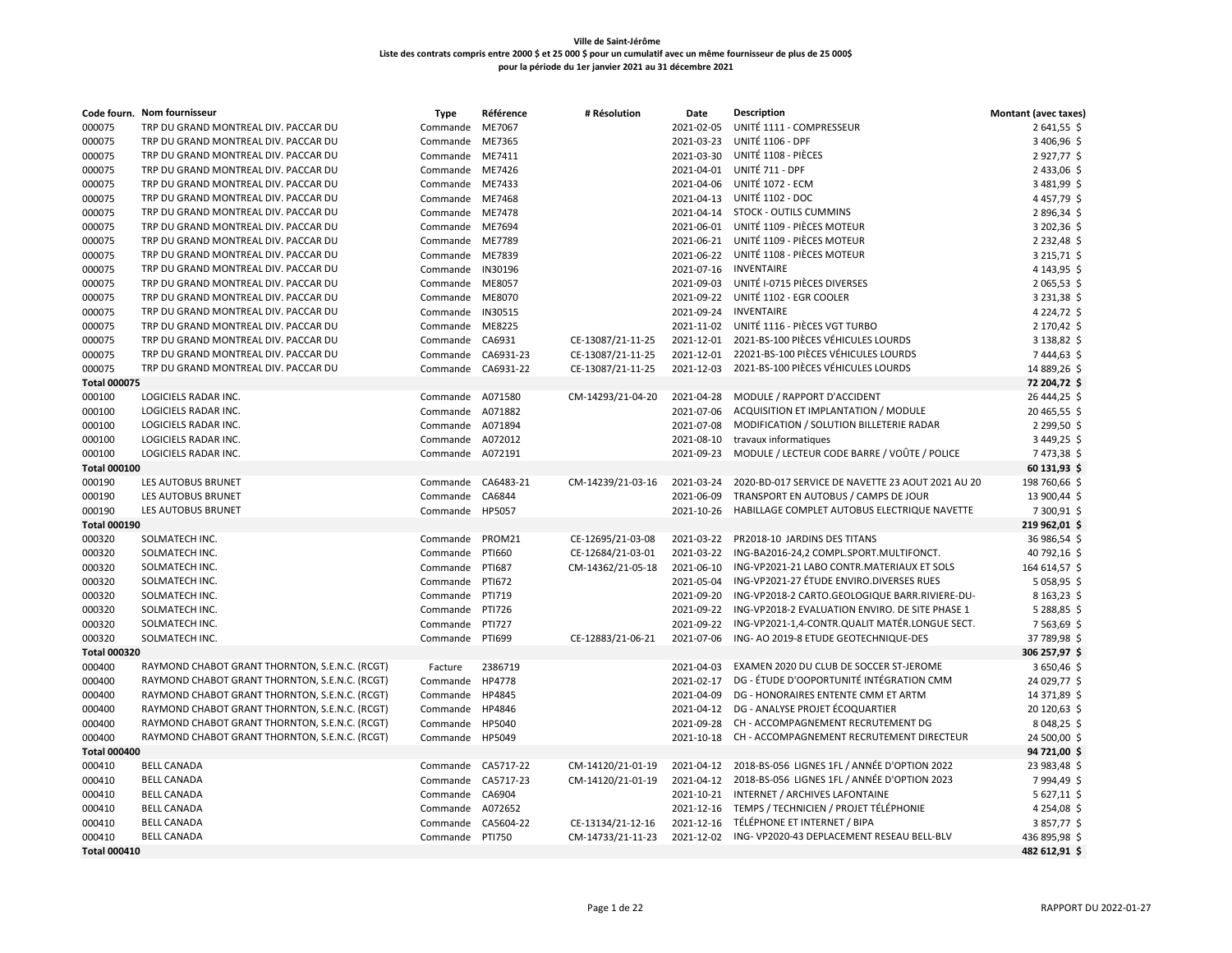|                     | Code fourn. Nom fournisseur                    | <b>Type</b>        | Référence     | # Résolution      | Date       | <b>Description</b>                                      | <b>Montant (avec taxes)</b> |
|---------------------|------------------------------------------------|--------------------|---------------|-------------------|------------|---------------------------------------------------------|-----------------------------|
| 000075              | TRP DU GRAND MONTREAL DIV. PACCAR DU           | Commande           | ME7067        |                   | 2021-02-05 | UNITÉ 1111 - COMPRESSEUR                                | 2641,55\$                   |
| 000075              | TRP DU GRAND MONTREAL DIV. PACCAR DU           | Commande           | ME7365        |                   | 2021-03-23 | UNITÉ 1106 - DPF                                        | 3 406,96 \$                 |
| 000075              | TRP DU GRAND MONTREAL DIV. PACCAR DU           | Commande           | ME7411        |                   | 2021-03-30 | UNITÉ 1108 - PIÈCES                                     | 2927,77\$                   |
| 000075              | TRP DU GRAND MONTREAL DIV. PACCAR DU           | Commande ME7426    |               |                   |            | 2021-04-01 UNITÉ 711 - DPF                              | 2 433,06 \$                 |
| 000075              | TRP DU GRAND MONTREAL DIV. PACCAR DU           | Commande           | ME7433        |                   | 2021-04-06 | UNITÉ 1072 - ECM                                        | 3 481,99 \$                 |
| 000075              | TRP DU GRAND MONTREAL DIV. PACCAR DU           | Commande           | ME7468        |                   |            | 2021-04-13 UNITÉ 1102 - DOC                             | 4457,79\$                   |
| 000075              | TRP DU GRAND MONTREAL DIV. PACCAR DU           | Commande ME7478    |               |                   |            | 2021-04-14 STOCK - OUTILS CUMMINS                       | 2896,34\$                   |
| 000075              | TRP DU GRAND MONTREAL DIV. PACCAR DU           | Commande           | ME7694        |                   | 2021-06-01 | UNITÉ 1109 - PIÈCES MOTEUR                              | 3 202,36 \$                 |
| 000075              | TRP DU GRAND MONTREAL DIV. PACCAR DU           | Commande ME7789    |               |                   |            | 2021-06-21 UNITÉ 1109 - PIÈCES MOTEUR                   | 2 2 3 2,48 \$               |
| 000075              | TRP DU GRAND MONTREAL DIV. PACCAR DU           | Commande           | ME7839        |                   | 2021-06-22 | UNITÉ 1108 - PIÈCES MOTEUR                              | 3 2 1 5, 7 1 \$             |
| 000075              | TRP DU GRAND MONTREAL DIV. PACCAR DU           | Commande           | IN30196       |                   | 2021-07-16 | <b>INVENTAIRE</b>                                       | 4 143,95 \$                 |
| 000075              | TRP DU GRAND MONTREAL DIV. PACCAR DU           | Commande           | ME8057        |                   | 2021-09-03 | UNITÉ I-0715 PIÈCES DIVERSES                            | 2 065,53 \$                 |
| 000075              | TRP DU GRAND MONTREAL DIV. PACCAR DU           | Commande           | ME8070        |                   | 2021-09-22 | UNITÉ 1102 - EGR COOLER                                 | 3 231,38 \$                 |
| 000075              | TRP DU GRAND MONTREAL DIV. PACCAR DU           | Commande           | IN30515       |                   | 2021-09-24 | <b>INVENTAIRE</b>                                       | 4 2 2 4 , 7 2 \$            |
| 000075              | TRP DU GRAND MONTREAL DIV. PACCAR DU           | Commande           | ME8225        |                   | 2021-11-02 | UNITÉ 1116 - PIÈCES VGT TURBO                           | 2 170,42 \$                 |
| 000075              | TRP DU GRAND MONTREAL DIV. PACCAR DU           | Commande CA6931    |               | CE-13087/21-11-25 | 2021-12-01 | 2021-BS-100 PIÈCES VÉHICULES LOURDS                     | 3 138,82 \$                 |
| 000075              | TRP DU GRAND MONTREAL DIV. PACCAR DU           | Commande CA6931-23 |               | CE-13087/21-11-25 | 2021-12-01 | 22021-BS-100 PIÈCES VÉHICULES LOURDS                    | 7444,63\$                   |
| 000075              | TRP DU GRAND MONTREAL DIV. PACCAR DU           | Commande CA6931-22 |               | CE-13087/21-11-25 | 2021-12-03 | 2021-BS-100 PIÈCES VÉHICULES LOURDS                     | 14 889,26 \$                |
| <b>Total 000075</b> |                                                |                    |               |                   |            |                                                         | 72 204,72 \$                |
| 000100              | LOGICIELS RADAR INC.                           | Commande A071580   |               | CM-14293/21-04-20 | 2021-04-28 | MODULE / RAPPORT D'ACCIDENT                             | 26 444,25 \$                |
| 000100              | LOGICIELS RADAR INC.                           | Commande           | A071882       |                   | 2021-07-06 | ACQUISITION ET IMPLANTATION / MODULE                    | 20 465,55 \$                |
| 000100              | LOGICIELS RADAR INC.                           | Commande           | A071894       |                   | 2021-07-08 | MODIFICATION / SOLUTION BILLETERIE RADAR                | 2 299,50 \$                 |
| 000100              | LOGICIELS RADAR INC.                           | Commande A072012   |               |                   | 2021-08-10 | travaux informatiques                                   | 3 449,25 \$                 |
| 000100              | LOGICIELS RADAR INC.                           | Commande           | A072191       |                   | 2021-09-23 | MODULE / LECTEUR CODE BARRE / VOÛTE / POLICE            | 7473,38 \$                  |
| <b>Total 000100</b> |                                                |                    |               |                   |            |                                                         | 60 131,93 \$                |
| 000190              | LES AUTOBUS BRUNET                             | Commande CA6483-21 |               | CM-14239/21-03-16 | 2021-03-24 | 2020-BD-017 SERVICE DE NAVETTE 23 AOUT 2021 AU 20       | 198 760,66 \$               |
| 000190              | LES AUTOBUS BRUNET                             | Commande           | CA6844        |                   | 2021-06-09 | TRANSPORT EN AUTOBUS / CAMPS DE JOUR                    | 13 900,44 \$                |
| 000190              | LES AUTOBUS BRUNET                             | Commande HP5057    |               |                   | 2021-10-26 | HABILLAGE COMPLET AUTOBUS ELECTRIQUE NAVETTE            | 7 300,91 \$                 |
|                     |                                                |                    |               |                   |            |                                                         |                             |
| <b>Total 000190</b> |                                                |                    |               |                   |            | PR2018-10 JARDINS DES TITANS                            | 219 962,01 \$               |
| 000320              | SOLMATECH INC.                                 | Commande           | PROM21        | CE-12695/21-03-08 | 2021-03-22 |                                                         | 36 986,54 \$                |
| 000320              | SOLMATECH INC.                                 | Commande           | <b>PTI660</b> | CE-12684/21-03-01 | 2021-03-22 | ING-BA2016-24,2 COMPL.SPORT.MULTIFONCT.                 | 40 792,16 \$                |
| 000320              | SOLMATECH INC.                                 | Commande           | <b>PTI687</b> | CM-14362/21-05-18 | 2021-06-10 | ING-VP2021-21 LABO CONTR.MATERIAUX ET SOLS              | 164 614,57 \$               |
| 000320              | SOLMATECH INC.                                 | Commande           | PTI672        |                   | 2021-05-04 | ING-VP2021-27 ÉTUDE ENVIRO.DIVERSES RUES                | 5 058,95 \$                 |
| 000320              | SOLMATECH INC.                                 | Commande           | PTI719        |                   | 2021-09-20 | ING-VP2018-2 CARTO.GEOLOGIQUE BARR.RIVIERE-DU-          | 8 163,23 \$                 |
| 000320              | SOLMATECH INC.                                 | Commande           | <b>PTI726</b> |                   | 2021-09-22 | ING-VP2018-2 EVALUATION ENVIRO. DE SITE PHASE 1         | 5 288,85 \$                 |
| 000320              | SOLMATECH INC.                                 | Commande           | <b>PTI727</b> |                   | 2021-09-22 | ING-VP2021-1,4-CONTR.QUALIT MATÉR.LONGUE SECT.          | 7563,69\$                   |
| 000320              | SOLMATECH INC.                                 | Commande           | PTI699        | CE-12883/21-06-21 | 2021-07-06 | ING- AO 2019-8 ETUDE GEOTECHNIQUE-DES                   | 37 789,98 \$                |
| <b>Total 000320</b> |                                                |                    |               |                   |            |                                                         | 306 257,97 \$               |
| 000400              | RAYMOND CHABOT GRANT THORNTON, S.E.N.C. (RCGT) | Facture            | 2386719       |                   | 2021-04-03 | EXAMEN 2020 DU CLUB DE SOCCER ST-JEROME                 | 3650,46\$                   |
| 000400              | RAYMOND CHABOT GRANT THORNTON, S.E.N.C. (RCGT) | Commande           | HP4778        |                   | 2021-02-17 | DG - ÉTUDE D'OOPORTUNITÉ INTÉGRATION CMM                | 24 029,77 \$                |
| 000400              | RAYMOND CHABOT GRANT THORNTON, S.E.N.C. (RCGT) | Commande           | HP4845        |                   | 2021-04-09 | DG - HONORAIRES ENTENTE CMM ET ARTM                     | 14 371,89 \$                |
| 000400              | RAYMOND CHABOT GRANT THORNTON, S.E.N.C. (RCGT) | Commande           | HP4846        |                   | 2021-04-12 | DG - ANALYSE PROJET ÉCOQUARTIER                         | 20 120,63 \$                |
| 000400              | RAYMOND CHABOT GRANT THORNTON, S.E.N.C. (RCGT) | Commande           | HP5040        |                   | 2021-09-28 | CH - ACCOMPAGNEMENT RECRUTEMENT DG                      | 8 048,25 \$                 |
| 000400              | RAYMOND CHABOT GRANT THORNTON, S.E.N.C. (RCGT) | Commande           | HP5049        |                   | 2021-10-18 | CH - ACCOMPAGNEMENT RECRUTEMENT DIRECTEUR               | 24 500,00 \$                |
| <b>Total 000400</b> |                                                |                    |               |                   |            |                                                         | 94 721,00 \$                |
| 000410              | <b>BELL CANADA</b>                             | Commande           | CA5717-22     | CM-14120/21-01-19 |            | 2021-04-12 2018-BS-056 LIGNES 1FL / ANNÉE D'OPTION 2022 | 23 983,48 \$                |
| 000410              | <b>BELL CANADA</b>                             | Commande           | CA5717-23     | CM-14120/21-01-19 | 2021-04-12 | 2018-BS-056 LIGNES 1FL / ANNÉE D'OPTION 2023            | 7994,49 \$                  |
| 000410              | <b>BELL CANADA</b>                             | Commande           | CA6904        |                   | 2021-10-21 | INTERNET / ARCHIVES LAFONTAINE                          | 5 627,11 \$                 |
| 000410              | <b>BELL CANADA</b>                             | Commande           | A072652       |                   | 2021-12-16 | TEMPS / TECHNICIEN / PROJET TÉLÉPHONIE                  | 4 2 5 4,08 \$               |
| 000410              | <b>BELL CANADA</b>                             | Commande           | CA5604-22     | CE-13134/21-12-16 | 2021-12-16 | TÉLÉPHONE ET INTERNET / BIPA                            | 3857,77\$                   |
| 000410              | <b>BELL CANADA</b>                             | Commande PTI750    |               | CM-14733/21-11-23 | 2021-12-02 | ING-VP2020-43 DEPLACEMENT RESEAU BELL-BLV               | 436 895,98 \$               |
| <b>Total 000410</b> |                                                |                    |               |                   |            |                                                         | 482 612,91 \$               |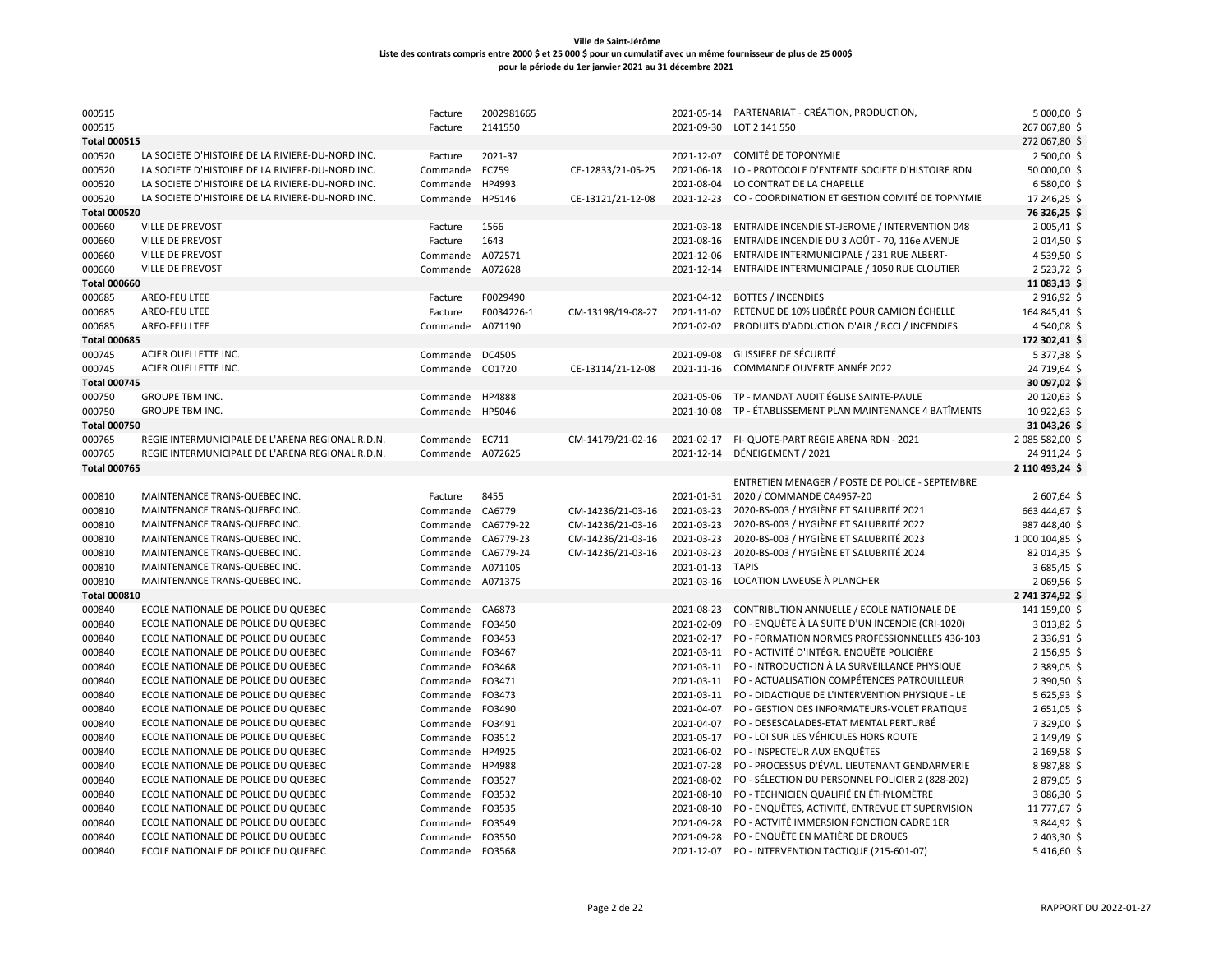| 000515              |                                                  | Facture          | 2002981665 |                   | 2021-05-14 | PARTENARIAT - CRÉATION, PRODUCTION,                | 5 000,00 \$     |
|---------------------|--------------------------------------------------|------------------|------------|-------------------|------------|----------------------------------------------------|-----------------|
| 000515              |                                                  | Facture          | 2141550    |                   | 2021-09-30 | LOT 2 141 550                                      | 267 067,80 \$   |
| <b>Total 000515</b> |                                                  |                  |            |                   |            |                                                    | 272 067,80 \$   |
| 000520              | LA SOCIETE D'HISTOIRE DE LA RIVIERE-DU-NORD INC. | Facture          | 2021-37    |                   | 2021-12-07 | COMITÉ DE TOPONYMIE                                | 2 500,00 \$     |
| 000520              | LA SOCIETE D'HISTOIRE DE LA RIVIERE-DU-NORD INC. | Commande         | EC759      | CE-12833/21-05-25 | 2021-06-18 | LO - PROTOCOLE D'ENTENTE SOCIETE D'HISTOIRE RDN    | 50 000,00 \$    |
| 000520              | LA SOCIETE D'HISTOIRE DE LA RIVIERE-DU-NORD INC. | Commande         | HP4993     |                   | 2021-08-04 | LO CONTRAT DE LA CHAPELLE                          | 6 580,00 \$     |
| 000520              | LA SOCIETE D'HISTOIRE DE LA RIVIERE-DU-NORD INC. | Commande         | HP5146     | CE-13121/21-12-08 | 2021-12-23 | CO - COORDINATION ET GESTION COMITÉ DE TOPNYMIE    | 17 246,25 \$    |
| <b>Total 000520</b> |                                                  |                  |            |                   |            |                                                    | 76 326,25 \$    |
| 000660              | VILLE DE PREVOST                                 | Facture          | 1566       |                   | 2021-03-18 | ENTRAIDE INCENDIE ST-JEROME / INTERVENTION 048     | 2 005,41        |
| 000660              | VILLE DE PREVOST                                 | Facture          | 1643       |                   | 2021-08-16 | ENTRAIDE INCENDIE DU 3 AOÛT - 70, 116e AVENUE      | 2014,50         |
| 000660              | VILLE DE PREVOST                                 | Commande         | A072571    |                   | 2021-12-06 | ENTRAIDE INTERMUNICIPALE / 231 RUE ALBERT-         | 4 539,50 \$     |
| 000660              | VILLE DE PREVOST                                 | Commande         | A072628    |                   | 2021-12-14 | ENTRAIDE INTERMUNICIPALE / 1050 RUE CLOUTIER       | 2523,72 \$      |
| <b>Total 000660</b> |                                                  |                  |            |                   |            |                                                    | 11 083,13 \$    |
| 000685              | AREO-FEU LTEE                                    | Facture          | F0029490   |                   | 2021-04-12 | <b>BOTTES / INCENDIES</b>                          | 2916,92         |
| 000685              | AREO-FEU LTEE                                    | Facture          | F0034226-1 | CM-13198/19-08-27 | 2021-11-02 | RETENUE DE 10% LIBÉRÉE POUR CAMION ÉCHELLE         | 164 845,41 \$   |
| 000685              | AREO-FEU LTEE                                    | Commande         | A071190    |                   | 2021-02-02 | PRODUITS D'ADDUCTION D'AIR / RCCI / INCENDIES      | 4 540,08        |
| <b>Total 000685</b> |                                                  |                  |            |                   |            |                                                    | 172 302,41 \$   |
| 000745              | ACIER OUELLETTE INC.                             | Commande DC4505  |            |                   | 2021-09-08 | <b>GLISSIERE DE SÉCURITÉ</b>                       | 5 377,38 \$     |
| 000745              | ACIER OUELLETTE INC.                             | Commande         | CO1720     | CE-13114/21-12-08 | 2021-11-16 | COMMANDE OUVERTE ANNÉE 2022                        | 24 719,64       |
| <b>Total 000745</b> |                                                  |                  |            |                   |            |                                                    | 30 097,02 \$    |
| 000750              | <b>GROUPE TBM INC.</b>                           | Commande HP4888  |            |                   | 2021-05-06 | TP - MANDAT AUDIT ÉGLISE SAINTE-PAULE              | 20 120,63 \$    |
| 000750              | <b>GROUPE TBM INC.</b>                           | Commande HP5046  |            |                   | 2021-10-08 | TP - ÉTABLISSEMENT PLAN MAINTENANCE 4 BATÎMENTS    | 10 922,63 \$    |
| <b>Total 000750</b> |                                                  |                  |            |                   |            |                                                    | 31 043,26 \$    |
| 000765              | REGIE INTERMUNICIPALE DE L'ARENA REGIONAL R.D.N. | Commande EC711   |            | CM-14179/21-02-16 |            | 2021-02-17 FI- QUOTE-PART REGIE ARENA RDN - 2021   | 2 085 582,00 \$ |
| 000765              | REGIE INTERMUNICIPALE DE L'ARENA REGIONAL R.D.N. | Commande         | A072625    |                   | 2021-12-14 | DÉNEIGEMENT / 2021                                 | 24 911,24 \$    |
| <b>Total 000765</b> |                                                  |                  |            |                   |            |                                                    | 2 110 493,24 \$ |
|                     |                                                  |                  |            |                   |            | ENTRETIEN MENAGER / POSTE DE POLICE - SEPTEMBRE    |                 |
| 000810              | MAINTENANCE TRANS-QUEBEC INC.                    | Facture          | 8455       |                   | 2021-01-31 | 2020 / COMMANDE CA4957-20                          | 2 607,64 \$     |
| 000810              | MAINTENANCE TRANS-QUEBEC INC.                    | Commande         | CA6779     | CM-14236/21-03-16 | 2021-03-23 | 2020-BS-003 / HYGIÈNE ET SALUBRITÉ 2021            | 663 444,67 \$   |
| 000810              | MAINTENANCE TRANS-QUEBEC INC.                    | Commande         | CA6779-22  | CM-14236/21-03-16 | 2021-03-23 | 2020-BS-003 / HYGIÈNE ET SALUBRITÉ 2022            | 987 448,40 \$   |
| 000810              | MAINTENANCE TRANS-QUEBEC INC.                    | Commande         | CA6779-23  | CM-14236/21-03-16 | 2021-03-23 | 2020-BS-003 / HYGIÈNE ET SALUBRITÉ 2023            | 1 000 104,85 \$ |
| 000810              | MAINTENANCE TRANS-QUEBEC INC.                    | Commande         | CA6779-24  | CM-14236/21-03-16 | 2021-03-23 | 2020-BS-003 / HYGIÈNE ET SALUBRITÉ 2024            | 82 014,35 \$    |
| 000810              | MAINTENANCE TRANS-QUEBEC INC.                    | Commande         | A071105    |                   | 2021-01-13 | <b>TAPIS</b>                                       | 3 685,45 \$     |
| 000810              | MAINTENANCE TRANS-QUEBEC INC.                    | Commande A071375 |            |                   | 2021-03-16 | LOCATION LAVEUSE À PLANCHER                        | 2 069,56 \$     |
| <b>Total 000810</b> |                                                  |                  |            |                   |            |                                                    | 2 741 374,92 \$ |
| 000840              | ECOLE NATIONALE DE POLICE DU QUEBEC              | Commande CA6873  |            |                   | 2021-08-23 | CONTRIBUTION ANNUELLE / ECOLE NATIONALE DE         | 141 159,00 \$   |
| 000840              | ECOLE NATIONALE DE POLICE DU QUEBEC              | Commande         | FO3450     |                   | 2021-02-09 | PO - ENQUÊTE À LA SUITE D'UN INCENDIE (CRI-1020)   | $3013,82$ \$    |
| 000840              | ECOLE NATIONALE DE POLICE DU QUEBEC              | Commande         | FO3453     |                   | 2021-02-17 | PO - FORMATION NORMES PROFESSIONNELLES 436-103     | 2 3 3 6,91 \$   |
| 000840              | ECOLE NATIONALE DE POLICE DU QUEBEC              | Commande         | FO3467     |                   | 2021-03-11 | PO - ACTIVITÉ D'INTÉGR. ENQUÊTE POLICIÈRE          | 2 156,95 \$     |
| 000840              | ECOLE NATIONALE DE POLICE DU QUEBEC              | Commande         | FO3468     |                   | 2021-03-11 | PO - INTRODUCTION À LA SURVEILLANCE PHYSIQUE       | 2 389,05 \$     |
| 000840              | ECOLE NATIONALE DE POLICE DU QUEBEC              | Commande         | FO3471     |                   | 2021-03-11 | PO - ACTUALISATION COMPÉTENCES PATROUILLEUR        | 2 390,50 \$     |
| 000840              | ECOLE NATIONALE DE POLICE DU QUEBEC              | Commande         | FO3473     |                   | 2021-03-11 | PO - DIDACTIQUE DE L'INTERVENTION PHYSIQUE - LE    | 5 625,93 \$     |
| 000840              | ECOLE NATIONALE DE POLICE DU QUEBEC              | Commande         | FO3490     |                   | 2021-04-07 | PO - GESTION DES INFORMATEURS-VOLET PRATIQUE       | 2651,05         |
| 000840              | ECOLE NATIONALE DE POLICE DU QUEBEC              | Commande FO3491  |            |                   | 2021-04-07 | PO - DESESCALADES-ETAT MENTAL PERTURBÉ             | 7 329,00 \$     |
| 000840              | ECOLE NATIONALE DE POLICE DU QUEBEC              | Commande         | FO3512     |                   | 2021-05-17 | PO - LOI SUR LES VÉHICULES HORS ROUTE              | 2 149,49 \$     |
| 000840              | ECOLE NATIONALE DE POLICE DU QUEBEC              | Commande         | HP4925     |                   | 2021-06-02 | PO - INSPECTEUR AUX ENQUÊTES                       | 2 169,58 \$     |
| 000840              | ECOLE NATIONALE DE POLICE DU QUEBEC              | Commande         | HP4988     |                   | 2021-07-28 | PO - PROCESSUS D'ÉVAL. LIEUTENANT GENDARMERIE      | 8987,88 \$      |
| 000840              | ECOLE NATIONALE DE POLICE DU QUEBEC              | Commande         | FO3527     |                   | 2021-08-02 | PO - SÉLECTION DU PERSONNEL POLICIER 2 (828-202)   | 2879,05\$       |
| 000840              | ECOLE NATIONALE DE POLICE DU QUEBEC              | Commande         | FO3532     |                   | 2021-08-10 | PO - TECHNICIEN QUALIFIÉ EN ÉTHYLOMÈTRE            | 3 086,30 \$     |
| 000840              | ECOLE NATIONALE DE POLICE DU QUEBEC              | Commande         | FO3535     |                   | 2021-08-10 | PO - ENQUÊTES, ACTIVITÉ, ENTREVUE ET SUPERVISION   | 11 777,67 \$    |
| 000840              | ECOLE NATIONALE DE POLICE DU QUEBEC              | Commande         | FO3549     |                   | 2021-09-28 | PO - ACTVITÉ IMMERSION FONCTION CADRE 1ER          | 3844,92\$       |
| 000840              | ECOLE NATIONALE DE POLICE DU QUEBEC              | Commande         | FO3550     |                   | 2021-09-28 | PO - ENQUÊTE EN MATIÈRE DE DROUES                  | $2403,30$ \$    |
| 000840              | ECOLE NATIONALE DE POLICE DU QUEBEC              | Commande FO3568  |            |                   |            | 2021-12-07 PO - INTERVENTION TACTIQUE (215-601-07) | 5416,60 \$      |
|                     |                                                  |                  |            |                   |            |                                                    |                 |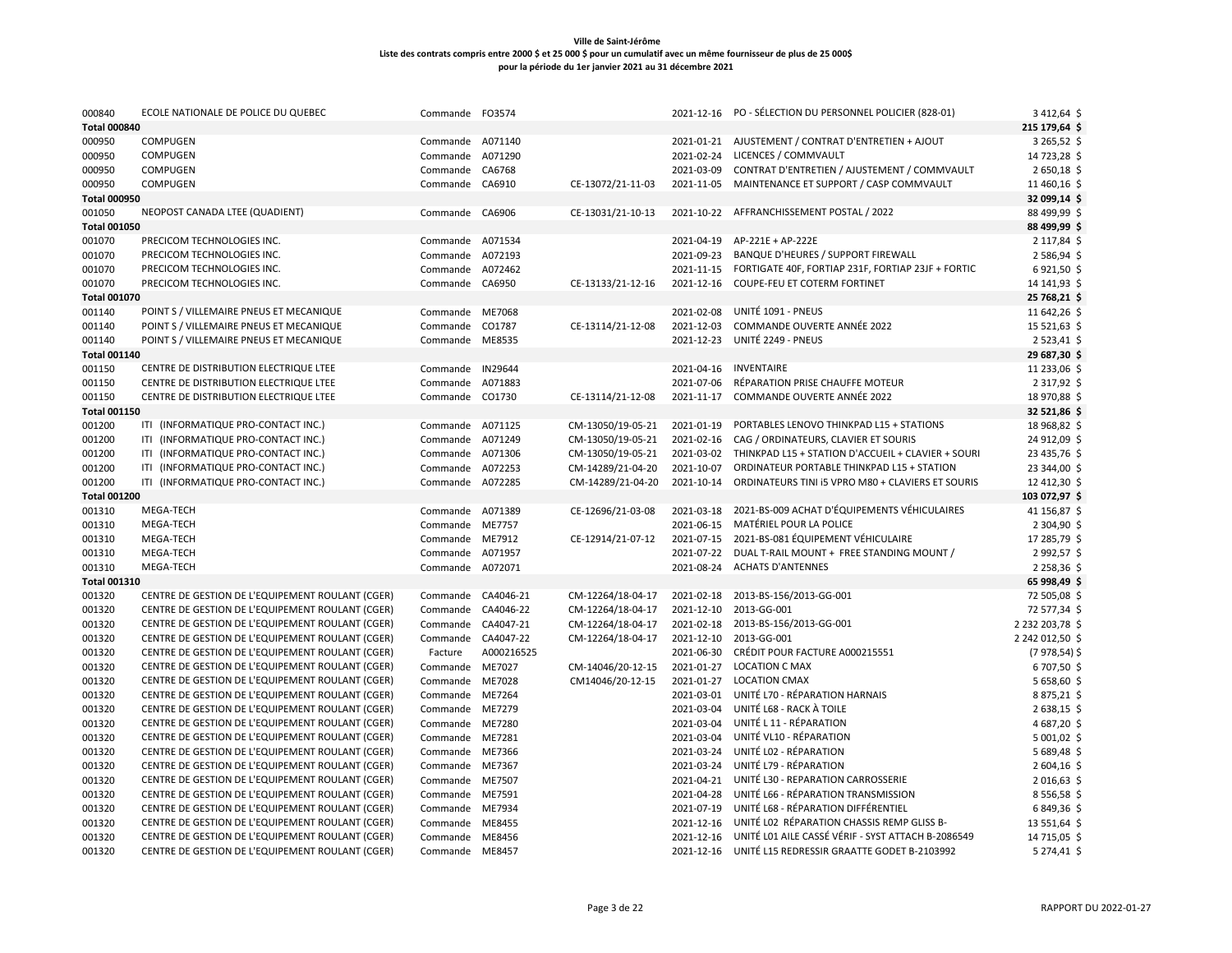| 000840                        | ECOLE NATIONALE DE POLICE DU QUEBEC                                                                  | Commande FO3574                    |            |                   |                          | 2021-12-16 PO - SÉLECTION DU PERSONNEL POLICIER (828-01)      | 3 412,64 \$                  |
|-------------------------------|------------------------------------------------------------------------------------------------------|------------------------------------|------------|-------------------|--------------------------|---------------------------------------------------------------|------------------------------|
| <b>Total 000840</b>           |                                                                                                      |                                    |            |                   |                          |                                                               | 215 179,64 \$                |
| 000950                        | COMPUGEN                                                                                             | Commande A071140                   |            |                   |                          | 2021-01-21 AJUSTEMENT / CONTRAT D'ENTRETIEN + AJOUT           | 3 265,52 \$                  |
| 000950                        | COMPUGEN                                                                                             | Commande                           | A071290    |                   | 2021-02-24               | LICENCES / COMMVAULT                                          | 14 723,28 \$                 |
| 000950                        | COMPUGEN                                                                                             | Commande CA6768                    |            |                   | 2021-03-09               | CONTRAT D'ENTRETIEN / AJUSTEMENT / COMMVAULT                  | 2650,18\$                    |
| 000950<br><b>Total 000950</b> | COMPUGEN                                                                                             | Commande CA6910                    |            | CE-13072/21-11-03 | 2021-11-05               | MAINTENANCE ET SUPPORT / CASP COMMVAULT                       | 11 460,16 \$<br>32 099,14 \$ |
| 001050                        | NEOPOST CANADA LTEE (QUADIENT)                                                                       | Commande                           | CA6906     | CE-13031/21-10-13 | 2021-10-22               | AFFRANCHISSEMENT POSTAL / 2022                                | 88 499,99 \$                 |
| <b>Total 001050</b>           |                                                                                                      |                                    |            |                   |                          |                                                               | 88 499,99 \$                 |
| 001070                        | PRECICOM TECHNOLOGIES INC.                                                                           | Commande A071534                   |            |                   |                          | 2021-04-19 AP-221E + AP-222E                                  | 2 117,84 \$                  |
| 001070                        | PRECICOM TECHNOLOGIES INC.                                                                           | Commande                           | A072193    |                   | 2021-09-23               | <b>BANQUE D'HEURES / SUPPORT FIREWALL</b>                     | 2586,94\$                    |
| 001070                        | PRECICOM TECHNOLOGIES INC.                                                                           | Commande                           | A072462    |                   |                          | 2021-11-15 FORTIGATE 40F, FORTIAP 231F, FORTIAP 23JF + FORTIC | 6921,50\$                    |
| 001070                        | PRECICOM TECHNOLOGIES INC.                                                                           | Commande                           | CA6950     | CE-13133/21-12-16 | 2021-12-16               | COUPE-FEU ET COTERM FORTINET                                  | 14 14 1,93 \$                |
| <b>Total 001070</b>           |                                                                                                      |                                    |            |                   |                          |                                                               | 25 768,21 \$                 |
| 001140                        | POINT S / VILLEMAIRE PNEUS ET MECANIQUE                                                              | Commande ME7068                    |            |                   | 2021-02-08               | UNITÉ 1091 - PNEUS                                            | 11 642,26 \$                 |
| 001140                        | POINT S / VILLEMAIRE PNEUS ET MECANIQUE                                                              | Commande                           | CO1787     | CE-13114/21-12-08 | 2021-12-03               | <b>COMMANDE OUVERTE ANNÉE 2022</b>                            | 15 521,63 \$                 |
| 001140                        | POINT S / VILLEMAIRE PNEUS ET MECANIQUE                                                              | Commande ME8535                    |            |                   | 2021-12-23               | UNITÉ 2249 - PNEUS                                            | 2523,41\$                    |
| <b>Total 001140</b>           |                                                                                                      |                                    |            |                   |                          |                                                               | 29 687,30 \$                 |
| 001150                        | CENTRE DE DISTRIBUTION ELECTRIQUE LTEE                                                               | Commande                           | IN29644    |                   | 2021-04-16               | <b>INVENTAIRE</b>                                             | 11 233,06 \$                 |
| 001150                        | CENTRE DE DISTRIBUTION ELECTRIQUE LTEE                                                               | Commande                           | A071883    |                   | 2021-07-06               | RÉPARATION PRISE CHAUFFE MOTEUR                               | 2 3 1 7, 9 2 \$              |
| 001150                        | CENTRE DE DISTRIBUTION ELECTRIQUE LTEE                                                               | Commande CO1730                    |            | CE-13114/21-12-08 | 2021-11-17               | COMMANDE OUVERTE ANNÉE 2022                                   | 18 970,88 \$                 |
| <b>Total 001150</b>           |                                                                                                      |                                    |            |                   |                          |                                                               | 32 521,86 \$                 |
| 001200                        | ITI (INFORMATIQUE PRO-CONTACT INC.)                                                                  | Commande A071125                   |            | CM-13050/19-05-21 | 2021-01-19               | PORTABLES LENOVO THINKPAD L15 + STATIONS                      | 18 968,82 \$                 |
| 001200                        | ITI (INFORMATIQUE PRO-CONTACT INC.)                                                                  | Commande A071249                   |            | CM-13050/19-05-21 | 2021-02-16               | CAG / ORDINATEURS, CLAVIER ET SOURIS                          | 24 912,09 \$                 |
| 001200                        | ITI (INFORMATIQUE PRO-CONTACT INC.)                                                                  | Commande A071306                   |            | CM-13050/19-05-21 |                          | 2021-03-02 THINKPAD L15 + STATION D'ACCUEIL + CLAVIER + SOURI | 23 435,76 \$                 |
| 001200                        | ITI (INFORMATIQUE PRO-CONTACT INC.)                                                                  | Commande                           | A072253    | CM-14289/21-04-20 | 2021-10-07               | ORDINATEUR PORTABLE THINKPAD L15 + STATION                    | 23 344,00 \$                 |
| 001200                        | ITI (INFORMATIQUE PRO-CONTACT INC.)                                                                  | Commande A072285                   |            | CM-14289/21-04-20 | 2021-10-14               | ORDINATEURS TINI I5 VPRO M80 + CLAVIERS ET SOURIS             | 12 412,30 \$                 |
| <b>Total 001200</b>           |                                                                                                      |                                    |            |                   |                          |                                                               | 103 072,97 \$                |
| 001310                        | MEGA-TECH                                                                                            | Commande A071389                   |            | CE-12696/21-03-08 | 2021-03-18               | 2021-BS-009 ACHAT D'ÉQUIPEMENTS VÉHICULAIRES                  | 41 156,87 \$                 |
| 001310                        | MEGA-TECH                                                                                            | Commande ME7757                    |            |                   | 2021-06-15               | MATÉRIEL POUR LA POLICE                                       | 2 304,90 \$                  |
| 001310                        | MEGA-TECH                                                                                            | Commande                           | ME7912     | CE-12914/21-07-12 | 2021-07-15               | 2021-BS-081 ÉQUIPEMENT VÉHICULAIRE                            | 17 285,79 \$                 |
| 001310                        | MEGA-TECH                                                                                            | Commande A071957                   |            |                   | 2021-07-22               | DUAL T-RAIL MOUNT + FREE STANDING MOUNT /                     | 2992,57\$                    |
| 001310                        | MEGA-TECH                                                                                            | Commande A072071                   |            |                   | 2021-08-24               | <b>ACHATS D'ANTENNES</b>                                      | 2 2 58, 36 \$                |
| <b>Total 001310</b>           |                                                                                                      |                                    |            |                   |                          |                                                               | 65 998,49 \$                 |
| 001320                        | CENTRE DE GESTION DE L'EQUIPEMENT ROULANT (CGER)                                                     | Commande CA4046-21                 |            | CM-12264/18-04-17 | 2021-02-18               | 2013-BS-156/2013-GG-001                                       | 72 505,08 \$                 |
| 001320                        | CENTRE DE GESTION DE L'EQUIPEMENT ROULANT (CGER)                                                     | Commande CA4046-22                 |            | CM-12264/18-04-17 | 2021-12-10               | 2013-GG-001                                                   | 72 577,34 \$                 |
| 001320                        | CENTRE DE GESTION DE L'EQUIPEMENT ROULANT (CGER)                                                     | Commande CA4047-21                 |            | CM-12264/18-04-17 |                          | 2021-02-18 2013-BS-156/2013-GG-001                            | 2 232 203,78 \$              |
| 001320                        | CENTRE DE GESTION DE L'EQUIPEMENT ROULANT (CGER)                                                     | Commande CA4047-22                 |            | CM-12264/18-04-17 | 2021-12-10               | 2013-GG-001                                                   | 2 242 012,50 \$              |
|                               | CENTRE DE GESTION DE L'EQUIPEMENT ROULANT (CGER)                                                     |                                    | A000216525 |                   | 2021-06-30               | CRÉDIT POUR FACTURE A000215551                                | $(7978, 54)$ \$              |
| 001320<br>001320              | CENTRE DE GESTION DE L'EQUIPEMENT ROULANT (CGER)                                                     | Facture<br>Commande                | ME7027     | CM-14046/20-12-15 | 2021-01-27               | <b>LOCATION C MAX</b>                                         | 6707,50 \$                   |
| 001320                        | CENTRE DE GESTION DE L'EQUIPEMENT ROULANT (CGER)                                                     | Commande ME7028                    |            | CM14046/20-12-15  | 2021-01-27               | <b>LOCATION CMAX</b>                                          | 5 658,60 \$                  |
|                               | CENTRE DE GESTION DE L'EQUIPEMENT ROULANT (CGER)                                                     |                                    |            |                   | 2021-03-01               | UNITÉ L70 - RÉPARATION HARNAIS                                | 8875,21\$                    |
| 001320<br>001320              | CENTRE DE GESTION DE L'EQUIPEMENT ROULANT (CGER)                                                     | Commande ME7264<br>Commande        | ME7279     |                   | 2021-03-04               | UNITÉ L68 - RACK À TOILE                                      | 2638,15\$                    |
| 001320                        | CENTRE DE GESTION DE L'EQUIPEMENT ROULANT (CGER)                                                     | Commande ME7280                    |            |                   | 2021-03-04               | UNITÉ L 11 - RÉPARATION                                       | 4687,20\$                    |
|                               | CENTRE DE GESTION DE L'EQUIPEMENT ROULANT (CGER)                                                     |                                    |            |                   | 2021-03-04               | UNITÉ VL10 - RÉPARATION                                       |                              |
| 001320                        |                                                                                                      | Commande ME7281                    |            |                   | 2021-03-24               | UNITÉ LO2 - RÉPARATION                                        | 5 001,02 \$<br>5 689,48 \$   |
| 001320<br>001320              | CENTRE DE GESTION DE L'EQUIPEMENT ROULANT (CGER)<br>CENTRE DE GESTION DE L'EQUIPEMENT ROULANT (CGER) | Commande ME7366                    |            |                   | 2021-03-24               | UNITÉ L79 - RÉPARATION                                        | 2 604,16 \$                  |
|                               |                                                                                                      | Commande ME7367                    |            |                   |                          | UNITÉ L30 - REPARATION CARROSSERIE                            |                              |
| 001320                        | CENTRE DE GESTION DE L'EQUIPEMENT ROULANT (CGER)<br>CENTRE DE GESTION DE L'EQUIPEMENT ROULANT (CGER) | Commande ME7507                    | ME7591     |                   | 2021-04-21<br>2021-04-28 | UNITÉ L66 - RÉPARATION TRANSMISSION                           | 2016,63\$                    |
| 001320<br>001320              | CENTRE DE GESTION DE L'EQUIPEMENT ROULANT (CGER)                                                     | Commande                           |            |                   | 2021-07-19               | UNITÉ L68 - RÉPARATION DIFFÉRENTIEL                           | 8556,58\$<br>6849,36\$       |
|                               |                                                                                                      | Commande ME7934                    |            |                   | 2021-12-16               | UNITÉ LO2 RÉPARATION CHASSIS REMP GLISS B-                    |                              |
| 001320<br>001320              | CENTRE DE GESTION DE L'EQUIPEMENT ROULANT (CGER)<br>CENTRE DE GESTION DE L'EQUIPEMENT ROULANT (CGER) | Commande ME8455<br>Commande ME8456 |            |                   | 2021-12-16               | UNITÉ LO1 AILE CASSÉ VÉRIF - SYST ATTACH B-2086549            | 13 551,64 \$<br>14 715,05 \$ |
| 001320                        | CENTRE DE GESTION DE L'EQUIPEMENT ROULANT (CGER)                                                     | Commande ME8457                    |            |                   |                          | 2021-12-16 UNITÉ L15 REDRESSIR GRAATTE GODET B-2103992        | 5 274,41 \$                  |
|                               |                                                                                                      |                                    |            |                   |                          |                                                               |                              |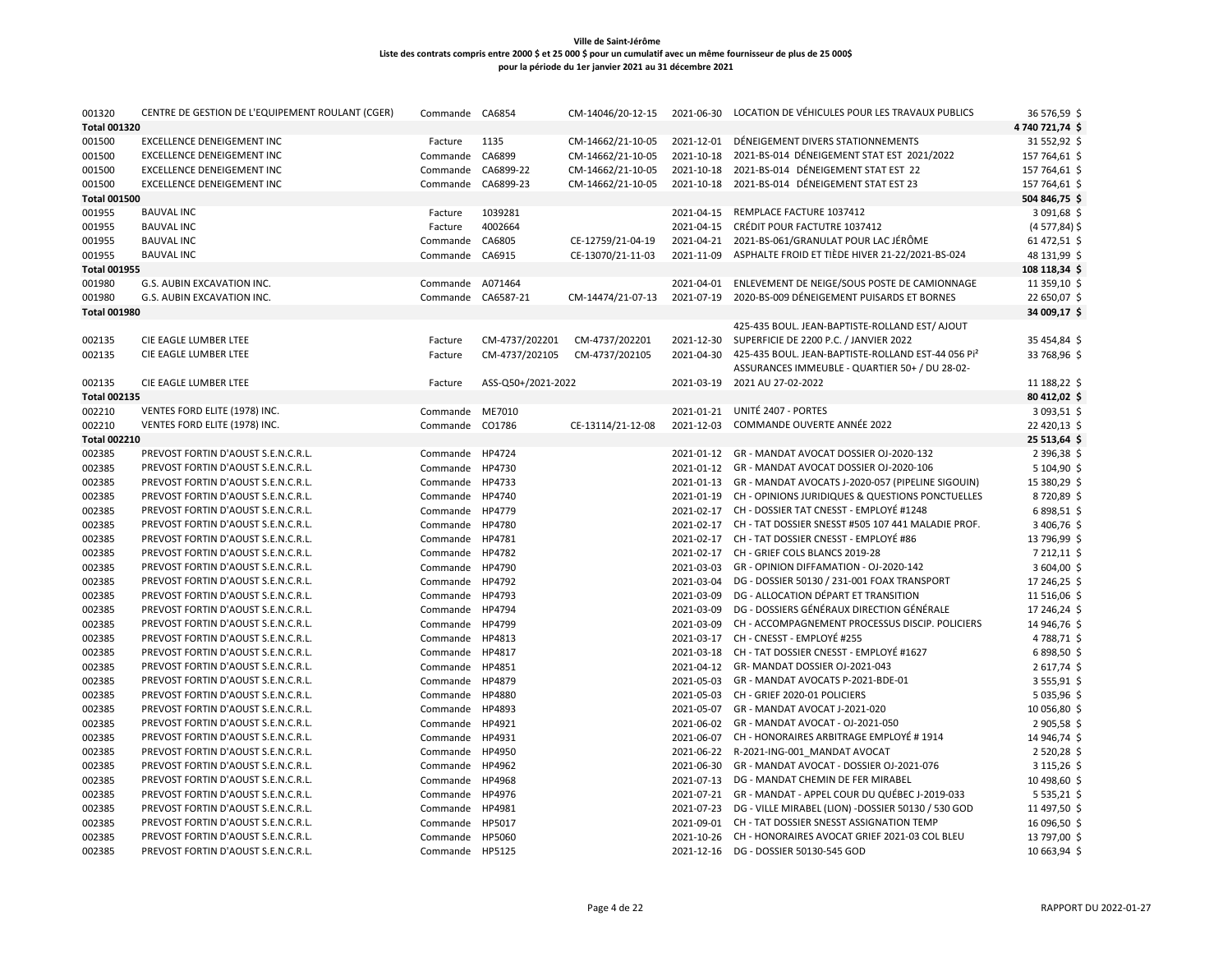| 001320<br><b>Total 001320</b> | CENTRE DE GESTION DE L'EQUIPEMENT ROULANT (CGER) | Commande           | CA6854             | CM-14046/20-12-15 |            | 2021-06-30 LOCATION DE VÉHICULES POUR LES TRAVAUX PUBLICS     | 36 576,59 \$<br>4740721,74\$ |
|-------------------------------|--------------------------------------------------|--------------------|--------------------|-------------------|------------|---------------------------------------------------------------|------------------------------|
| 001500                        | <b>EXCELLENCE DENEIGEMENT INC</b>                | Facture            | 1135               | CM-14662/21-10-05 | 2021-12-01 | DÉNEIGEMENT DIVERS STATIONNEMENTS                             | 31 552,92 \$                 |
| 001500                        | <b>EXCELLENCE DENEIGEMENT INC</b>                | Commande           | CA6899             | CM-14662/21-10-05 | 2021-10-18 | 2021-BS-014 DÉNEIGEMENT STAT EST 2021/2022                    | 157 764,61 \$                |
| 001500                        | <b>EXCELLENCE DENEIGEMENT INC</b>                | Commande           | CA6899-22          | CM-14662/21-10-05 | 2021-10-18 | 2021-BS-014 DÉNEIGEMENT STAT EST 22                           | 157 764,61 \$                |
| 001500                        | <b>EXCELLENCE DENEIGEMENT INC</b>                | Commande           | CA6899-23          | CM-14662/21-10-05 | 2021-10-18 | 2021-BS-014 DÉNEIGEMENT STAT EST 23                           | 157 764,61 \$                |
| <b>Total 001500</b>           |                                                  |                    |                    |                   |            |                                                               | 504 846,75 \$                |
| 001955                        | <b>BAUVAL INC</b>                                | Facture            | 1039281            |                   | 2021-04-15 | REMPLACE FACTURE 1037412                                      | 3 091,68 \$                  |
| 001955                        | <b>BAUVAL INC</b>                                | Facture            | 4002664            |                   | 2021-04-15 | CRÉDIT POUR FACTUTRE 1037412                                  | $(4577, 84)$ \$              |
| 001955                        | <b>BAUVAL INC</b>                                | Commande           | CA6805             | CE-12759/21-04-19 |            | 2021-04-21 2021-BS-061/GRANULAT POUR LAC JÉRÔME               | 61 472,51 \$                 |
| 001955                        | <b>BAUVAL INC</b>                                | Commande           | CA6915             | CE-13070/21-11-03 | 2021-11-09 | ASPHALTE FROID ET TIÈDE HIVER 21-22/2021-BS-024               | 48 131,99 \$                 |
| <b>Total 001955</b>           |                                                  |                    |                    |                   |            |                                                               | 108 118,34 \$                |
| 001980                        | G.S. AUBIN EXCAVATION INC.                       | Commande A071464   |                    |                   | 2021-04-01 | ENLEVEMENT DE NEIGE/SOUS POSTE DE CAMIONNAGE                  | 11 359,10 \$                 |
| 001980                        | G.S. AUBIN EXCAVATION INC.                       | Commande CA6587-21 |                    | CM-14474/21-07-13 | 2021-07-19 | 2020-BS-009 DÉNEIGEMENT PUISARDS ET BORNES                    | 22 650,07 \$                 |
| <b>Total 001980</b>           |                                                  |                    |                    |                   |            |                                                               | 34 009,17 \$                 |
|                               |                                                  |                    |                    |                   |            | 425-435 BOUL. JEAN-BAPTISTE-ROLLAND EST/ AJOUT                |                              |
| 002135                        | CIE EAGLE LUMBER LTEE                            | Facture            | CM-4737/202201     | CM-4737/202201    | 2021-12-30 | SUPERFICIE DE 2200 P.C. / JANVIER 2022                        | 35 454,84 \$                 |
| 002135                        | CIE EAGLE LUMBER LTEE                            | Facture            | CM-4737/202105     | CM-4737/202105    | 2021-04-30 | 425-435 BOUL. JEAN-BAPTISTE-ROLLAND EST-44 056 Pi2            | 33 768,96 \$                 |
|                               |                                                  |                    |                    |                   |            | ASSURANCES IMMEUBLE - QUARTIER 50+ / DU 28-02-                |                              |
| 002135                        | CIE EAGLE LUMBER LTEE                            | Facture            | ASS-Q50+/2021-2022 |                   | 2021-03-19 | 2021 AU 27-02-2022                                            | 11 188,22 \$                 |
| <b>Total 002135</b>           |                                                  |                    |                    |                   |            |                                                               | 80 412,02 \$                 |
| 002210                        | VENTES FORD ELITE (1978) INC.                    | Commande           | ME7010             |                   | 2021-01-21 | UNITÉ 2407 - PORTES                                           | 3 093,51 \$                  |
| 002210                        | VENTES FORD ELITE (1978) INC.                    | Commande           | CO1786             | CE-13114/21-12-08 | 2021-12-03 | COMMANDE OUVERTE ANNÉE 2022                                   | 22 420,13 \$                 |
| <b>Total 002210</b>           |                                                  |                    |                    |                   |            |                                                               | 25 513,64 \$                 |
| 002385                        | PREVOST FORTIN D'AOUST S.E.N.C.R.L.              | Commande           | HP4724             |                   | 2021-01-12 | GR - MANDAT AVOCAT DOSSIER OJ-2020-132                        | 2 396,38 \$                  |
| 002385                        | PREVOST FORTIN D'AOUST S.E.N.C.R.L.              | Commande           | HP4730             |                   |            | 2021-01-12 GR - MANDAT AVOCAT DOSSIER OJ-2020-106             | 5 104,90 \$                  |
| 002385                        | PREVOST FORTIN D'AOUST S.E.N.C.R.L.              | Commande HP4733    |                    |                   |            | 2021-01-13 GR - MANDAT AVOCATS J-2020-057 (PIPELINE SIGOUIN)  | 15 380,29 \$                 |
| 002385                        | PREVOST FORTIN D'AOUST S.E.N.C.R.L.              | Commande           | HP4740             |                   | 2021-01-19 | CH - OPINIONS JURIDIQUES & QUESTIONS PONCTUELLES              | 8720,89\$                    |
| 002385                        | PREVOST FORTIN D'AOUST S.E.N.C.R.L.              | Commande           | HP4779             |                   |            | 2021-02-17 CH - DOSSIER TAT CNESST - EMPLOYÉ #1248            | 6898,51\$                    |
| 002385                        | PREVOST FORTIN D'AOUST S.E.N.C.R.L.              | Commande HP4780    |                    |                   |            | 2021-02-17 CH - TAT DOSSIER SNESST #505 107 441 MALADIE PROF. | 3 406,76 \$                  |
| 002385                        | PREVOST FORTIN D'AOUST S.E.N.C.R.L.              | Commande           | HP4781             |                   |            | 2021-02-17 CH - TAT DOSSIER CNESST - EMPLOYÉ #86              | 13 796,99 \$                 |
| 002385                        | PREVOST FORTIN D'AOUST S.E.N.C.R.L.              | Commande HP4782    |                    |                   | 2021-02-17 | CH - GRIEF COLS BLANCS 2019-28                                | 7 212,11 \$                  |
| 002385                        | PREVOST FORTIN D'AOUST S.E.N.C.R.L.              | Commande           | HP4790             |                   | 2021-03-03 | GR - OPINION DIFFAMATION - OJ-2020-142                        | 3 604,00 \$                  |
| 002385                        | PREVOST FORTIN D'AOUST S.E.N.C.R.L.              | Commande           | HP4792             |                   | 2021-03-04 | DG - DOSSIER 50130 / 231-001 FOAX TRANSPORT                   | 17 246,25 \$                 |
| 002385                        | PREVOST FORTIN D'AOUST S.E.N.C.R.L.              | Commande           | HP4793             |                   | 2021-03-09 | DG - ALLOCATION DÉPART ET TRANSITION                          | 11 516,06 \$                 |
| 002385                        | PREVOST FORTIN D'AOUST S.E.N.C.R.L.              | Commande           | HP4794             |                   | 2021-03-09 | DG - DOSSIERS GÉNÉRAUX DIRECTION GÉNÉRALE                     | 17 246,24 \$                 |
| 002385                        | PREVOST FORTIN D'AOUST S.E.N.C.R.L.              | Commande           | HP4799             |                   | 2021-03-09 | CH - ACCOMPAGNEMENT PROCESSUS DISCIP. POLICIERS               | 14 946,76 \$                 |
| 002385                        | PREVOST FORTIN D'AOUST S.E.N.C.R.L.              | Commande           | HP4813             |                   | 2021-03-17 | CH - CNESST - EMPLOYÉ #255                                    | 4788,71\$                    |
| 002385                        | PREVOST FORTIN D'AOUST S.E.N.C.R.L.              | Commande HP4817    |                    |                   | 2021-03-18 | CH - TAT DOSSIER CNESST - EMPLOYÉ #1627                       | 6898,50\$                    |
| 002385                        | PREVOST FORTIN D'AOUST S.E.N.C.R.L.              | Commande           | HP4851             |                   | 2021-04-12 | GR-MANDAT DOSSIER OJ-2021-043                                 | 2617,74 \$                   |
| 002385                        | PREVOST FORTIN D'AOUST S.E.N.C.R.L.              | Commande           | HP4879             |                   | 2021-05-03 | GR - MANDAT AVOCATS P-2021-BDE-01                             | 3555,91\$                    |
| 002385                        | PREVOST FORTIN D'AOUST S.E.N.C.R.L.              | Commande           | HP4880             |                   | 2021-05-03 | CH - GRIEF 2020-01 POLICIERS                                  | 5 035,96 \$                  |
| 002385                        | PREVOST FORTIN D'AOUST S.E.N.C.R.L.              | Commande           | HP4893             |                   | 2021-05-07 | GR - MANDAT AVOCAT J-2021-020                                 | 10 056,80 \$                 |
| 002385                        | PREVOST FORTIN D'AOUST S.E.N.C.R.L.              | Commande HP4921    |                    |                   |            | 2021-06-02 GR - MANDAT AVOCAT - OJ-2021-050                   | 2905,58\$                    |
| 002385                        | PREVOST FORTIN D'AOUST S.E.N.C.R.L.              | Commande           | HP4931             |                   | 2021-06-07 | CH - HONORAIRES ARBITRAGE EMPLOYÉ # 1914                      | 14 946,74 \$                 |
| 002385                        | PREVOST FORTIN D'AOUST S.E.N.C.R.L.              | Commande           | HP4950             |                   |            | 2021-06-22 R-2021-ING-001 MANDAT AVOCAT                       | 2520,28\$                    |
| 002385                        | PREVOST FORTIN D'AOUST S.E.N.C.R.L.              | Commande           | HP4962             |                   | 2021-06-30 | GR - MANDAT AVOCAT - DOSSIER OJ-2021-076                      | 3 115,26 \$                  |
| 002385                        | PREVOST FORTIN D'AOUST S.E.N.C.R.L.              | Commande           | HP4968             |                   | 2021-07-13 | DG - MANDAT CHEMIN DE FER MIRABEL                             | 10 498,60 \$                 |
| 002385                        | PREVOST FORTIN D'AOUST S.E.N.C.R.L.              | Commande           | HP4976             |                   | 2021-07-21 | GR - MANDAT - APPEL COUR DU QUÉBEC J-2019-033                 | $5535,21$ \$                 |
| 002385                        | PREVOST FORTIN D'AOUST S.E.N.C.R.L.              | Commande           | HP4981             |                   | 2021-07-23 | DG - VILLE MIRABEL (LION) -DOSSIER 50130 / 530 GOD            | 11 497,50 \$                 |
| 002385                        | PREVOST FORTIN D'AOUST S.E.N.C.R.L.              | Commande           | HP5017             |                   | 2021-09-01 | CH - TAT DOSSIER SNESST ASSIGNATION TEMP                      | 16 096,50 \$                 |
| 002385                        | PREVOST FORTIN D'AOUST S.E.N.C.R.L.              | Commande           | HP5060             |                   |            | 2021-10-26 CH - HONORAIRES AVOCAT GRIEF 2021-03 COL BLEU      | 13 797,00 \$                 |
| 002385                        | PREVOST FORTIN D'AOUST S.E.N.C.R.L.              | Commande HP5125    |                    |                   |            | 2021-12-16 DG - DOSSIER 50130-545 GOD                         | 10 663,94 \$                 |
|                               |                                                  |                    |                    |                   |            |                                                               |                              |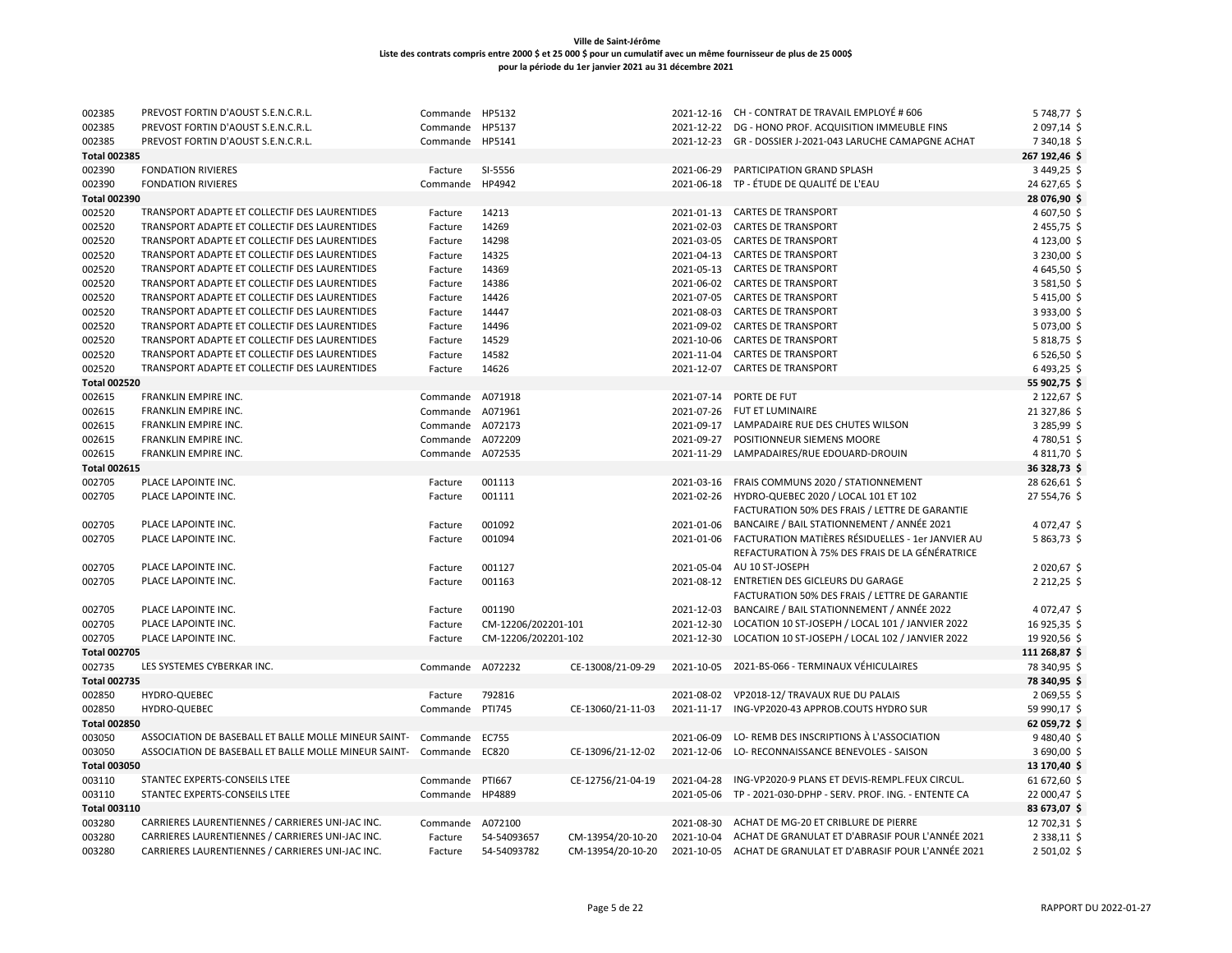| 002385              | PREVOST FORTIN D'AOUST S.E.N.C.R.L.                           | Commande         | HP5132              |                   |            | 2021-12-16 CH - CONTRAT DE TRAVAIL EMPLOYÉ # 606                                       | 5 748,77 \$      |
|---------------------|---------------------------------------------------------------|------------------|---------------------|-------------------|------------|----------------------------------------------------------------------------------------|------------------|
| 002385              | PREVOST FORTIN D'AOUST S.E.N.C.R.L.                           | Commande         | HP5137              |                   | 2021-12-22 | DG - HONO PROF. ACQUISITION IMMEUBLE FINS                                              | 2 097,14 \$      |
| 002385              | PREVOST FORTIN D'AOUST S.E.N.C.R.L.                           | Commande         | HP5141              |                   | 2021-12-23 | GR - DOSSIER J-2021-043 LARUCHE CAMAPGNE ACHAT                                         | 7 340,18 \$      |
| <b>Total 002385</b> |                                                               |                  |                     |                   |            |                                                                                        | 267 192,46 \$    |
| 002390              | <b>FONDATION RIVIERES</b>                                     | Facture          | SI-5556             |                   | 2021-06-29 | PARTICIPATION GRAND SPLASH                                                             | 3 449,25 \$      |
| 002390              | <b>FONDATION RIVIERES</b>                                     | Commande         | HP4942              |                   | 2021-06-18 | TP - ÉTUDE DE QUALITÉ DE L'EAU                                                         | 24 627,65 \$     |
| <b>Total 002390</b> |                                                               |                  |                     |                   |            |                                                                                        | 28 076,90 \$     |
| 002520              | TRANSPORT ADAPTE ET COLLECTIF DES LAURENTIDES                 | Facture          | 14213               |                   |            | 2021-01-13 CARTES DE TRANSPORT                                                         | 4 607,50 \$      |
| 002520              | TRANSPORT ADAPTE ET COLLECTIF DES LAURENTIDES                 | Facture          | 14269               |                   | 2021-02-03 | <b>CARTES DE TRANSPORT</b>                                                             | 2455,75 \$       |
| 002520              | TRANSPORT ADAPTE ET COLLECTIF DES LAURENTIDES                 | Facture          | 14298               |                   |            | 2021-03-05 CARTES DE TRANSPORT                                                         | 4 123,00 \$      |
| 002520              | TRANSPORT ADAPTE ET COLLECTIF DES LAURENTIDES                 | Facture          | 14325               |                   |            | 2021-04-13 CARTES DE TRANSPORT                                                         | 3 230,00 \$      |
| 002520              | TRANSPORT ADAPTE ET COLLECTIF DES LAURENTIDES                 | Facture          | 14369               |                   | 2021-05-13 | <b>CARTES DE TRANSPORT</b>                                                             | 4 645,50 \$      |
| 002520              | TRANSPORT ADAPTE ET COLLECTIF DES LAURENTIDES                 | Facture          | 14386               |                   |            | 2021-06-02 CARTES DE TRANSPORT                                                         | 3 581,50 \$      |
| 002520              | TRANSPORT ADAPTE ET COLLECTIF DES LAURENTIDES                 | Facture          | 14426               |                   | 2021-07-05 | <b>CARTES DE TRANSPORT</b>                                                             | 5 415,00 \$      |
| 002520              | TRANSPORT ADAPTE ET COLLECTIF DES LAURENTIDES                 | Facture          | 14447               |                   | 2021-08-03 | <b>CARTES DE TRANSPORT</b>                                                             | 3933,00 \$       |
| 002520              | TRANSPORT ADAPTE ET COLLECTIF DES LAURENTIDES                 | Facture          | 14496               |                   |            | 2021-09-02 CARTES DE TRANSPORT                                                         | 5 073,00 \$      |
| 002520              | TRANSPORT ADAPTE ET COLLECTIF DES LAURENTIDES                 | Facture          | 14529               |                   | 2021-10-06 | <b>CARTES DE TRANSPORT</b>                                                             | 5818,75\$        |
| 002520              | TRANSPORT ADAPTE ET COLLECTIF DES LAURENTIDES                 | Facture          | 14582               |                   | 2021-11-04 | <b>CARTES DE TRANSPORT</b>                                                             | 6526,50 \$       |
| 002520              | TRANSPORT ADAPTE ET COLLECTIF DES LAURENTIDES                 | Facture          | 14626               |                   | 2021-12-07 | <b>CARTES DE TRANSPORT</b>                                                             | $6493,25$ \$     |
| <b>Total 002520</b> |                                                               |                  |                     |                   |            |                                                                                        | 55 902,75 \$     |
| 002615              | FRANKLIN EMPIRE INC.                                          | Commande A071918 |                     |                   |            | 2021-07-14 PORTE DE FUT                                                                | 2 122,67         |
| 002615              | FRANKLIN EMPIRE INC.                                          | Commande A071961 |                     |                   |            | 2021-07-26 FUT ET LUMINAIRE                                                            | 21 327,86 \$     |
| 002615              | FRANKLIN EMPIRE INC.                                          | Commande         | A072173             |                   | 2021-09-17 | LAMPADAIRE RUE DES CHUTES WILSON                                                       | 3 285,99 \$      |
| 002615              | FRANKLIN EMPIRE INC.                                          | Commande         | A072209             |                   | 2021-09-27 | POSITIONNEUR SIEMENS MOORE                                                             | 4780,51 \$       |
| 002615              | FRANKLIN EMPIRE INC.                                          | Commande         | A072535             |                   | 2021-11-29 | LAMPADAIRES/RUE EDOUARD-DROUIN                                                         | 4811,70\$        |
| <b>Total 002615</b> |                                                               |                  |                     |                   |            |                                                                                        | 36 328,73 \$     |
| 002705              | PLACE LAPOINTE INC.                                           |                  | 001113              |                   |            | 2021-03-16 FRAIS COMMUNS 2020 / STATIONNEMENT                                          | 28 626,61 \$     |
|                     |                                                               | Facture          |                     |                   |            |                                                                                        |                  |
| 002705              | PLACE LAPOINTE INC.                                           | Facture          | 001111              |                   | 2021-02-26 | HYDRO-QUEBEC 2020 / LOCAL 101 ET 102<br>FACTURATION 50% DES FRAIS / LETTRE DE GARANTIE | 27 554,76 \$     |
| 002705              | PLACE LAPOINTE INC.                                           | Facture          | 001092              |                   | 2021-01-06 | BANCAIRE / BAIL STATIONNEMENT / ANNÉE 2021                                             | 4 072,47 \$      |
| 002705              | PLACE LAPOINTE INC.                                           | Facture          | 001094              |                   | 2021-01-06 | FACTURATION MATIÈRES RÉSIDUELLES - 1er JANVIER AU                                      | 5863,73\$        |
|                     |                                                               |                  |                     |                   |            | REFACTURATION À 75% DES FRAIS DE LA GÉNÉRATRICE                                        |                  |
| 002705              | PLACE LAPOINTE INC.                                           | Facture          | 001127              |                   | 2021-05-04 | AU 10 ST-JOSEPH                                                                        | 2 020,67 \$      |
| 002705              | PLACE LAPOINTE INC.                                           | Facture          | 001163              |                   |            | 2021-08-12 ENTRETIEN DES GICLEURS DU GARAGE                                            | $2212,25$ \$     |
|                     |                                                               |                  |                     |                   |            | FACTURATION 50% DES FRAIS / LETTRE DE GARANTIE                                         |                  |
| 002705              | PLACE LAPOINTE INC.                                           | Facture          | 001190              |                   | 2021-12-03 | BANCAIRE / BAIL STATIONNEMENT / ANNÉE 2022                                             | 4 0 72,47 \$     |
| 002705              | PLACE LAPOINTE INC.                                           | Facture          |                     |                   | 2021-12-30 | LOCATION 10 ST-JOSEPH / LOCAL 101 / JANVIER 2022                                       | 16 925,35 \$     |
|                     |                                                               |                  | CM-12206/202201-101 |                   |            |                                                                                        |                  |
| 002705              | PLACE LAPOINTE INC.                                           | Facture          | CM-12206/202201-102 |                   | 2021-12-30 | LOCATION 10 ST-JOSEPH / LOCAL 102 / JANVIER 2022                                       | 19 920,56 \$     |
| <b>Total 002705</b> |                                                               |                  |                     |                   |            |                                                                                        | 111 268,87 \$    |
| 002735              | LES SYSTEMES CYBERKAR INC.                                    | Commande         | A072232             | CE-13008/21-09-29 | 2021-10-05 | 2021-BS-066 - TERMINAUX VÉHICULAIRES                                                   | 78 340,95 \$     |
| <b>Total 002735</b> |                                                               |                  |                     |                   |            |                                                                                        | 78 340,95 \$     |
| 002850              | HYDRO-QUEBEC                                                  | Facture          | 792816              |                   | 2021-08-02 | VP2018-12/ TRAVAUX RUE DU PALAIS                                                       | 2 069,55 \$      |
| 002850              | HYDRO-QUEBEC                                                  | Commande         | PTI745              | CE-13060/21-11-03 | 2021-11-17 | ING-VP2020-43 APPROB.COUTS HYDRO SUR                                                   | 59 990,17 \$     |
| <b>Total 002850</b> |                                                               |                  |                     |                   |            |                                                                                        | 62 059,72 \$     |
| 003050              | ASSOCIATION DE BASEBALL ET BALLE MOLLE MINEUR SAINT- Commande |                  | <b>EC755</b>        |                   | 2021-06-09 | LO-REMB DES INSCRIPTIONS À L'ASSOCIATION                                               | 9480,40\$        |
| 003050              | ASSOCIATION DE BASEBALL ET BALLE MOLLE MINEUR SAINT- Commande |                  | EC820               | CE-13096/21-12-02 | 2021-12-06 | LO- RECONNAISSANCE BENEVOLES - SAISON                                                  | 3 690,00 \$      |
| <b>Total 003050</b> |                                                               |                  |                     |                   |            |                                                                                        | 13 170,40 \$     |
| 003110              | STANTEC EXPERTS-CONSEILS LTEE                                 | Commande         | PTI667              | CE-12756/21-04-19 | 2021-04-28 | ING-VP2020-9 PLANS ET DEVIS-REMPL.FEUX CIRCUL.                                         | 61 672,60 \$     |
| 003110              | STANTEC EXPERTS-CONSEILS LTEE                                 | Commande         | HP4889              |                   | 2021-05-06 | TP - 2021-030-DPHP - SERV. PROF. ING. - ENTENTE CA                                     | 22 000,47 \$     |
| <b>Total 003110</b> |                                                               |                  |                     |                   |            |                                                                                        | 83 673,07 \$     |
| 003280              | CARRIERES LAURENTIENNES / CARRIERES UNI-JAC INC.              | Commande         | A072100             |                   | 2021-08-30 | ACHAT DE MG-20 ET CRIBLURE DE PIERRE                                                   | 12 702,31 \$     |
| 003280              | CARRIERES LAURENTIENNES / CARRIERES UNI-JAC INC.              | Facture          | 54-54093657         | CM-13954/20-10-20 | 2021-10-04 | ACHAT DE GRANULAT ET D'ABRASIF POUR L'ANNÉE 2021                                       | 2 3 3 8 , 1 1 \$ |
| 003280              | CARRIERES LAURENTIENNES / CARRIERES UNI-JAC INC.              | Facture          | 54-54093782         | CM-13954/20-10-20 |            | 2021-10-05 ACHAT DE GRANULAT ET D'ABRASIF POUR L'ANNÉE 2021                            | 2 501,02 \$      |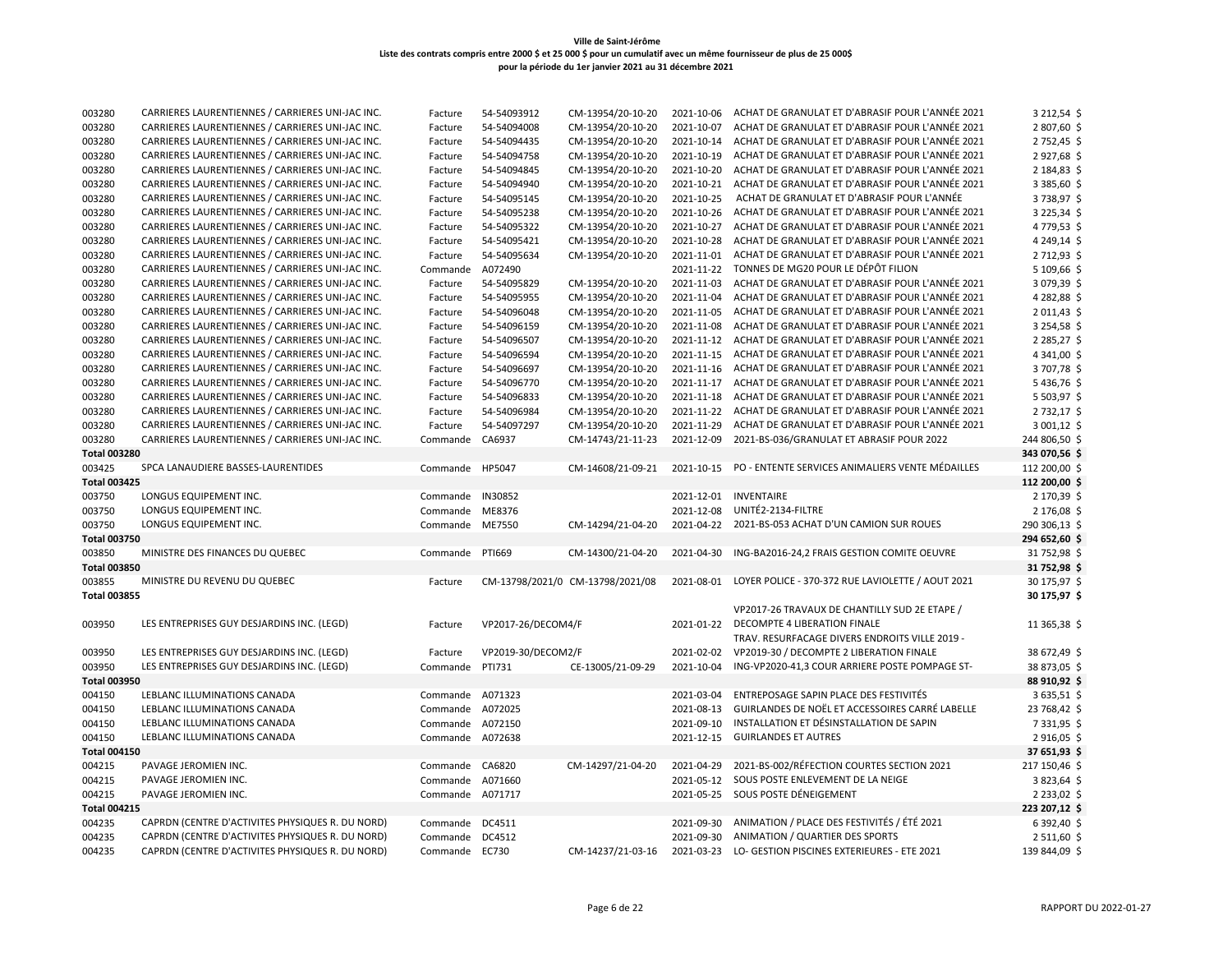| 003280              | CARRIERES LAURENTIENNES / CARRIERES UNI-JAC INC. | Facture          | 54-54093912        | CM-13954/20-10-20                | 2021-10-06 | ACHAT DE GRANULAT ET D'ABRASIF POUR L'ANNÉE 2021  | 3 212,54 \$      |
|---------------------|--------------------------------------------------|------------------|--------------------|----------------------------------|------------|---------------------------------------------------|------------------|
| 003280              | CARRIERES LAURENTIENNES / CARRIERES UNI-JAC INC. | Facture          | 54-54094008        | CM-13954/20-10-20                | 2021-10-07 | ACHAT DE GRANULAT ET D'ABRASIF POUR L'ANNÉE 2021  | 2 807,60 \$      |
| 003280              | CARRIERES LAURENTIENNES / CARRIERES UNI-JAC INC. | Facture          | 54-54094435        | CM-13954/20-10-20                | 2021-10-14 | ACHAT DE GRANULAT ET D'ABRASIF POUR L'ANNÉE 2021  | 2 752,45 \$      |
| 003280              | CARRIERES LAURENTIENNES / CARRIERES UNI-JAC INC. | Facture          | 54-54094758        | CM-13954/20-10-20                | 2021-10-19 | ACHAT DE GRANULAT ET D'ABRASIF POUR L'ANNÉE 2021  | 2927,68          |
| 003280              | CARRIERES LAURENTIENNES / CARRIERES UNI-JAC INC. | Facture          | 54-54094845        | CM-13954/20-10-20                | 2021-10-20 | ACHAT DE GRANULAT ET D'ABRASIF POUR L'ANNÉE 2021  | 2 184,83 \$      |
| 003280              | CARRIERES LAURENTIENNES / CARRIERES UNI-JAC INC. | Facture          | 54-54094940        | CM-13954/20-10-20                | 2021-10-21 | ACHAT DE GRANULAT ET D'ABRASIF POUR L'ANNÉE 2021  | 3 385,60 \$      |
| 003280              | CARRIERES LAURENTIENNES / CARRIERES UNI-JAC INC. | Facture          | 54-54095145        | CM-13954/20-10-20                | 2021-10-25 | ACHAT DE GRANULAT ET D'ABRASIF POUR L'ANNÉE       | 3738,97 \$       |
| 003280              | CARRIERES LAURENTIENNES / CARRIERES UNI-JAC INC. | Facture          | 54-54095238        | CM-13954/20-10-20                | 2021-10-26 | ACHAT DE GRANULAT ET D'ABRASIF POUR L'ANNÉE 2021  | 3 2 2 5 , 3 4 \$ |
| 003280              | CARRIERES LAURENTIENNES / CARRIERES UNI-JAC INC. | Facture          | 54-54095322        | CM-13954/20-10-20                | 2021-10-27 | ACHAT DE GRANULAT ET D'ABRASIF POUR L'ANNÉE 2021  | 4 779,53 \$      |
| 003280              | CARRIERES LAURENTIENNES / CARRIERES UNI-JAC INC. | Facture          | 54-54095421        | CM-13954/20-10-20                | 2021-10-28 | ACHAT DE GRANULAT ET D'ABRASIF POUR L'ANNÉE 2021  | 4 249,14 \$      |
| 003280              | CARRIERES LAURENTIENNES / CARRIERES UNI-JAC INC. | Facture          | 54-54095634        | CM-13954/20-10-20                | 2021-11-01 | ACHAT DE GRANULAT ET D'ABRASIF POUR L'ANNÉE 2021  | 2 712,93 \$      |
| 003280              | CARRIERES LAURENTIENNES / CARRIERES UNI-JAC INC. | Commande         | A072490            |                                  | 2021-11-22 | TONNES DE MG20 POUR LE DÉPÔT FILION               | 5109,66          |
| 003280              | CARRIERES LAURENTIENNES / CARRIERES UNI-JAC INC. | Facture          | 54-54095829        | CM-13954/20-10-20                | 2021-11-03 | ACHAT DE GRANULAT ET D'ABRASIF POUR L'ANNÉE 2021  | 3 079,39 \$      |
| 003280              | CARRIERES LAURENTIENNES / CARRIERES UNI-JAC INC. | Facture          | 54-54095955        | CM-13954/20-10-20                | 2021-11-04 | ACHAT DE GRANULAT ET D'ABRASIF POUR L'ANNÉE 2021  | 4 282,88 \$      |
| 003280              | CARRIERES LAURENTIENNES / CARRIERES UNI-JAC INC. | Facture          | 54-54096048        | CM-13954/20-10-20                | 2021-11-05 | ACHAT DE GRANULAT ET D'ABRASIF POUR L'ANNÉE 2021  | 2 011,43         |
| 003280              | CARRIERES LAURENTIENNES / CARRIERES UNI-JAC INC. | Facture          | 54-54096159        | CM-13954/20-10-20                | 2021-11-08 | ACHAT DE GRANULAT ET D'ABRASIF POUR L'ANNÉE 2021  | 3 254,58 \$      |
| 003280              | CARRIERES LAURENTIENNES / CARRIERES UNI-JAC INC. | Facture          | 54-54096507        | CM-13954/20-10-20                | 2021-11-12 | ACHAT DE GRANULAT ET D'ABRASIF POUR L'ANNÉE 2021  | 2 2 8 5, 2 7 \$  |
| 003280              | CARRIERES LAURENTIENNES / CARRIERES UNI-JAC INC. | Facture          | 54-54096594        | CM-13954/20-10-20                | 2021-11-15 | ACHAT DE GRANULAT ET D'ABRASIF POUR L'ANNÉE 2021  | 4 341,00 \$      |
| 003280              | CARRIERES LAURENTIENNES / CARRIERES UNI-JAC INC. | Facture          | 54-54096697        | CM-13954/20-10-20                | 2021-11-16 | ACHAT DE GRANULAT ET D'ABRASIF POUR L'ANNÉE 2021  | 3707,78 \$       |
| 003280              | CARRIERES LAURENTIENNES / CARRIERES UNI-JAC INC. | Facture          | 54-54096770        | CM-13954/20-10-20                | 2021-11-17 | ACHAT DE GRANULAT ET D'ABRASIF POUR L'ANNÉE 2021  | 5436,76          |
| 003280              | CARRIERES LAURENTIENNES / CARRIERES UNI-JAC INC. | Facture          | 54-54096833        | CM-13954/20-10-20                | 2021-11-18 | ACHAT DE GRANULAT ET D'ABRASIF POUR L'ANNÉE 2021  | 5 503,97 \$      |
| 003280              | CARRIERES LAURENTIENNES / CARRIERES UNI-JAC INC. | Facture          | 54-54096984        | CM-13954/20-10-20                | 2021-11-22 | ACHAT DE GRANULAT ET D'ABRASIF POUR L'ANNÉE 2021  | 2732,17 \$       |
| 003280              | CARRIERES LAURENTIENNES / CARRIERES UNI-JAC INC. | Facture          | 54-54097297        | CM-13954/20-10-20                | 2021-11-29 | ACHAT DE GRANULAT ET D'ABRASIF POUR L'ANNÉE 2021  | 3 001,12 \$      |
| 003280              | CARRIERES LAURENTIENNES / CARRIERES UNI-JAC INC. | Commande         | CA6937             | CM-14743/21-11-23                | 2021-12-09 | 2021-BS-036/GRANULAT ET ABRASIF POUR 2022         | 244 806,50 \$    |
| <b>Total 003280</b> |                                                  |                  |                    |                                  |            |                                                   | 343 070,56 \$    |
| 003425              | SPCA LANAUDIERE BASSES-LAURENTIDES               | Commande         | HP5047             | CM-14608/21-09-21                | 2021-10-15 | PO - ENTENTE SERVICES ANIMALIERS VENTE MÉDAILLES  | 112 200,00 \$    |
| <b>Total 003425</b> |                                                  |                  |                    |                                  |            |                                                   | 112 200,00 \$    |
| 003750              | LONGUS EQUIPEMENT INC.                           | Commande         | IN30852            |                                  | 2021-12-01 | <b>INVENTAIRE</b>                                 | 2 170,39 \$      |
| 003750              | LONGUS EQUIPEMENT INC.                           | Commande         | ME8376             |                                  | 2021-12-08 | UNITÉ2-2134-FILTRE                                | 2 176,08         |
| 003750              | LONGUS EQUIPEMENT INC.                           | Commande         | ME7550             | CM-14294/21-04-20                | 2021-04-22 | 2021-BS-053 ACHAT D'UN CAMION SUR ROUES           | 290 306,13 \$    |
| <b>Total 003750</b> |                                                  |                  |                    |                                  |            |                                                   | 294 652,60 \$    |
| 003850              | MINISTRE DES FINANCES DU QUEBEC                  | Commande         | PTI669             | CM-14300/21-04-20                | 2021-04-30 | ING-BA2016-24,2 FRAIS GESTION COMITE OEUVRE       | 31 752,98 \$     |
| <b>Total 003850</b> |                                                  |                  |                    |                                  |            |                                                   | 31 752,98 \$     |
| 003855              | MINISTRE DU REVENU DU QUEBEC                     | Facture          |                    | CM-13798/2021/0 CM-13798/2021/08 | 2021-08-01 | LOYER POLICE - 370-372 RUE LAVIOLETTE / AOUT 2021 | 30 175,97 \$     |
| <b>Total 003855</b> |                                                  |                  |                    |                                  |            |                                                   | 30 175,97 \$     |
|                     |                                                  |                  |                    |                                  |            | VP2017-26 TRAVAUX DE CHANTILLY SUD 2E ETAPE /     |                  |
| 003950              | LES ENTREPRISES GUY DESJARDINS INC. (LEGD)       | Facture          | VP2017-26/DECOM4/F |                                  | 2021-01-22 | DECOMPTE 4 LIBERATION FINALE                      | 11 365,38 \$     |
|                     |                                                  |                  |                    |                                  |            | TRAV. RESURFACAGE DIVERS ENDROITS VILLE 2019 -    |                  |
| 003950              | LES ENTREPRISES GUY DESJARDINS INC. (LEGD)       | Facture          | VP2019-30/DECOM2/F |                                  | 2021-02-02 | VP2019-30 / DECOMPTE 2 LIBERATION FINALE          | 38 672,49 \$     |
| 003950              | LES ENTREPRISES GUY DESJARDINS INC. (LEGD)       | Commande         | PTI731             | CE-13005/21-09-29                | 2021-10-04 | ING-VP2020-41,3 COUR ARRIERE POSTE POMPAGE ST-    | 38 873,05 \$     |
| <b>Total 003950</b> |                                                  |                  |                    |                                  |            |                                                   | 88 910,92 \$     |
| 004150              | LEBLANC ILLUMINATIONS CANADA                     | Commande A071323 |                    |                                  | 2021-03-04 | ENTREPOSAGE SAPIN PLACE DES FESTIVITÉS            | 3635,51\$        |
| 004150              | LEBLANC ILLUMINATIONS CANADA                     | Commande         | A072025            |                                  | 2021-08-13 | GUIRLANDES DE NOËL ET ACCESSOIRES CARRÉ LABELLE   | 23 768,42 \$     |
| 004150              | LEBLANC ILLUMINATIONS CANADA                     | Commande A072150 |                    |                                  | 2021-09-10 | INSTALLATION ET DÉSINSTALLATION DE SAPIN          | 7 3 3 1, 9 5 \$  |
| 004150              | LEBLANC ILLUMINATIONS CANADA                     | Commande A072638 |                    |                                  | 2021-12-15 | <b>GUIRLANDES ET AUTRES</b>                       | 2916,05 \$       |
| Total 004150        |                                                  |                  |                    |                                  |            |                                                   | 37 651,93 \$     |
| 004215              | PAVAGE JEROMIEN INC.                             | Commande CA6820  |                    | CM-14297/21-04-20                | 2021-04-29 | 2021-BS-002/RÉFECTION COURTES SECTION 2021        | 217 150,46 \$    |
| 004215              | PAVAGE JEROMIEN INC.                             | Commande         | A071660            |                                  | 2021-05-12 | SOUS POSTE ENLEVEMENT DE LA NEIGE                 | 3823,64          |
| 004215              | PAVAGE JEROMIEN INC.                             | Commande A071717 |                    |                                  | 2021-05-25 | SOUS POSTE DÉNEIGEMENT                            | 2 2 3 3 , 0 2 \$ |
| <b>Total 004215</b> |                                                  |                  |                    |                                  |            |                                                   | 223 207,12 \$    |
| 004235              | CAPRDN (CENTRE D'ACTIVITES PHYSIQUES R. DU NORD) | Commande         | DC4511             |                                  | 2021-09-30 | ANIMATION / PLACE DES FESTIVITÉS / ÉTÉ 2021       | 6 392,40 \$      |
| 004235              | CAPRDN (CENTRE D'ACTIVITES PHYSIQUES R. DU NORD) | Commande         | DC4512             |                                  | 2021-09-30 | ANIMATION / QUARTIER DES SPORTS                   | 2 511,60 \$      |
| 004235              | CAPRDN (CENTRE D'ACTIVITES PHYSIQUES R. DU NORD) | Commande EC730   |                    | CM-14237/21-03-16                | 2021-03-23 | LO- GESTION PISCINES EXTERIEURES - ETE 2021       | 139 844,09 \$    |
|                     |                                                  |                  |                    |                                  |            |                                                   |                  |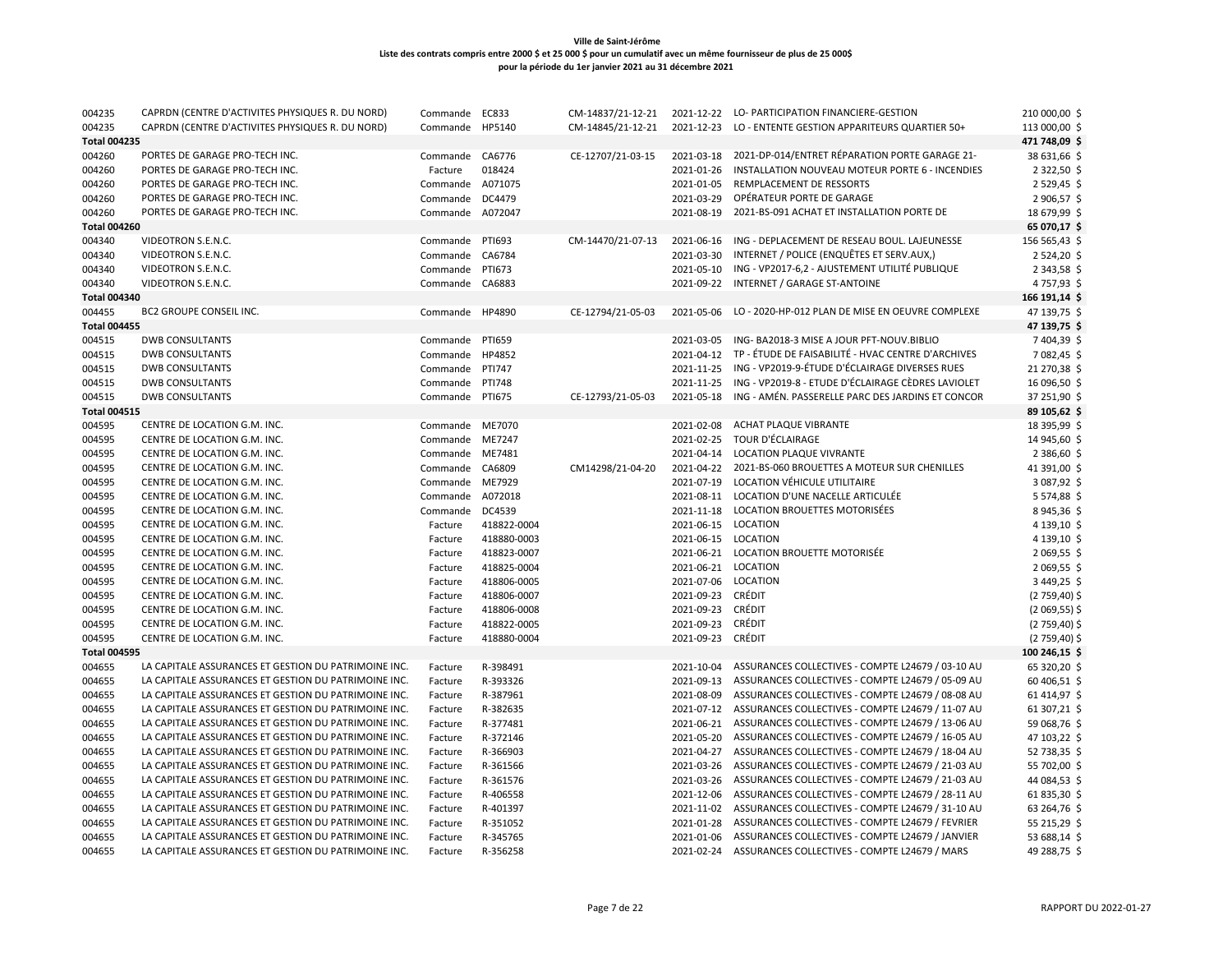| 004235              | CAPRDN (CENTRE D'ACTIVITES PHYSIQUES R. DU NORD)     | Commande        | EC833         | CM-14837/21-12-21 | 2021-12-22 | LO- PARTICIPATION FINANCIERE-GESTION                         | 210 000,00 \$  |
|---------------------|------------------------------------------------------|-----------------|---------------|-------------------|------------|--------------------------------------------------------------|----------------|
| 004235              | CAPRDN (CENTRE D'ACTIVITES PHYSIQUES R. DU NORD)     | Commande        | HP5140        | CM-14845/21-12-21 | 2021-12-23 | LO - ENTENTE GESTION APPARITEURS QUARTIER 50+                | 113 000,00 \$  |
| <b>Total 004235</b> |                                                      |                 |               |                   |            |                                                              | 471 748,09 \$  |
| 004260              | PORTES DE GARAGE PRO-TECH INC.                       | Commande CA6776 |               | CE-12707/21-03-15 | 2021-03-18 | 2021-DP-014/ENTRET RÉPARATION PORTE GARAGE 21-               | 38 631,66 \$   |
| 004260              | PORTES DE GARAGE PRO-TECH INC.                       | Facture         | 018424        |                   | 2021-01-26 | INSTALLATION NOUVEAU MOTEUR PORTE 6 - INCENDIES              | 2 322,50 \$    |
| 004260              | PORTES DE GARAGE PRO-TECH INC.                       | Commande        | A071075       |                   | 2021-01-05 | REMPLACEMENT DE RESSORTS                                     | 2529,45\$      |
| 004260              | PORTES DE GARAGE PRO-TECH INC.                       | Commande        | DC4479        |                   | 2021-03-29 | OPÉRATEUR PORTE DE GARAGE                                    | 2 906,57 \$    |
| 004260              | PORTES DE GARAGE PRO-TECH INC.                       | Commande        | A072047       |                   | 2021-08-19 | 2021-BS-091 ACHAT ET INSTALLATION PORTE DE                   | 18 679,99 \$   |
| <b>Total 004260</b> |                                                      |                 |               |                   |            |                                                              | 65 070,17 \$   |
| 004340              | VIDEOTRON S.E.N.C.                                   | Commande        | PTI693        | CM-14470/21-07-13 | 2021-06-16 | ING - DEPLACEMENT DE RESEAU BOUL. LAJEUNESSE                 | 156 565,43 \$  |
| 004340              | VIDEOTRON S.E.N.C.                                   | Commande        | CA6784        |                   | 2021-03-30 | INTERNET / POLICE (ENQUÊTES ET SERV.AUX,)                    | 2 524,20 \$    |
| 004340              | VIDEOTRON S.E.N.C.                                   | Commande        | PTI673        |                   | 2021-05-10 | ING - VP2017-6,2 - AJUSTEMENT UTILITÉ PUBLIQUE               | 2 343,58 \$    |
| 004340              | VIDEOTRON S.E.N.C.                                   | Commande        | CA6883        |                   | 2021-09-22 | INTERNET / GARAGE ST-ANTOINE                                 | 4757,93\$      |
| <b>Total 004340</b> |                                                      |                 |               |                   |            |                                                              | 166 191,14 \$  |
| 004455              | BC2 GROUPE CONSEIL INC.                              | Commande        | HP4890        | CE-12794/21-05-03 | 2021-05-06 | LO - 2020-HP-012 PLAN DE MISE EN OEUVRE COMPLEXE             | 47 139,75 \$   |
| <b>Total 004455</b> |                                                      |                 |               |                   |            |                                                              | 47 139,75 \$   |
| 004515              | <b>DWB CONSULTANTS</b>                               | Commande        | <b>PTI659</b> |                   | 2021-03-05 | ING-BA2018-3 MISE A JOUR PFT-NOUV.BIBLIO                     | 7404,39\$      |
| 004515              | <b>DWB CONSULTANTS</b>                               | Commande        | HP4852        |                   | 2021-04-12 | TP - ÉTUDE DE FAISABILITÉ - HVAC CENTRE D'ARCHIVES           | 7 082,45 \$    |
| 004515              | <b>DWB CONSULTANTS</b>                               | Commande        | <b>PTI747</b> |                   | 2021-11-25 | ING - VP2019-9-ÉTUDE D'ÉCLAIRAGE DIVERSES RUES               | 21 270,38 \$   |
| 004515              | <b>DWB CONSULTANTS</b>                               | Commande        | <b>PTI748</b> |                   | 2021-11-25 | ING - VP2019-8 - ETUDE D'ÉCLAIRAGE CÈDRES LAVIOLET           | 16 096,50 \$   |
| 004515              | <b>DWB CONSULTANTS</b>                               | Commande        | <b>PTI675</b> | CE-12793/21-05-03 | 2021-05-18 | ING - AMÉN. PASSERELLE PARC DES JARDINS ET CONCOR            | 37 251,90 \$   |
| <b>Total 004515</b> |                                                      |                 |               |                   |            |                                                              | 89 105,62 \$   |
| 004595              | CENTRE DE LOCATION G.M. INC.                         | Commande ME7070 |               |                   | 2021-02-08 | ACHAT PLAQUE VIBRANTE                                        | 18 395,99 \$   |
| 004595              | CENTRE DE LOCATION G.M. INC.                         | Commande        | ME7247        |                   | 2021-02-25 | TOUR D'ÉCLAIRAGE                                             | 14 945,60 \$   |
| 004595              | CENTRE DE LOCATION G.M. INC.                         | Commande        | ME7481        |                   | 2021-04-14 | LOCATION PLAQUE VIVRANTE                                     | 2 386,60 \$    |
| 004595              | CENTRE DE LOCATION G.M. INC.                         | Commande        | CA6809        | CM14298/21-04-20  | 2021-04-22 | 2021-BS-060 BROUETTES A MOTEUR SUR CHENILLES                 | 41 391,00 \$   |
| 004595              | CENTRE DE LOCATION G.M. INC.                         | Commande ME7929 |               |                   | 2021-07-19 | LOCATION VÉHICULE UTILITAIRE                                 | 3 087,92 \$    |
| 004595              | CENTRE DE LOCATION G.M. INC.                         | Commande        | A072018       |                   | 2021-08-11 | LOCATION D'UNE NACELLE ARTICULÉE                             | 5574,88\$      |
| 004595              | CENTRE DE LOCATION G.M. INC.                         | Commande        | DC4539        |                   | 2021-11-18 | LOCATION BROUETTES MOTORISÉES                                | 8945,36\$      |
| 004595              | CENTRE DE LOCATION G.M. INC.                         | Facture         | 418822-0004   |                   | 2021-06-15 | LOCATION                                                     | 4 139,10 \$    |
| 004595              | CENTRE DE LOCATION G.M. INC.                         | Facture         | 418880-0003   |                   | 2021-06-15 | LOCATION                                                     | 4 139,10 \$    |
| 004595              | CENTRE DE LOCATION G.M. INC.                         | Facture         | 418823-0007   |                   |            | 2021-06-21 LOCATION BROUETTE MOTORISÉE                       | 2 069,55 \$    |
| 004595              | CENTRE DE LOCATION G.M. INC.                         | Facture         | 418825-0004   |                   | 2021-06-21 | LOCATION                                                     | 2 069,55 \$    |
| 004595              | CENTRE DE LOCATION G.M. INC.                         | Facture         | 418806-0005   |                   | 2021-07-06 | LOCATION                                                     | 3 449,25 \$    |
| 004595              | CENTRE DE LOCATION G.M. INC.                         | Facture         | 418806-0007   |                   | 2021-09-23 | CRÉDIT                                                       | $(2759,40)$ \$ |
| 004595              | CENTRE DE LOCATION G.M. INC.                         | Facture         | 418806-0008   |                   | 2021-09-23 | CRÉDIT                                                       | $(2069,55)$ \$ |
| 004595              | CENTRE DE LOCATION G.M. INC.                         | Facture         | 418822-0005   |                   | 2021-09-23 | CRÉDIT                                                       | (2 759,40) \$  |
| 004595              | CENTRE DE LOCATION G.M. INC.                         | Facture         | 418880-0004   |                   | 2021-09-23 | CRÉDIT                                                       | $(2759,40)$ \$ |
| <b>Total 004595</b> |                                                      |                 |               |                   |            |                                                              | 100 246,15 \$  |
| 004655              | LA CAPITALE ASSURANCES ET GESTION DU PATRIMOINE INC. | Facture         | R-398491      |                   | 2021-10-04 | ASSURANCES COLLECTIVES - COMPTE L24679 / 03-10 AU            | 65 320,20 \$   |
| 004655              | LA CAPITALE ASSURANCES ET GESTION DU PATRIMOINE INC. | Facture         | R-393326      |                   | 2021-09-13 | ASSURANCES COLLECTIVES - COMPTE L24679 / 05-09 AU            | 60 406,51 \$   |
| 004655              | LA CAPITALE ASSURANCES ET GESTION DU PATRIMOINE INC. | Facture         | R-387961      |                   | 2021-08-09 | ASSURANCES COLLECTIVES - COMPTE L24679 / 08-08 AU            | 61414,97\$     |
| 004655              | LA CAPITALE ASSURANCES ET GESTION DU PATRIMOINE INC. | Facture         | R-382635      |                   | 2021-07-12 | ASSURANCES COLLECTIVES - COMPTE L24679 / 11-07 AU            | 61 307,21 \$   |
| 004655              | LA CAPITALE ASSURANCES ET GESTION DU PATRIMOINE INC. | Facture         | R-377481      |                   | 2021-06-21 | ASSURANCES COLLECTIVES - COMPTE L24679 / 13-06 AU            | 59 068,76 \$   |
| 004655              | LA CAPITALE ASSURANCES ET GESTION DU PATRIMOINE INC. | Facture         | R-372146      |                   | 2021-05-20 | ASSURANCES COLLECTIVES - COMPTE L24679 / 16-05 AU            | 47 103,22 \$   |
| 004655              | LA CAPITALE ASSURANCES ET GESTION DU PATRIMOINE INC. | Facture         | R-366903      |                   | 2021-04-27 | ASSURANCES COLLECTIVES - COMPTE L24679 / 18-04 AU            | 52 738,35 \$   |
| 004655              | LA CAPITALE ASSURANCES ET GESTION DU PATRIMOINE INC. | Facture         | R-361566      |                   | 2021-03-26 | ASSURANCES COLLECTIVES - COMPTE L24679 / 21-03 AU            | 55 702,00 \$   |
| 004655              | LA CAPITALE ASSURANCES ET GESTION DU PATRIMOINE INC. | Facture         | R-361576      |                   | 2021-03-26 | ASSURANCES COLLECTIVES - COMPTE L24679 / 21-03 AU            | 44 084,53 \$   |
| 004655              | LA CAPITALE ASSURANCES ET GESTION DU PATRIMOINE INC. | Facture         | R-406558      |                   | 2021-12-06 | ASSURANCES COLLECTIVES - COMPTE L24679 / 28-11 AU            | 61835,30\$     |
| 004655              | LA CAPITALE ASSURANCES ET GESTION DU PATRIMOINE INC. | Facture         | R-401397      |                   |            | 2021-11-02 ASSURANCES COLLECTIVES - COMPTE L24679 / 31-10 AU | 63 264,76 \$   |
| 004655              | LA CAPITALE ASSURANCES ET GESTION DU PATRIMOINE INC. | Facture         | R-351052      |                   | 2021-01-28 | ASSURANCES COLLECTIVES - COMPTE L24679 / FEVRIER             | 55 215,29 \$   |
| 004655              | LA CAPITALE ASSURANCES ET GESTION DU PATRIMOINE INC. | Facture         | R-345765      |                   | 2021-01-06 | ASSURANCES COLLECTIVES - COMPTE L24679 / JANVIER             | 53 688,14 \$   |
| 004655              | LA CAPITALE ASSURANCES ET GESTION DU PATRIMOINE INC. | Facture         | R-356258      |                   | 2021-02-24 | ASSURANCES COLLECTIVES - COMPTE L24679 / MARS                | 49 288,75 \$   |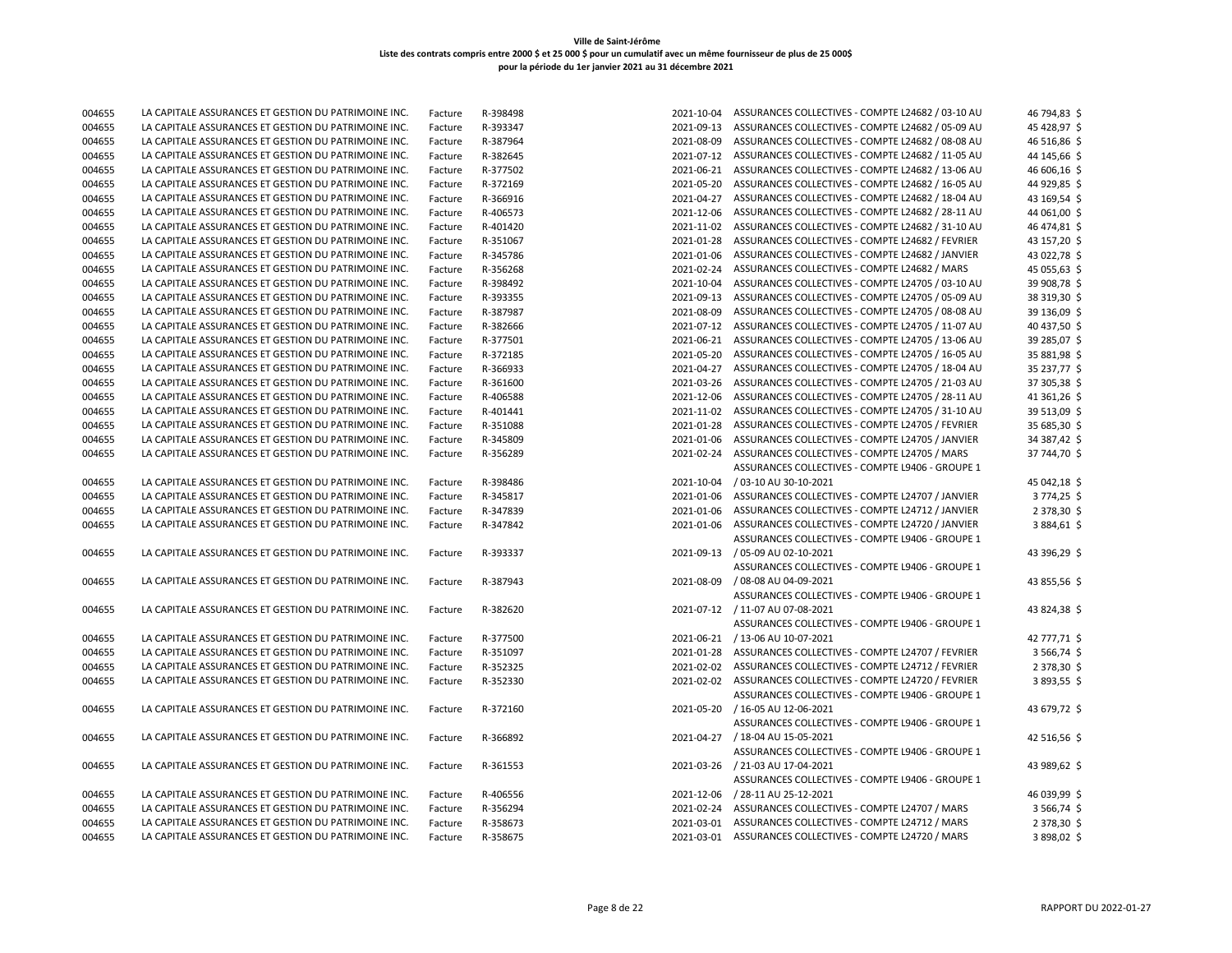| 004655 | LA CAPITALE ASSURANCES ET GESTION DU PATRIMOINE INC. | Facture | R-398498 | 2021-10-04 | ASSURANCES COLLECTIVES - COMPTE L24682 / 03-10 AU            | 46 794,83 \$ |
|--------|------------------------------------------------------|---------|----------|------------|--------------------------------------------------------------|--------------|
| 004655 | LA CAPITALE ASSURANCES ET GESTION DU PATRIMOINE INC. | Facture | R-393347 | 2021-09-13 | ASSURANCES COLLECTIVES - COMPTE L24682 / 05-09 AU            | 45 428,97 \$ |
| 004655 | LA CAPITALE ASSURANCES ET GESTION DU PATRIMOINE INC. | Facture | R-387964 | 2021-08-09 | ASSURANCES COLLECTIVES - COMPTE L24682 / 08-08 AU            | 46 516,86 \$ |
| 004655 | LA CAPITALE ASSURANCES ET GESTION DU PATRIMOINE INC. | Facture | R-382645 | 2021-07-12 | ASSURANCES COLLECTIVES - COMPTE L24682 / 11-05 AU            | 44 145,66 \$ |
| 004655 | LA CAPITALE ASSURANCES ET GESTION DU PATRIMOINE INC. | Facture | R-377502 | 2021-06-21 | ASSURANCES COLLECTIVES - COMPTE L24682 / 13-06 AU            | 46 606,16 \$ |
| 004655 | LA CAPITALE ASSURANCES ET GESTION DU PATRIMOINE INC. | Facture | R-372169 | 2021-05-20 | ASSURANCES COLLECTIVES - COMPTE L24682 / 16-05 AU            | 44 929,85 \$ |
| 004655 | LA CAPITALE ASSURANCES ET GESTION DU PATRIMOINE INC. | Facture | R-366916 |            | 2021-04-27 ASSURANCES COLLECTIVES - COMPTE L24682 / 18-04 AU | 43 169,54 \$ |
| 004655 | LA CAPITALE ASSURANCES ET GESTION DU PATRIMOINE INC. | Facture | R-406573 | 2021-12-06 | ASSURANCES COLLECTIVES - COMPTE L24682 / 28-11 AU            | 44 061,00 \$ |
| 004655 | LA CAPITALE ASSURANCES ET GESTION DU PATRIMOINE INC. | Facture | R-401420 | 2021-11-02 | ASSURANCES COLLECTIVES - COMPTE L24682 / 31-10 AU            | 46 474,81 \$ |
| 004655 | LA CAPITALE ASSURANCES ET GESTION DU PATRIMOINE INC. | Facture | R-351067 | 2021-01-28 | ASSURANCES COLLECTIVES - COMPTE L24682 / FEVRIER             | 43 157,20 \$ |
| 004655 | LA CAPITALE ASSURANCES ET GESTION DU PATRIMOINE INC. | Facture | R-345786 | 2021-01-06 | ASSURANCES COLLECTIVES - COMPTE L24682 / JANVIER             | 43 022,78 \$ |
| 004655 | LA CAPITALE ASSURANCES ET GESTION DU PATRIMOINE INC. | Facture | R-356268 | 2021-02-24 | ASSURANCES COLLECTIVES - COMPTE L24682 / MARS                | 45 055,63 \$ |
| 004655 | LA CAPITALE ASSURANCES ET GESTION DU PATRIMOINE INC. | Facture | R-398492 | 2021-10-04 | ASSURANCES COLLECTIVES - COMPTE L24705 / 03-10 AU            | 39 908,78 \$ |
| 004655 | LA CAPITALE ASSURANCES ET GESTION DU PATRIMOINE INC. | Facture | R-393355 | 2021-09-13 | ASSURANCES COLLECTIVES - COMPTE L24705 / 05-09 AU            | 38 319,30 \$ |
| 004655 | LA CAPITALE ASSURANCES ET GESTION DU PATRIMOINE INC. | Facture | R-387987 | 2021-08-09 | ASSURANCES COLLECTIVES - COMPTE L24705 / 08-08 AU            | 39 136,09 \$ |
| 004655 | LA CAPITALE ASSURANCES ET GESTION DU PATRIMOINE INC. | Facture | R-382666 | 2021-07-12 | ASSURANCES COLLECTIVES - COMPTE L24705 / 11-07 AU            | 40 437,50 \$ |
| 004655 | LA CAPITALE ASSURANCES ET GESTION DU PATRIMOINE INC. | Facture | R-377501 |            | 2021-06-21 ASSURANCES COLLECTIVES - COMPTE L24705 / 13-06 AU | 39 285,07 \$ |
| 004655 | LA CAPITALE ASSURANCES ET GESTION DU PATRIMOINE INC. | Facture | R-372185 | 2021-05-20 | ASSURANCES COLLECTIVES - COMPTE L24705 / 16-05 AU            | 35 881,98 \$ |
| 004655 | LA CAPITALE ASSURANCES ET GESTION DU PATRIMOINE INC. | Facture | R-366933 | 2021-04-27 | ASSURANCES COLLECTIVES - COMPTE L24705 / 18-04 AU            | 35 237,77 \$ |
| 004655 | LA CAPITALE ASSURANCES ET GESTION DU PATRIMOINE INC. | Facture | R-361600 | 2021-03-26 | ASSURANCES COLLECTIVES - COMPTE L24705 / 21-03 AU            | 37 305,38 \$ |
| 004655 | LA CAPITALE ASSURANCES ET GESTION DU PATRIMOINE INC. | Facture | R-406588 | 2021-12-06 | ASSURANCES COLLECTIVES - COMPTE L24705 / 28-11 AU            | 41 361,26 \$ |
| 004655 | LA CAPITALE ASSURANCES ET GESTION DU PATRIMOINE INC. | Facture | R-401441 | 2021-11-02 | ASSURANCES COLLECTIVES - COMPTE L24705 / 31-10 AU            | 39 513,09 \$ |
| 004655 | LA CAPITALE ASSURANCES ET GESTION DU PATRIMOINE INC. | Facture | R-351088 | 2021-01-28 | ASSURANCES COLLECTIVES - COMPTE L24705 / FEVRIER             | 35 685,30 \$ |
| 004655 | LA CAPITALE ASSURANCES ET GESTION DU PATRIMOINE INC. | Facture | R-345809 | 2021-01-06 | ASSURANCES COLLECTIVES - COMPTE L24705 / JANVIER             | 34 387,42 \$ |
| 004655 | LA CAPITALE ASSURANCES ET GESTION DU PATRIMOINE INC. | Facture | R-356289 | 2021-02-24 | ASSURANCES COLLECTIVES - COMPTE L24705 / MARS                | 37 744,70 \$ |
|        |                                                      |         |          |            | ASSURANCES COLLECTIVES - COMPTE L9406 - GROUPE 1             |              |
| 004655 | LA CAPITALE ASSURANCES ET GESTION DU PATRIMOINE INC. | Facture | R-398486 | 2021-10-04 | / 03-10 AU 30-10-2021                                        | 45 042,18 \$ |
| 004655 | LA CAPITALE ASSURANCES ET GESTION DU PATRIMOINE INC. | Facture | R-345817 | 2021-01-06 | ASSURANCES COLLECTIVES - COMPTE L24707 / JANVIER             | 3774,25 \$   |
| 004655 | LA CAPITALE ASSURANCES ET GESTION DU PATRIMOINE INC. | Facture | R-347839 | 2021-01-06 | ASSURANCES COLLECTIVES - COMPTE L24712 / JANVIER             | 2 378,30 \$  |
| 004655 | LA CAPITALE ASSURANCES ET GESTION DU PATRIMOINE INC. | Facture | R-347842 | 2021-01-06 | ASSURANCES COLLECTIVES - COMPTE L24720 / JANVIER             | 3884,61\$    |
|        |                                                      |         |          |            | ASSURANCES COLLECTIVES - COMPTE L9406 - GROUPE 1             |              |
| 004655 | LA CAPITALE ASSURANCES ET GESTION DU PATRIMOINE INC. | Facture | R-393337 |            | 2021-09-13 / 05-09 AU 02-10-2021                             | 43 396,29 \$ |
|        |                                                      |         |          |            | ASSURANCES COLLECTIVES - COMPTE L9406 - GROUPE 1             |              |
| 004655 | LA CAPITALE ASSURANCES ET GESTION DU PATRIMOINE INC. | Facture | R-387943 | 2021-08-09 | / 08-08 AU 04-09-2021                                        | 43 855,56 \$ |
|        |                                                      |         |          |            | ASSURANCES COLLECTIVES - COMPTE L9406 - GROUPE 1             |              |
| 004655 | LA CAPITALE ASSURANCES ET GESTION DU PATRIMOINE INC. | Facture | R-382620 |            | 2021-07-12 / 11-07 AU 07-08-2021                             | 43 824,38 \$ |
|        |                                                      |         |          |            | ASSURANCES COLLECTIVES - COMPTE L9406 - GROUPE 1             |              |
| 004655 | LA CAPITALE ASSURANCES ET GESTION DU PATRIMOINE INC. | Facture | R-377500 |            | 2021-06-21 / 13-06 AU 10-07-2021                             | 42 777,71 \$ |
| 004655 | LA CAPITALE ASSURANCES ET GESTION DU PATRIMOINE INC. | Facture | R-351097 |            | 2021-01-28 ASSURANCES COLLECTIVES - COMPTE L24707 / FEVRIER  | 3 566,74 \$  |
| 004655 | LA CAPITALE ASSURANCES ET GESTION DU PATRIMOINE INC. | Facture | R-352325 |            | 2021-02-02 ASSURANCES COLLECTIVES - COMPTE L24712 / FEVRIER  | 2 378,30 \$  |
| 004655 | LA CAPITALE ASSURANCES ET GESTION DU PATRIMOINE INC. | Facture | R-352330 |            | 2021-02-02 ASSURANCES COLLECTIVES - COMPTE L24720 / FEVRIER  | 3893,55\$    |
|        |                                                      |         |          |            | ASSURANCES COLLECTIVES - COMPTE L9406 - GROUPE 1             |              |
| 004655 | LA CAPITALE ASSURANCES ET GESTION DU PATRIMOINE INC. | Facture | R-372160 | 2021-05-20 | / 16-05 AU 12-06-2021                                        | 43 679,72 \$ |
|        |                                                      |         |          |            | ASSURANCES COLLECTIVES - COMPTE L9406 - GROUPE 1             |              |
| 004655 | LA CAPITALE ASSURANCES ET GESTION DU PATRIMOINE INC. | Facture | R-366892 | 2021-04-27 | / 18-04 AU 15-05-2021                                        | 42 516,56 \$ |
|        |                                                      |         |          |            | ASSURANCES COLLECTIVES - COMPTE L9406 - GROUPE 1             |              |
| 004655 | LA CAPITALE ASSURANCES ET GESTION DU PATRIMOINE INC. | Facture | R-361553 |            | 2021-03-26 / 21-03 AU 17-04-2021                             | 43 989,62 \$ |
|        |                                                      |         |          |            | ASSURANCES COLLECTIVES - COMPTE L9406 - GROUPE 1             |              |
| 004655 | LA CAPITALE ASSURANCES ET GESTION DU PATRIMOINE INC. | Facture | R-406556 |            | 2021-12-06 / 28-11 AU 25-12-2021                             | 46 039,99 \$ |
| 004655 | LA CAPITALE ASSURANCES ET GESTION DU PATRIMOINE INC. | Facture | R-356294 |            | 2021-02-24 ASSURANCES COLLECTIVES - COMPTE L24707 / MARS     | 3 566,74 \$  |
| 004655 | LA CAPITALE ASSURANCES ET GESTION DU PATRIMOINE INC. | Facture | R-358673 |            | 2021-03-01 ASSURANCES COLLECTIVES - COMPTE L24712 / MARS     | 2 378,30 \$  |
| 004655 | LA CAPITALE ASSURANCES ET GESTION DU PATRIMOINE INC. | Facture | R-358675 |            | 2021-03-01 ASSURANCES COLLECTIVES - COMPTE L24720 / MARS     | 3898,02\$    |
|        |                                                      |         |          |            |                                                              |              |

| 2021-10-04 | ASSURANCES COLLECTIVES - COMPTE L24682 / 03-10 AU | 46 794,83 \$ |
|------------|---------------------------------------------------|--------------|
| 2021-09-13 | ASSURANCES COLLECTIVES - COMPTE L24682 / 05-09 AU | 45 428,97 \$ |
| 2021-08-09 | ASSURANCES COLLECTIVES - COMPTE L24682 / 08-08 AU | 46 516,86 \$ |
| 2021-07-12 | ASSURANCES COLLECTIVES - COMPTE L24682 / 11-05 AU | 44 145,66 \$ |
| 2021-06-21 | ASSURANCES COLLECTIVES - COMPTE L24682 / 13-06 AU | 46 606,16 \$ |
| 2021-05-20 | ASSURANCES COLLECTIVES - COMPTE L24682 / 16-05 AU | 44 929,85 \$ |
| 2021-04-27 | ASSURANCES COLLECTIVES - COMPTE L24682 / 18-04 AU | 43 169,54 \$ |
| 2021-12-06 | ASSURANCES COLLECTIVES - COMPTE L24682 / 28-11 AU | 44 061,00 \$ |
| 2021-11-02 | ASSURANCES COLLECTIVES - COMPTE L24682 / 31-10 AU | 46 474,81 \$ |
| 2021-01-28 | ASSURANCES COLLECTIVES - COMPTE L24682 / FEVRIER  | 43 157,20 \$ |
| 2021-01-06 | ASSURANCES COLLECTIVES - COMPTE L24682 / JANVIER  | 43 022,78 \$ |
| 2021-02-24 | ASSURANCES COLLECTIVES - COMPTE L24682 / MARS     | 45 055,63 \$ |
| 2021-10-04 | ASSURANCES COLLECTIVES - COMPTE L24705 / 03-10 AU | 39 908,78 \$ |
| 2021-09-13 | ASSURANCES COLLECTIVES - COMPTE L24705 / 05-09 AU | 38 319,30 \$ |
| 2021-08-09 | ASSURANCES COLLECTIVES - COMPTE L24705 / 08-08 AU | 39 136,09 \$ |
| 2021-07-12 | ASSURANCES COLLECTIVES - COMPTE L24705 / 11-07 AU | 40 437,50 \$ |
| 2021-06-21 | ASSURANCES COLLECTIVES - COMPTE L24705 / 13-06 AU | 39 285,07 \$ |
| 2021-05-20 | ASSURANCES COLLECTIVES - COMPTE L24705 / 16-05 AU | 35 881,98 \$ |
| 2021-04-27 | ASSURANCES COLLECTIVES - COMPTE L24705 / 18-04 AU | 35 237,77 \$ |
| 2021-03-26 | ASSURANCES COLLECTIVES - COMPTE L24705 / 21-03 AU | 37 305,38 \$ |
| 2021-12-06 | ASSURANCES COLLECTIVES - COMPTE L24705 / 28-11 AU | 41 361,26 \$ |
| 2021-11-02 | ASSURANCES COLLECTIVES - COMPTE L24705 / 31-10 AU | 39 513,09 \$ |
| 2021-01-28 | ASSURANCES COLLECTIVES - COMPTE L24705 / FEVRIER  | 35 685,30 \$ |
| 2021-01-06 | ASSURANCES COLLECTIVES - COMPTE L24705 / JANVIER  | 34 387,42 \$ |
| 2021-02-24 | ASSURANCES COLLECTIVES - COMPTE L24705 / MARS     | 37 744,70 \$ |
|            | ASSURANCES COLLECTIVES - COMPTE L9406 - GROUPE 1  |              |
| 2021-10-04 | / 03-10 AU 30-10-2021                             | 45 042,18 \$ |
| 2021-01-06 | ASSURANCES COLLECTIVES - COMPTE L24707 / JANVIER  | 3774,25\$    |
| 2021-01-06 | ASSURANCES COLLECTIVES - COMPTE L24712 / JANVIER  | 2 378,30 \$  |
| 2021-01-06 | ASSURANCES COLLECTIVES - COMPTE L24720 / JANVIER  | 3884,61\$    |
|            | ASSURANCES COLLECTIVES - COMPTE L9406 - GROUPE 1  |              |
| 2021-09-13 | / 05-09 AU 02-10-2021                             | 43 396,29 \$ |
|            | ASSURANCES COLLECTIVES - COMPTE L9406 - GROUPE 1  |              |
| 2021-08-09 | / 08-08 AU 04-09-2021                             | 43 855,56 \$ |
|            | ASSURANCES COLLECTIVES - COMPTE L9406 - GROUPE 1  |              |
| 2021-07-12 | / 11-07 AU 07-08-2021                             | 43 824,38 \$ |
|            | ASSURANCES COLLECTIVES - COMPTE L9406 - GROUPE 1  |              |
| 2021-06-21 | / 13-06 AU 10-07-2021                             | 42 777,71 \$ |
| 2021-01-28 | ASSURANCES COLLECTIVES - COMPTE L24707 / FEVRIER  | 3 566,74 \$  |
| 2021-02-02 | ASSURANCES COLLECTIVES - COMPTE L24712 / FEVRIER  | 2 378,30 \$  |
| 2021-02-02 | ASSURANCES COLLECTIVES - COMPTE L24720 / FEVRIER  | 3893,55\$    |
|            | ASSURANCES COLLECTIVES - COMPTE L9406 - GROUPE 1  |              |
| 2021-05-20 | / 16-05 AU 12-06-2021                             | 43 679,72 \$ |
|            | ASSURANCES COLLECTIVES - COMPTE L9406 - GROUPE 1  |              |
| 2021-04-27 | / 18-04 AU 15-05-2021                             | 42 516,56 \$ |
|            | ASSURANCES COLLECTIVES - COMPTE L9406 - GROUPE 1  |              |
| 2021-03-26 | / 21-03 AU 17-04-2021                             | 43 989,62 \$ |
|            | ASSURANCES COLLECTIVES - COMPTE L9406 - GROUPE 1  |              |
| 2021-12-06 | / 28-11 AU 25-12-2021                             | 46 039,99 \$ |
| 2021-02-24 | ASSURANCES COLLECTIVES - COMPTE L24707 / MARS     | 3 566,74 \$  |
| 2021-03-01 | ASSURANCES COLLECTIVES - COMPTE L24712 / MARS     | 2 378,30 \$  |
| 2021-03-01 | ASSURANCES COLLECTIVES - COMPTE L24720 / MARS     | 3898,02\$    |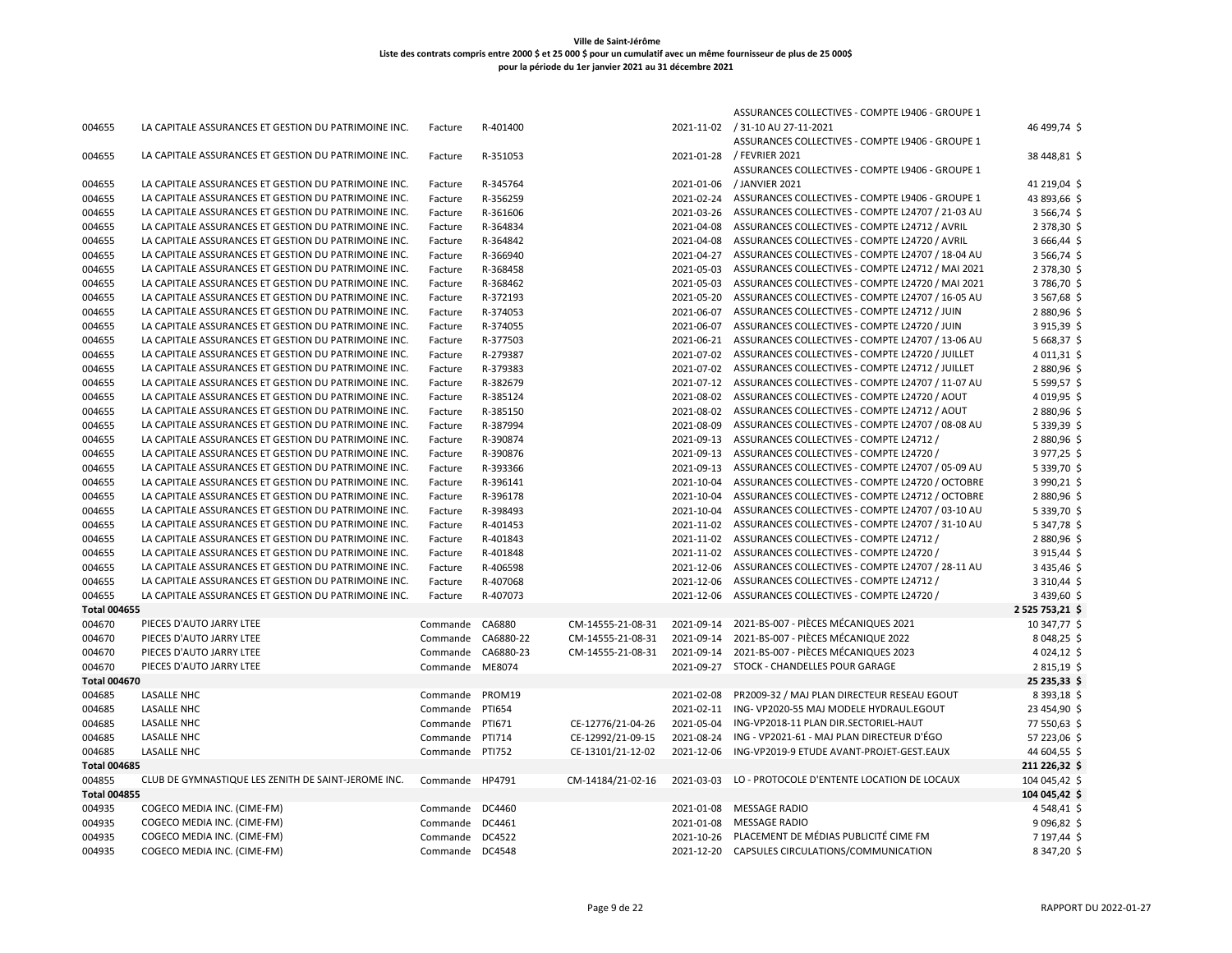|                               |                                                      |                                    |               |                   |            | ASSURANCES COLLECTIVES - COMPTE L9406 - GROUPE 1             |                                |
|-------------------------------|------------------------------------------------------|------------------------------------|---------------|-------------------|------------|--------------------------------------------------------------|--------------------------------|
| 004655                        | LA CAPITALE ASSURANCES ET GESTION DU PATRIMOINE INC. | Facture                            | R-401400      |                   |            | 2021-11-02 / 31-10 AU 27-11-2021                             | 46 499,74 \$                   |
|                               |                                                      |                                    |               |                   |            | ASSURANCES COLLECTIVES - COMPTE L9406 - GROUPE 1             |                                |
| 004655                        | LA CAPITALE ASSURANCES ET GESTION DU PATRIMOINE INC. | Facture                            | R-351053      |                   |            | 2021-01-28 / FEVRIER 2021                                    | 38 448,81 \$                   |
|                               |                                                      |                                    |               |                   |            | ASSURANCES COLLECTIVES - COMPTE L9406 - GROUPE 1             |                                |
| 004655                        | LA CAPITALE ASSURANCES ET GESTION DU PATRIMOINE INC. | Facture                            | R-345764      |                   | 2021-01-06 | / JANVIER 2021                                               | 41 219,04 \$                   |
| 004655                        | LA CAPITALE ASSURANCES ET GESTION DU PATRIMOINE INC. | Facture                            | R-356259      |                   | 2021-02-24 | ASSURANCES COLLECTIVES - COMPTE L9406 - GROUPE 1             | 43 893,66 \$                   |
| 004655                        | LA CAPITALE ASSURANCES ET GESTION DU PATRIMOINE INC. | Facture                            | R-361606      |                   |            | 2021-03-26 ASSURANCES COLLECTIVES - COMPTE L24707 / 21-03 AU | 3 566,74 \$                    |
| 004655                        | LA CAPITALE ASSURANCES ET GESTION DU PATRIMOINE INC. | Facture                            | R-364834      |                   | 2021-04-08 | ASSURANCES COLLECTIVES - COMPTE L24712 / AVRIL               | 2 378,30 \$                    |
| 004655                        | LA CAPITALE ASSURANCES ET GESTION DU PATRIMOINE INC. | Facture                            | R-364842      |                   |            | 2021-04-08 ASSURANCES COLLECTIVES - COMPTE L24720 / AVRIL    | 3 666,44 \$                    |
| 004655                        | LA CAPITALE ASSURANCES ET GESTION DU PATRIMOINE INC. | Facture                            | R-366940      |                   | 2021-04-27 | ASSURANCES COLLECTIVES - COMPTE L24707 / 18-04 AU            | 3 566,74 \$                    |
| 004655                        | LA CAPITALE ASSURANCES ET GESTION DU PATRIMOINE INC. | Facture                            | R-368458      |                   | 2021-05-03 | ASSURANCES COLLECTIVES - COMPTE L24712 / MAI 2021            | 2 378,30 \$                    |
| 004655                        | LA CAPITALE ASSURANCES ET GESTION DU PATRIMOINE INC. | Facture                            | R-368462      |                   | 2021-05-03 | ASSURANCES COLLECTIVES - COMPTE L24720 / MAI 2021            | 3786,70\$                      |
| 004655                        | LA CAPITALE ASSURANCES ET GESTION DU PATRIMOINE INC. | Facture                            | R-372193      |                   | 2021-05-20 | ASSURANCES COLLECTIVES - COMPTE L24707 / 16-05 AU            | 3 567,68 \$                    |
| 004655                        | LA CAPITALE ASSURANCES ET GESTION DU PATRIMOINE INC. | Facture                            | R-374053      |                   | 2021-06-07 | ASSURANCES COLLECTIVES - COMPTE L24712 / JUIN                | 2880,96 \$                     |
| 004655                        | LA CAPITALE ASSURANCES ET GESTION DU PATRIMOINE INC. | Facture                            | R-374055      |                   | 2021-06-07 | ASSURANCES COLLECTIVES - COMPTE L24720 / JUIN                | 3915,39\$                      |
| 004655                        | LA CAPITALE ASSURANCES ET GESTION DU PATRIMOINE INC. | Facture                            | R-377503      |                   | 2021-06-21 | ASSURANCES COLLECTIVES - COMPTE L24707 / 13-06 AU            | 5 668,37 \$                    |
| 004655                        | LA CAPITALE ASSURANCES ET GESTION DU PATRIMOINE INC. | Facture                            | R-279387      |                   | 2021-07-02 | ASSURANCES COLLECTIVES - COMPTE L24720 / JUILLET             | $4011,31$ \$                   |
| 004655                        | LA CAPITALE ASSURANCES ET GESTION DU PATRIMOINE INC. | Facture                            | R-379383      |                   | 2021-07-02 | ASSURANCES COLLECTIVES - COMPTE L24712 / JUILLET             | 2880,96 \$                     |
| 004655                        | LA CAPITALE ASSURANCES ET GESTION DU PATRIMOINE INC. | Facture                            | R-382679      |                   | 2021-07-12 | ASSURANCES COLLECTIVES - COMPTE L24707 / 11-07 AU            | 5 599,57 \$                    |
| 004655                        | LA CAPITALE ASSURANCES ET GESTION DU PATRIMOINE INC. | Facture                            | R-385124      |                   | 2021-08-02 | ASSURANCES COLLECTIVES - COMPTE L24720 / AOUT                | 4019,95\$                      |
| 004655                        | LA CAPITALE ASSURANCES ET GESTION DU PATRIMOINE INC. | Facture                            | R-385150      |                   | 2021-08-02 | ASSURANCES COLLECTIVES - COMPTE L24712 / AOUT                | 2880,96\$                      |
| 004655                        | LA CAPITALE ASSURANCES ET GESTION DU PATRIMOINE INC. | Facture                            | R-387994      |                   | 2021-08-09 | ASSURANCES COLLECTIVES - COMPTE L24707 / 08-08 AU            | 5 339,39 \$                    |
| 004655                        | LA CAPITALE ASSURANCES ET GESTION DU PATRIMOINE INC. | Facture                            | R-390874      |                   | 2021-09-13 | ASSURANCES COLLECTIVES - COMPTE L24712 /                     | 2880,96 \$                     |
| 004655                        | LA CAPITALE ASSURANCES ET GESTION DU PATRIMOINE INC. | Facture                            | R-390876      |                   |            | 2021-09-13 ASSURANCES COLLECTIVES - COMPTE L24720 /          | 3977,25\$                      |
| 004655                        | LA CAPITALE ASSURANCES ET GESTION DU PATRIMOINE INC. | Facture                            | R-393366      |                   |            | 2021-09-13 ASSURANCES COLLECTIVES - COMPTE L24707 / 05-09 AU | 5 339,70 \$                    |
| 004655                        | LA CAPITALE ASSURANCES ET GESTION DU PATRIMOINE INC. | Facture                            | R-396141      |                   | 2021-10-04 | ASSURANCES COLLECTIVES - COMPTE L24720 / OCTOBRE             | 3 990,21 \$                    |
| 004655                        | LA CAPITALE ASSURANCES ET GESTION DU PATRIMOINE INC. | Facture                            | R-396178      |                   | 2021-10-04 | ASSURANCES COLLECTIVES - COMPTE L24712 / OCTOBRE             | 2880,96\$                      |
| 004655                        | LA CAPITALE ASSURANCES ET GESTION DU PATRIMOINE INC. | Facture                            | R-398493      |                   | 2021-10-04 | ASSURANCES COLLECTIVES - COMPTE L24707 / 03-10 AU            | 5 339,70 \$                    |
| 004655                        | LA CAPITALE ASSURANCES ET GESTION DU PATRIMOINE INC. | Facture                            | R-401453      |                   | 2021-11-02 | ASSURANCES COLLECTIVES - COMPTE L24707 / 31-10 AU            | 5 347,78 \$                    |
| 004655                        | LA CAPITALE ASSURANCES ET GESTION DU PATRIMOINE INC. | Facture                            | R-401843      |                   | 2021-11-02 | ASSURANCES COLLECTIVES - COMPTE L24712 /                     | 2880,96\$                      |
| 004655                        | LA CAPITALE ASSURANCES ET GESTION DU PATRIMOINE INC. | Facture                            | R-401848      |                   | 2021-11-02 | ASSURANCES COLLECTIVES - COMPTE L24720 /                     | 3915,44\$                      |
| 004655                        | LA CAPITALE ASSURANCES ET GESTION DU PATRIMOINE INC. | Facture                            | R-406598      |                   | 2021-12-06 | ASSURANCES COLLECTIVES - COMPTE L24707 / 28-11 AU            | 3 435,46 \$                    |
| 004655                        | LA CAPITALE ASSURANCES ET GESTION DU PATRIMOINE INC. | Facture                            | R-407068      |                   | 2021-12-06 | ASSURANCES COLLECTIVES - COMPTE L24712 /                     | 3 3 10,44 \$                   |
| 004655                        | LA CAPITALE ASSURANCES ET GESTION DU PATRIMOINE INC. | Facture                            | R-407073      |                   | 2021-12-06 | ASSURANCES COLLECTIVES - COMPTE L24720 /                     | 3 439,60 \$                    |
| <b>Total 004655</b>           |                                                      |                                    |               |                   |            |                                                              | 2 525 753,21 \$                |
| 004670                        | PIECES D'AUTO JARRY LTEE                             | Commande                           | CA6880        | CM-14555-21-08-31 | 2021-09-14 | 2021-BS-007 - PIÈCES MÉCANIQUES 2021                         | 10 347,77 \$                   |
| 004670                        | PIECES D'AUTO JARRY LTEE                             | Commande                           | CA6880-22     | CM-14555-21-08-31 | 2021-09-14 | 2021-BS-007 - PIÈCES MÉCANIQUE 2022                          | 8 048,25 \$                    |
| 004670                        | PIECES D'AUTO JARRY LTEE                             | Commande CA6880-23                 |               | CM-14555-21-08-31 |            | 2021-09-14 2021-BS-007 - PIÈCES MÉCANIQUES 2023              | 4 0 24, 12 \$                  |
| 004670                        | PIECES D'AUTO JARRY LTEE                             | Commande                           | ME8074        |                   | 2021-09-27 | STOCK - CHANDELLES POUR GARAGE                               | 2815,19\$                      |
| <b>Total 004670</b>           |                                                      |                                    |               |                   |            |                                                              | 25 235,33 \$                   |
| 004685                        | <b>LASALLE NHC</b>                                   | Commande PROM19                    |               |                   | 2021-02-08 | PR2009-32 / MAJ PLAN DIRECTEUR RESEAU EGOUT                  | 8 393,18 \$                    |
| 004685                        | <b>LASALLE NHC</b>                                   | Commande                           | PTI654        |                   | 2021-02-11 | ING-VP2020-55 MAJ MODELE HYDRAUL.EGOUT                       | 23 454,90 \$                   |
| 004685                        | <b>LASALLE NHC</b>                                   | Commande                           | PTI671        | CE-12776/21-04-26 | 2021-05-04 | ING-VP2018-11 PLAN DIR.SECTORIEL-HAUT                        | 77 550,63 \$                   |
| 004685                        | <b>LASALLE NHC</b>                                   | Commande                           | <b>PTI714</b> | CE-12992/21-09-15 | 2021-08-24 | ING - VP2021-61 - MAJ PLAN DIRECTEUR D'ÉGO                   | 57 223,06 \$                   |
| 004685                        | <b>LASALLE NHC</b>                                   | Commande                           | <b>PTI752</b> | CE-13101/21-12-02 | 2021-12-06 | ING-VP2019-9 ETUDE AVANT-PROJET-GEST.EAUX                    | 44 604,55 \$                   |
| <b>Total 004685</b>           |                                                      |                                    |               |                   |            |                                                              | 211 226,32 \$                  |
|                               | CLUB DE GYMNASTIQUE LES ZENITH DE SAINT-JEROME INC.  |                                    |               |                   |            | LO - PROTOCOLE D'ENTENTE LOCATION DE LOCAUX                  |                                |
| 004855<br><b>Total 004855</b> |                                                      | Commande HP4791                    |               | CM-14184/21-02-16 | 2021-03-03 |                                                              | 104 045,42 \$<br>104 045,42 \$ |
| 004935                        | COGECO MEDIA INC. (CIME-FM)                          | Commande DC4460                    |               |                   |            | 2021-01-08 MESSAGE RADIO                                     | 4548,41\$                      |
| 004935                        | COGECO MEDIA INC. (CIME-FM)                          | Commande                           | DC4461        |                   | 2021-01-08 | <b>MESSAGE RADIO</b>                                         | 9096,82\$                      |
|                               | COGECO MEDIA INC. (CIME-FM)                          |                                    |               |                   |            | 2021-10-26 PLACEMENT DE MÉDIAS PUBLICITÉ CIME FM             | 7 197,44 \$                    |
| 004935<br>004935              |                                                      | Commande DC4522<br>Commande DC4548 |               |                   |            | 2021-12-20 CAPSULES CIRCULATIONS/COMMUNICATION               | 8 347,20 \$                    |
|                               | COGECO MEDIA INC. (CIME-FM)                          |                                    |               |                   |            |                                                              |                                |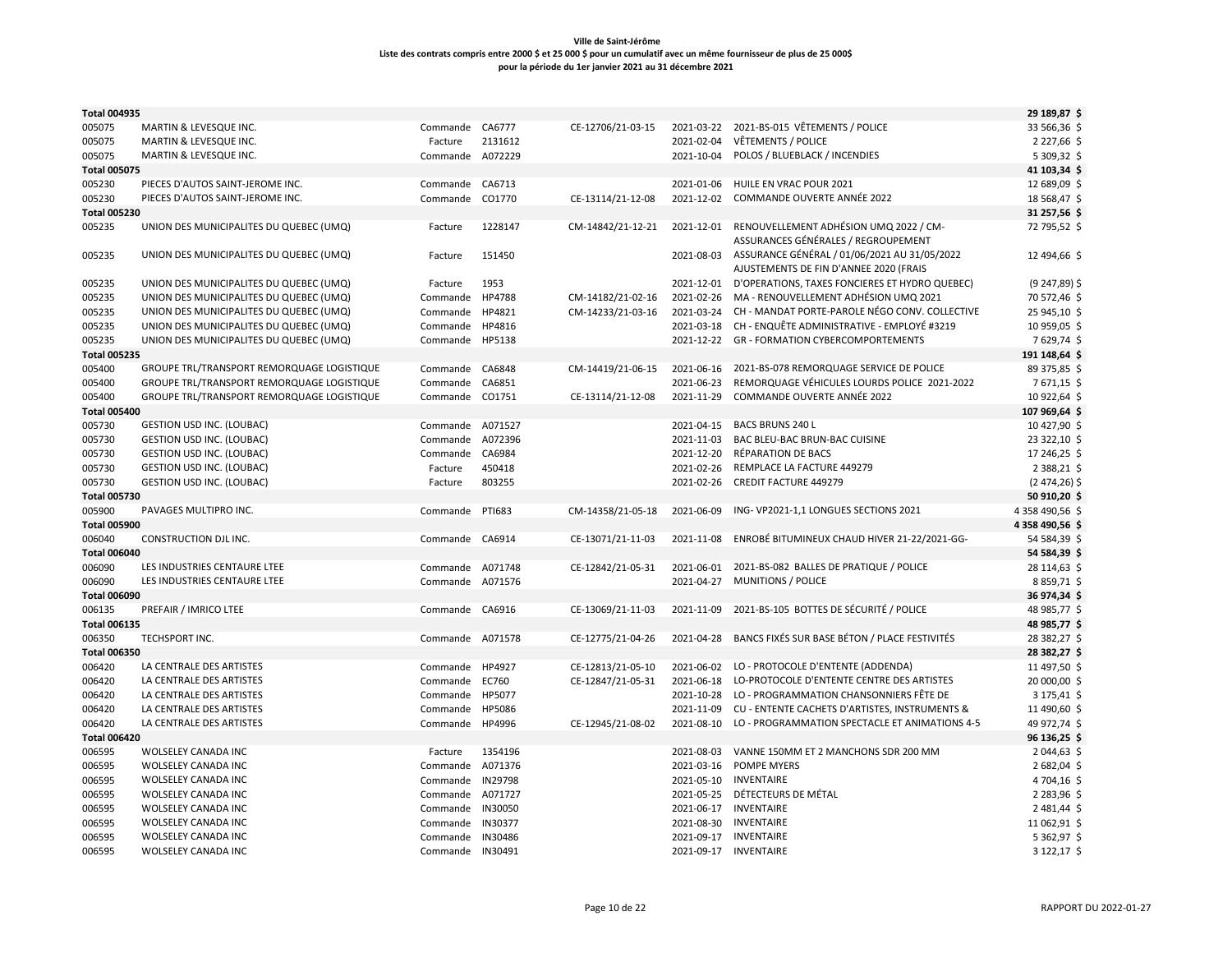| <b>Total 004935</b> |                                            |                  |                |                   |            |                                                   | 29 189,87 \$     |
|---------------------|--------------------------------------------|------------------|----------------|-------------------|------------|---------------------------------------------------|------------------|
| 005075              | MARTIN & LEVESQUE INC.                     | Commande CA6777  |                | CE-12706/21-03-15 |            | 2021-03-22 2021-BS-015 VÊTEMENTS / POLICE         | 33 566,36 \$     |
| 005075              | MARTIN & LEVESQUE INC.                     | Facture          | 2131612        |                   | 2021-02-04 | <b>VÊTEMENTS / POLICE</b>                         | 2 227,66 \$      |
| 005075              | MARTIN & LEVESQUE INC.                     | Commande A072229 |                |                   |            | 2021-10-04 POLOS / BLUEBLACK / INCENDIES          | 5 309,32 \$      |
| <b>Total 005075</b> |                                            |                  |                |                   |            |                                                   | 41 103,34 \$     |
| 005230              | PIECES D'AUTOS SAINT-JEROME INC.           | Commande         | CA6713         |                   | 2021-01-06 | HUILE EN VRAC POUR 2021                           | 12 689,09 \$     |
| 005230              | PIECES D'AUTOS SAINT-JEROME INC.           | Commande         | CO1770         | CE-13114/21-12-08 |            | 2021-12-02 COMMANDE OUVERTE ANNÉE 2022            | 18 568,47 \$     |
| <b>Total 005230</b> |                                            |                  |                |                   |            |                                                   | 31 257,56 \$     |
| 005235              | UNION DES MUNICIPALITES DU QUEBEC (UMQ)    | Facture          | 1228147        | CM-14842/21-12-21 |            | 2021-12-01 RENOUVELLEMENT ADHÉSION UMQ 2022 / CM- | 72 795,52 \$     |
|                     |                                            |                  |                |                   |            | ASSURANCES GÉNÉRALES / REGROUPEMENT               |                  |
| 005235              | UNION DES MUNICIPALITES DU QUEBEC (UMQ)    | Facture          | 151450         |                   | 2021-08-03 | ASSURANCE GÉNÉRAL / 01/06/2021 AU 31/05/2022      | 12 494,66 \$     |
|                     |                                            |                  |                |                   |            | AJUSTEMENTS DE FIN D'ANNEE 2020 (FRAIS            |                  |
| 005235              | UNION DES MUNICIPALITES DU QUEBEC (UMQ)    | Facture          | 1953           |                   | 2021-12-01 | D'OPERATIONS, TAXES FONCIERES ET HYDRO QUEBEC)    | $(9247,89)$ \$   |
| 005235              | UNION DES MUNICIPALITES DU QUEBEC (UMQ)    | Commande         | HP4788         | CM-14182/21-02-16 | 2021-02-26 | MA - RENOUVELLEMENT ADHÉSION UMQ 2021             | 70 572,46 \$     |
| 005235              | UNION DES MUNICIPALITES DU QUEBEC (UMQ)    | Commande         | HP4821         | CM-14233/21-03-16 | 2021-03-24 | CH - MANDAT PORTE-PAROLE NÉGO CONV. COLLECTIVE    | 25 945,10 \$     |
| 005235              | UNION DES MUNICIPALITES DU QUEBEC (UMQ)    | Commande         | HP4816         |                   | 2021-03-18 | CH - ENQUÊTE ADMINISTRATIVE - EMPLOYÉ #3219       | 10 959,05 \$     |
| 005235              | UNION DES MUNICIPALITES DU QUEBEC (UMQ)    | Commande HP5138  |                |                   | 2021-12-22 | <b>GR - FORMATION CYBERCOMPORTEMENTS</b>          | 7629,74 \$       |
| <b>Total 005235</b> |                                            |                  |                |                   |            |                                                   | 191 148,64 \$    |
| 005400              | GROUPE TRL/TRANSPORT REMORQUAGE LOGISTIQUE | Commande         | CA6848         | CM-14419/21-06-15 | 2021-06-16 | 2021-BS-078 REMORQUAGE SERVICE DE POLICE          | 89 375,85 \$     |
| 005400              | GROUPE TRL/TRANSPORT REMORQUAGE LOGISTIQUE | Commande         | CA6851         |                   | 2021-06-23 | REMORQUAGE VÉHICULES LOURDS POLICE 2021-2022      | 7671,15\$        |
| 005400              | GROUPE TRL/TRANSPORT REMORQUAGE LOGISTIQUE | Commande         | CO1751         | CE-13114/21-12-08 | 2021-11-29 | COMMANDE OUVERTE ANNÉE 2022                       | 10 922,64 \$     |
| <b>Total 005400</b> |                                            |                  |                |                   |            |                                                   | 107 969,64 \$    |
| 005730              | <b>GESTION USD INC. (LOUBAC)</b>           | Commande         | A071527        |                   | 2021-04-15 | <b>BACS BRUNS 240 L</b>                           | 10 427,90 \$     |
| 005730              | <b>GESTION USD INC. (LOUBAC)</b>           | Commande         | A072396        |                   | 2021-11-03 | BAC BLEU-BAC BRUN-BAC CUISINE                     | 23 322,10 \$     |
| 005730              | <b>GESTION USD INC. (LOUBAC)</b>           | Commande         | CA6984         |                   | 2021-12-20 | RÉPARATION DE BACS                                | 17 246,25 \$     |
| 005730              | <b>GESTION USD INC. (LOUBAC)</b>           | Facture          | 450418         |                   | 2021-02-26 | REMPLACE LA FACTURE 449279                        | 2 3 8 8 , 2 1 \$ |
| 005730              | <b>GESTION USD INC. (LOUBAC)</b>           | Facture          | 803255         |                   | 2021-02-26 | <b>CREDIT FACTURE 449279</b>                      | $(2474,26)$ \$   |
| <b>Total 005730</b> |                                            |                  |                |                   |            |                                                   | 50 910,20 \$     |
| 005900              | PAVAGES MULTIPRO INC.                      | Commande         | PTI683         | CM-14358/21-05-18 | 2021-06-09 | ING-VP2021-1,1 LONGUES SECTIONS 2021              | 4 358 490,56 \$  |
| <b>Total 005900</b> |                                            |                  |                |                   |            |                                                   | 4 358 490,56 \$  |
| 006040              | CONSTRUCTION DJL INC.                      | Commande CA6914  |                | CE-13071/21-11-03 | 2021-11-08 | ENROBÉ BITUMINEUX CHAUD HIVER 21-22/2021-GG-      | 54 584,39 \$     |
| <b>Total 006040</b> |                                            |                  |                |                   |            |                                                   | 54 584,39 \$     |
| 006090              | LES INDUSTRIES CENTAURE LTEE               | Commande         | A071748        | CE-12842/21-05-31 | 2021-06-01 | 2021-BS-082 BALLES DE PRATIQUE / POLICE           | 28 114,63 \$     |
| 006090              | LES INDUSTRIES CENTAURE LTEE               | Commande A071576 |                |                   | 2021-04-27 | <b>MUNITIONS / POLICE</b>                         | 8859,71\$        |
| <b>Total 006090</b> |                                            |                  |                |                   |            |                                                   | 36 974,34 \$     |
| 006135              | PREFAIR / IMRICO LTEE                      | Commande CA6916  |                | CE-13069/21-11-03 | 2021-11-09 | 2021-BS-105 BOTTES DE SÉCURITÉ / POLICE           | 48 985,77 \$     |
| <b>Total 006135</b> |                                            |                  |                |                   |            |                                                   | 48 985,77 \$     |
| 006350              | TECHSPORT INC.                             | Commande A071578 |                | CE-12775/21-04-26 | 2021-04-28 | BANCS FIXÉS SUR BASE BÉTON / PLACE FESTIVITÉS     | 28 382,27 \$     |
| <b>Total 006350</b> |                                            |                  |                |                   |            |                                                   | 28 382,27 \$     |
| 006420              | LA CENTRALE DES ARTISTES                   | Commande         | HP4927         | CE-12813/21-05-10 | 2021-06-02 | LO - PROTOCOLE D'ENTENTE (ADDENDA)                | 11 497,50 \$     |
| 006420              | LA CENTRALE DES ARTISTES                   | Commande         | EC760          | CE-12847/21-05-31 | 2021-06-18 | LO-PROTOCOLE D'ENTENTE CENTRE DES ARTISTES        | 20 000,00 \$     |
| 006420              | LA CENTRALE DES ARTISTES                   | Commande         | HP5077         |                   | 2021-10-28 | LO - PROGRAMMATION CHANSONNIERS FÊTE DE           | 3 175,41 \$      |
| 006420              | LA CENTRALE DES ARTISTES                   | Commande         | HP5086         |                   | 2021-11-09 | CU - ENTENTE CACHETS D'ARTISTES, INSTRUMENTS &    | 11 490,60 \$     |
| 006420              | LA CENTRALE DES ARTISTES                   | Commande HP4996  |                | CE-12945/21-08-02 | 2021-08-10 | LO - PROGRAMMATION SPECTACLE ET ANIMATIONS 4-5    | 49 972,74 \$     |
| <b>Total 006420</b> |                                            |                  |                |                   |            |                                                   | 96 136,25 \$     |
| 006595              | WOLSELEY CANADA INC                        | Facture          | 1354196        |                   | 2021-08-03 | VANNE 150MM ET 2 MANCHONS SDR 200 MM              | 2 044,63 \$      |
| 006595              | WOLSELEY CANADA INC                        | Commande         | A071376        |                   | 2021-03-16 | <b>POMPE MYERS</b>                                | 2 682,04 \$      |
| 006595              | WOLSELEY CANADA INC                        | Commande         | IN29798        |                   | 2021-05-10 | <b>INVENTAIRE</b>                                 | 4 704,16 \$      |
| 006595              | WOLSELEY CANADA INC                        | Commande         | A071727        |                   | 2021-05-25 | DÉTECTEURS DE MÉTAL                               | 2 283,96 \$      |
| 006595              | WOLSELEY CANADA INC                        | Commande         | IN30050        |                   |            | 2021-06-17 INVENTAIRE                             | 2 481,44 \$      |
| 006595              | WOLSELEY CANADA INC                        | Commande         | <b>IN30377</b> |                   | 2021-08-30 | <b>INVENTAIRE</b>                                 | 11 062,91 \$     |
| 006595              | WOLSELEY CANADA INC                        | Commande         | IN30486        |                   | 2021-09-17 | <b>INVENTAIRE</b>                                 | 5 362,97 \$      |
| 006595              | WOLSELEY CANADA INC                        | Commande IN30491 |                |                   |            | 2021-09-17 INVENTAIRE                             | 3 122,17 \$      |
|                     |                                            |                  |                |                   |            |                                                   |                  |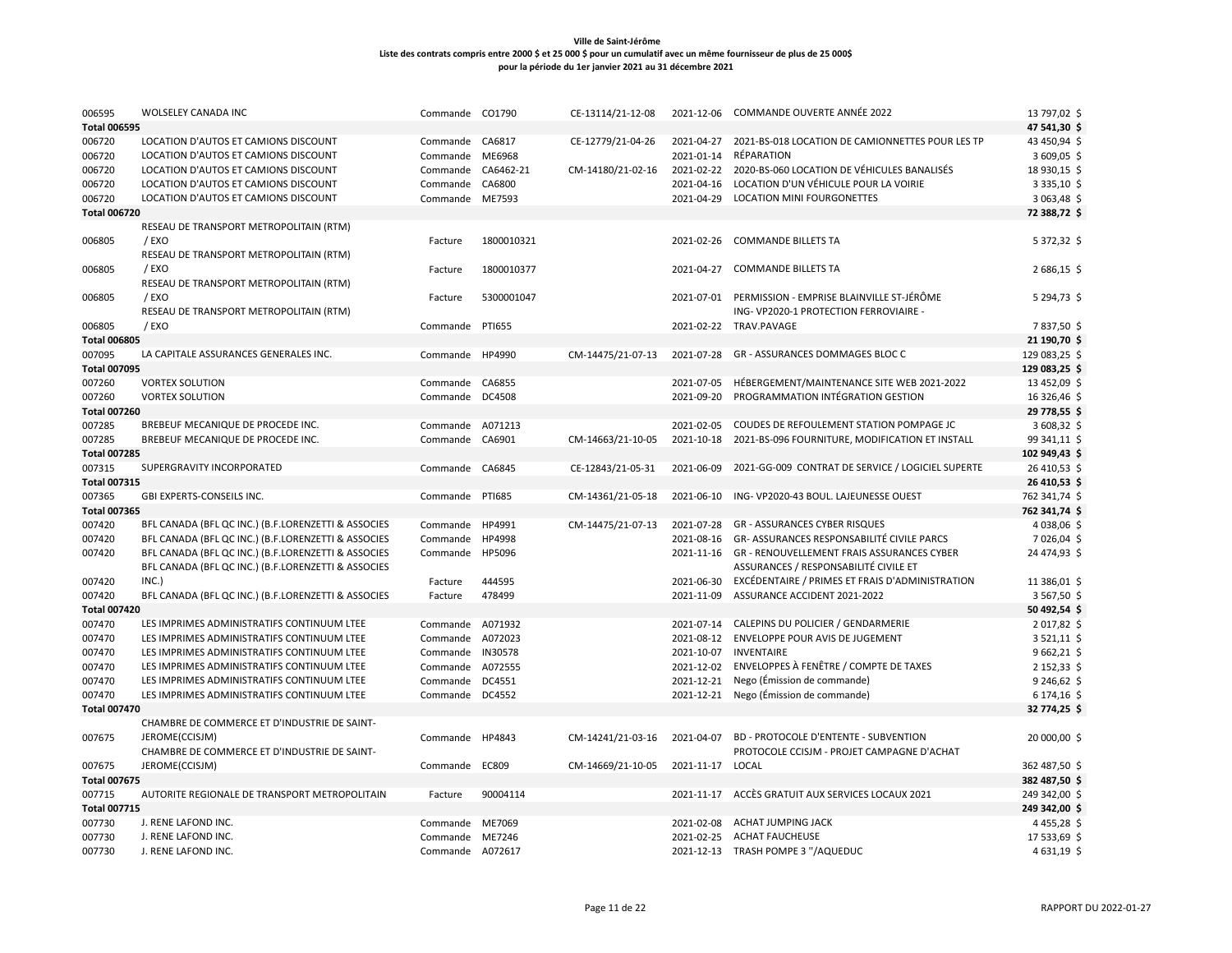| 006595                        | <b>WOLSELEY CANADA INC</b>                                     | Commande CO1790  |               | CE-13114/21-12-08 | 2021-12-06 | <b>COMMANDE OUVERTE ANNÉE 2022</b>                          | 13 797,02 \$                   |
|-------------------------------|----------------------------------------------------------------|------------------|---------------|-------------------|------------|-------------------------------------------------------------|--------------------------------|
| <b>Total 006595</b>           |                                                                |                  |               |                   |            |                                                             | 47 541,30 \$                   |
| 006720                        | LOCATION D'AUTOS ET CAMIONS DISCOUNT                           | Commande CA6817  |               | CE-12779/21-04-26 |            | 2021-04-27 2021-BS-018 LOCATION DE CAMIONNETTES POUR LES TP | 43 450,94 \$                   |
| 006720                        | LOCATION D'AUTOS ET CAMIONS DISCOUNT                           | Commande         | ME6968        |                   | 2021-01-14 | RÉPARATION                                                  | 3609,05                        |
| 006720                        | LOCATION D'AUTOS ET CAMIONS DISCOUNT                           | Commande         | CA6462-21     | CM-14180/21-02-16 |            | 2021-02-22 2020-BS-060 LOCATION DE VÉHICULES BANALISÉS      | 18 930,15 \$                   |
| 006720                        | LOCATION D'AUTOS ET CAMIONS DISCOUNT                           | Commande         | CA6800        |                   | 2021-04-16 | LOCATION D'UN VÉHICULE POUR LA VOIRIE                       | 3 3 3 5 , 10 \$                |
| 006720                        | LOCATION D'AUTOS ET CAMIONS DISCOUNT                           | Commande ME7593  |               |                   | 2021-04-29 | <b>LOCATION MINI FOURGONETTES</b>                           | 3 063,48 \$                    |
| <b>Total 006720</b>           |                                                                |                  |               |                   |            |                                                             | 72 388,72 \$                   |
|                               | RESEAU DE TRANSPORT METROPOLITAIN (RTM)                        |                  |               |                   |            |                                                             |                                |
| 006805                        | / EXO                                                          | Facture          | 1800010321    |                   |            | 2021-02-26 COMMANDE BILLETS TA                              | 5 372,32 \$                    |
|                               | RESEAU DE TRANSPORT METROPOLITAIN (RTM)                        |                  |               |                   |            |                                                             |                                |
| 006805                        | / EXO                                                          | Facture          | 1800010377    |                   | 2021-04-27 | <b>COMMANDE BILLETS TA</b>                                  | 2686,15\$                      |
|                               | RESEAU DE TRANSPORT METROPOLITAIN (RTM)                        |                  |               |                   |            |                                                             |                                |
| 006805                        | / EXO                                                          | Facture          | 5300001047    |                   |            | 2021-07-01 PERMISSION - EMPRISE BLAINVILLE ST-JÉRÔME        | 5 294,73 \$                    |
|                               | RESEAU DE TRANSPORT METROPOLITAIN (RTM)                        |                  |               |                   |            | ING-VP2020-1 PROTECTION FERROVIAIRE -                       |                                |
| 006805                        | /EXO                                                           | Commande         | <b>PTI655</b> |                   |            | 2021-02-22 TRAV.PAVAGE                                      | 7837,50 \$                     |
| <b>Total 006805</b>           |                                                                |                  |               |                   |            |                                                             | 21 190,70 \$                   |
| 007095                        | LA CAPITALE ASSURANCES GENERALES INC.                          | Commande         | HP4990        | CM-14475/21-07-13 | 2021-07-28 | GR - ASSURANCES DOMMAGES BLOC C                             | 129 083,25 \$                  |
| <b>Total 007095</b>           |                                                                |                  |               |                   |            |                                                             | 129 083,25 \$                  |
| 007260                        | <b>VORTEX SOLUTION</b>                                         | Commande         | CA6855        |                   | 2021-07-05 | HÉBERGEMENT/MAINTENANCE SITE WEB 2021-2022                  | 13 452,09 \$                   |
| 007260                        | <b>VORTEX SOLUTION</b>                                         | Commande         | DC4508        |                   | 2021-09-20 | PROGRAMMATION INTÉGRATION GESTION                           | 16 326,46                      |
| <b>Total 007260</b>           |                                                                |                  |               |                   |            |                                                             | 29 778,55 \$                   |
| 007285                        | BREBEUF MECANIQUE DE PROCEDE INC.                              | Commande A071213 |               |                   | 2021-02-05 | COUDES DE REFOULEMENT STATION POMPAGE JC                    | 3 608,32 \$                    |
| 007285                        | BREBEUF MECANIQUE DE PROCEDE INC.                              | Commande CA6901  |               | CM-14663/21-10-05 | 2021-10-18 | 2021-BS-096 FOURNITURE, MODIFICATION ET INSTALL             | 99 341,11 \$                   |
| <b>Total 007285</b>           |                                                                |                  |               |                   |            |                                                             | 102 949,43 \$                  |
| 007315                        | SUPERGRAVITY INCORPORATED                                      | Commande         | CA6845        | CE-12843/21-05-31 | 2021-06-09 | 2021-GG-009 CONTRAT DE SERVICE / LOGICIEL SUPERTE           | 26 410,53 \$                   |
| <b>Total 007315</b>           |                                                                |                  |               |                   |            |                                                             | 26 410,53 \$                   |
| 007365                        | GBI EXPERTS-CONSEILS INC.                                      | Commande PTI685  |               | CM-14361/21-05-18 | 2021-06-10 | ING-VP2020-43 BOUL. LAJEUNESSE OUEST                        | 762 341,74 \$                  |
| <b>Total 007365</b>           |                                                                |                  |               |                   |            |                                                             | 762 341,74 \$                  |
| 007420                        | BFL CANADA (BFL QC INC.) (B.F.LORENZETTI & ASSOCIES            | Commande         | HP4991        | CM-14475/21-07-13 | 2021-07-28 | <b>GR - ASSURANCES CYBER RISQUES</b>                        | 4 038,06 \$                    |
| 007420                        | BFL CANADA (BFL QC INC.) (B.F.LORENZETTI & ASSOCIES            | Commande         | HP4998        |                   | 2021-08-16 | <b>GR- ASSURANCES RESPONSABILITÉ CIVILE PARCS</b>           | 7 026,04                       |
| 007420                        | BFL CANADA (BFL QC INC.) (B.F.LORENZETTI & ASSOCIES            | Commande         | HP5096        |                   |            | 2021-11-16 GR - RENOUVELLEMENT FRAIS ASSURANCES CYBER       | 24 474,93 \$                   |
|                               | BFL CANADA (BFL QC INC.) (B.F.LORENZETTI & ASSOCIES            |                  |               |                   |            | ASSURANCES / RESPONSABILITÉ CIVILE ET                       |                                |
| 007420                        | INC.)                                                          | Facture          | 444595        |                   | 2021-06-30 | EXCÉDENTAIRE / PRIMES ET FRAIS D'ADMINISTRATION             | 11 386.01 \$                   |
| 007420                        | BFL CANADA (BFL QC INC.) (B.F.LORENZETTI & ASSOCIES            | Facture          | 478499        |                   | 2021-11-09 | ASSURANCE ACCIDENT 2021-2022                                | 3 567,50 \$                    |
| <b>Total 007420</b>           |                                                                |                  |               |                   |            |                                                             | 50 492,54 \$                   |
| 007470                        | LES IMPRIMES ADMINISTRATIFS CONTINUUM LTEE                     | Commande A071932 |               |                   | 2021-07-14 | CALEPINS DU POLICIER / GENDARMERIE                          | 2017,82 \$                     |
| 007470                        | LES IMPRIMES ADMINISTRATIFS CONTINUUM LTEE                     | Commande         | A072023       |                   |            | 2021-08-12 ENVELOPPE POUR AVIS DE JUGEMENT                  | 3521,11                        |
| 007470                        | LES IMPRIMES ADMINISTRATIFS CONTINUUM LTEE                     | Commande         | IN30578       |                   | 2021-10-07 | <b>INVENTAIRE</b>                                           | 9662,21                        |
| 007470                        | LES IMPRIMES ADMINISTRATIFS CONTINUUM LTEE                     | Commande         | A072555       |                   | 2021-12-02 | ENVELOPPES À FENÊTRE / COMPTE DE TAXES                      | 2 152,33 \$                    |
| 007470                        | LES IMPRIMES ADMINISTRATIFS CONTINUUM LTEE                     | Commande         | DC4551        |                   | 2021-12-21 | Nego (Émission de commande)                                 | 9 246,62 \$                    |
| 007470                        | LES IMPRIMES ADMINISTRATIFS CONTINUUM LTEE                     | Commande DC4552  |               |                   | 2021-12-21 | Nego (Émission de commande)                                 | 6 174,16 \$                    |
| <b>Total 007470</b>           |                                                                |                  |               |                   |            |                                                             | 32 774,25 \$                   |
|                               | CHAMBRE DE COMMERCE ET D'INDUSTRIE DE SAINT-<br>JEROME(CCISJM) |                  |               |                   |            | <b>BD - PROTOCOLE D'ENTENTE - SUBVENTION</b>                |                                |
| 007675                        | CHAMBRE DE COMMERCE ET D'INDUSTRIE DE SAINT-                   | Commande HP4843  |               | CM-14241/21-03-16 | 2021-04-07 | PROTOCOLE CCISJM - PROJET CAMPAGNE D'ACHAT                  | 20 000,00 \$                   |
|                               |                                                                |                  | EC809         | CM-14669/21-10-05 |            | LOCAL                                                       |                                |
| 007675                        | JEROME(CCISJM)                                                 | Commande         |               |                   | 2021-11-17 |                                                             | 362 487,50 \$                  |
| <b>Total 007675</b>           | AUTORITE REGIONALE DE TRANSPORT METROPOLITAIN                  |                  | 90004114      |                   |            | 2021-11-17 ACCÈS GRATUIT AUX SERVICES LOCAUX 2021           | 382 487,50 \$                  |
| 007715<br><b>Total 007715</b> |                                                                | Facture          |               |                   |            |                                                             | 249 342,00 \$<br>249 342,00 \$ |
| 007730                        | J. RENE LAFOND INC.                                            | Commande ME7069  |               |                   |            | 2021-02-08 ACHAT JUMPING JACK                               | 4455,28                        |
| 007730                        | J. RENE LAFOND INC.                                            | Commande         | ME7246        |                   |            | 2021-02-25 ACHAT FAUCHEUSE                                  | 17533,69\$                     |
| 007730                        | J. RENE LAFOND INC.                                            | Commande A072617 |               |                   |            | 2021-12-13 TRASH POMPE 3 "/AQUEDUC                          | 4631,19\$                      |
|                               |                                                                |                  |               |                   |            |                                                             |                                |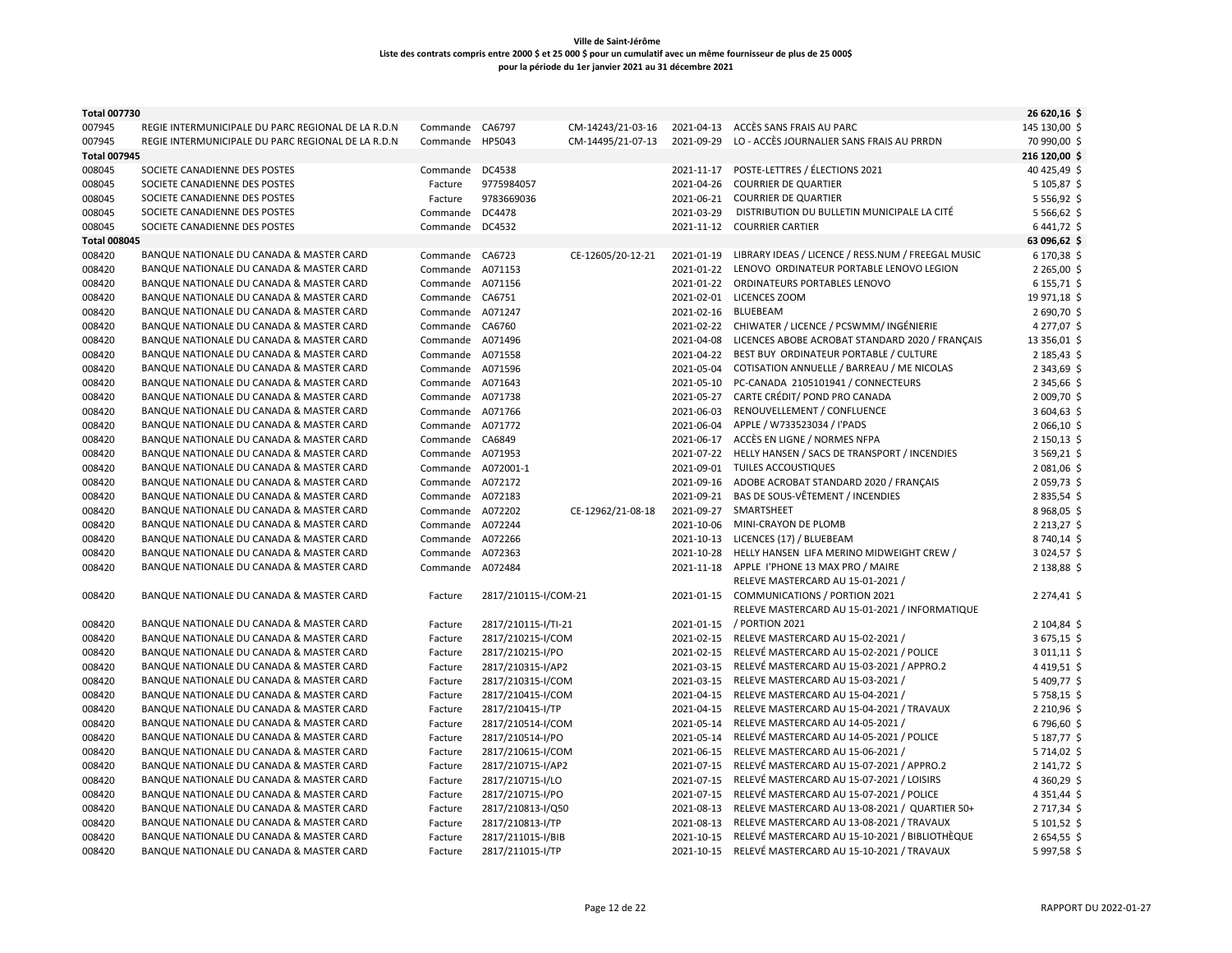| <b>Total 007730</b> |                                                    |                    |                      |                   |            |                                                      | 26 620,16 \$             |
|---------------------|----------------------------------------------------|--------------------|----------------------|-------------------|------------|------------------------------------------------------|--------------------------|
| 007945              | REGIE INTERMUNICIPALE DU PARC REGIONAL DE LA R.D.N | Commande CA6797    |                      | CM-14243/21-03-16 | 2021-04-13 | ACCÈS SANS FRAIS AU PARC                             | 145 130,00 \$            |
| 007945              | REGIE INTERMUNICIPALE DU PARC REGIONAL DE LA R.D.N | Commande HP5043    |                      | CM-14495/21-07-13 | 2021-09-29 | LO - ACCÈS JOURNALIER SANS FRAIS AU PRRDN            | 70 990,00 \$             |
| <b>Total 007945</b> |                                                    |                    |                      |                   |            |                                                      | 216 120,00 \$            |
| 008045              | SOCIETE CANADIENNE DES POSTES                      | Commande DC4538    |                      |                   | 2021-11-17 | POSTE-LETTRES / ÉLECTIONS 2021                       | 40 425,49 \$             |
| 008045              | SOCIETE CANADIENNE DES POSTES                      | Facture            | 9775984057           |                   | 2021-04-26 | <b>COURRIER DE QUARTIER</b>                          | 5 105,87 \$              |
| 008045              | SOCIETE CANADIENNE DES POSTES                      | Facture            | 9783669036           |                   | 2021-06-21 | <b>COURRIER DE QUARTIER</b>                          | 5 5 5 6, 9 2 \$          |
| 008045              | SOCIETE CANADIENNE DES POSTES                      | Commande           | DC4478               |                   | 2021-03-29 | DISTRIBUTION DU BULLETIN MUNICIPALE LA CITÉ          | 5 566,62 \$              |
| 008045              | SOCIETE CANADIENNE DES POSTES                      | Commande           | DC4532               |                   | 2021-11-12 | <b>COURRIER CARTIER</b>                              | 6441,72\$                |
| <b>Total 008045</b> |                                                    |                    |                      |                   |            |                                                      | 63 096,62 \$             |
| 008420              | BANQUE NATIONALE DU CANADA & MASTER CARD           | Commande CA6723    |                      | CE-12605/20-12-21 | 2021-01-19 | LIBRARY IDEAS / LICENCE / RESS.NUM / FREEGAL MUSIC   | 6 170,38 \$              |
| 008420              | BANQUE NATIONALE DU CANADA & MASTER CARD           | Commande A071153   |                      |                   | 2021-01-22 | LENOVO ORDINATEUR PORTABLE LENOVO LEGION             | 2 265,00 \$              |
| 008420              | BANQUE NATIONALE DU CANADA & MASTER CARD           | Commande A071156   |                      |                   | 2021-01-22 | ORDINATEURS PORTABLES LENOVO                         | 6 155,71 \$              |
| 008420              | BANQUE NATIONALE DU CANADA & MASTER CARD           | Commande CA6751    |                      |                   |            | 2021-02-01 LICENCES ZOOM                             | 19 971,18 \$             |
| 008420              | BANQUE NATIONALE DU CANADA & MASTER CARD           | Commande A071247   |                      |                   | 2021-02-16 | <b>BLUEBEAM</b>                                      | 2690,70\$                |
| 008420              | BANQUE NATIONALE DU CANADA & MASTER CARD           | Commande CA6760    |                      |                   |            | 2021-02-22 CHIWATER / LICENCE / PCSWMM/ INGÉNIERIE   | 4 277,07 \$              |
| 008420              | BANQUE NATIONALE DU CANADA & MASTER CARD           | Commande A071496   |                      |                   | 2021-04-08 | LICENCES ABOBE ACROBAT STANDARD 2020 / FRANÇAIS      | 13 356,01 \$             |
| 008420              | BANQUE NATIONALE DU CANADA & MASTER CARD           | Commande A071558   |                      |                   | 2021-04-22 | BEST BUY ORDINATEUR PORTABLE / CULTURE               | 2 185,43 \$              |
| 008420              | BANQUE NATIONALE DU CANADA & MASTER CARD           | Commande A071596   |                      |                   | 2021-05-04 | COTISATION ANNUELLE / BARREAU / ME NICOLAS           | 2 343,69 \$              |
| 008420              | BANQUE NATIONALE DU CANADA & MASTER CARD           | Commande A071643   |                      |                   | 2021-05-10 | PC-CANADA 2105101941 / CONNECTEURS                   | 2 345,66 \$              |
| 008420              | BANQUE NATIONALE DU CANADA & MASTER CARD           | Commande A071738   |                      |                   | 2021-05-27 | CARTE CRÉDIT/ POND PRO CANADA                        | 2009,70\$                |
| 008420              | BANQUE NATIONALE DU CANADA & MASTER CARD           | Commande A071766   |                      |                   | 2021-06-03 | RENOUVELLEMENT / CONFLUENCE                          | 3 604,63 \$              |
| 008420              | BANQUE NATIONALE DU CANADA & MASTER CARD           | Commande A071772   |                      |                   | 2021-06-04 | APPLE / W733523034 / I'PADS                          | 2 066,10 \$              |
| 008420              | BANQUE NATIONALE DU CANADA & MASTER CARD           | Commande CA6849    |                      |                   | 2021-06-17 | ACCÈS EN LIGNE / NORMES NFPA                         | 2 150,13 \$              |
| 008420              | BANQUE NATIONALE DU CANADA & MASTER CARD           | Commande A071953   |                      |                   | 2021-07-22 | HELLY HANSEN / SACS DE TRANSPORT / INCENDIES         | 3 569,21 \$              |
|                     | BANQUE NATIONALE DU CANADA & MASTER CARD           | Commande A072001-1 |                      |                   | 2021-09-01 | TUILES ACCOUSTIQUES                                  |                          |
| 008420<br>008420    | BANQUE NATIONALE DU CANADA & MASTER CARD           | Commande A072172   |                      |                   | 2021-09-16 | ADOBE ACROBAT STANDARD 2020 / FRANÇAIS               | 2 081,06 \$<br>2059,73\$ |
| 008420              |                                                    | Commande A072183   |                      |                   |            | 2021-09-21 BAS DE SOUS-VÊTEMENT / INCENDIES          | 2835,54\$                |
|                     | BANQUE NATIONALE DU CANADA & MASTER CARD           |                    |                      |                   |            |                                                      |                          |
| 008420              | BANQUE NATIONALE DU CANADA & MASTER CARD           | Commande A072202   |                      | CE-12962/21-08-18 | 2021-09-27 | SMARTSHEET                                           | 8 968,05 \$              |
| 008420              | BANQUE NATIONALE DU CANADA & MASTER CARD           | Commande A072244   |                      |                   | 2021-10-06 | MINI-CRAYON DE PLOMB                                 | 2 2 1 3, 2 7 \$          |
| 008420              | BANQUE NATIONALE DU CANADA & MASTER CARD           | Commande A072266   |                      |                   | 2021-10-13 | LICENCES (17) / BLUEBEAM                             | 8740,14\$                |
| 008420              | BANQUE NATIONALE DU CANADA & MASTER CARD           | Commande A072363   |                      |                   | 2021-10-28 | HELLY HANSEN LIFA MERINO MIDWEIGHT CREW /            | 3024,57\$                |
| 008420              | BANQUE NATIONALE DU CANADA & MASTER CARD           | Commande A072484   |                      |                   | 2021-11-18 | APPLE I'PHONE 13 MAX PRO / MAIRE                     | 2 138,88 \$              |
|                     |                                                    |                    |                      |                   |            | RELEVE MASTERCARD AU 15-01-2021 /                    |                          |
| 008420              | BANQUE NATIONALE DU CANADA & MASTER CARD           | Facture            | 2817/210115-I/COM-21 |                   |            | 2021-01-15 COMMUNICATIONS / PORTION 2021             | 2 274,41 \$              |
|                     |                                                    |                    |                      |                   |            | RELEVE MASTERCARD AU 15-01-2021 / INFORMATIQUE       |                          |
| 008420              | BANQUE NATIONALE DU CANADA & MASTER CARD           | Facture            | 2817/210115-I/TI-21  |                   |            | 2021-01-15 / PORTION 2021                            | 2 104,84 \$<br>3675,15\$ |
| 008420              | BANQUE NATIONALE DU CANADA & MASTER CARD           | Facture            | 2817/210215-I/COM    |                   | 2021-02-15 | RELEVE MASTERCARD AU 15-02-2021 /                    |                          |
| 008420              | BANQUE NATIONALE DU CANADA & MASTER CARD           | Facture            | 2817/210215-I/PO     |                   |            | 2021-02-15 RELEVÉ MASTERCARD AU 15-02-2021 / POLICE  | 3011,11\$                |
| 008420              | BANQUE NATIONALE DU CANADA & MASTER CARD           | Facture            | 2817/210315-I/AP2    |                   | 2021-03-15 | RELEVÉ MASTERCARD AU 15-03-2021 / APPRO.2            | 4419,51\$                |
| 008420              | BANQUE NATIONALE DU CANADA & MASTER CARD           | Facture            | 2817/210315-I/COM    |                   | 2021-03-15 | RELEVE MASTERCARD AU 15-03-2021 /                    | 5 409,77 \$              |
| 008420              | BANQUE NATIONALE DU CANADA & MASTER CARD           | Facture            | 2817/210415-I/COM    |                   | 2021-04-15 | RELEVE MASTERCARD AU 15-04-2021 /                    | 5758,15\$                |
| 008420              | BANQUE NATIONALE DU CANADA & MASTER CARD           | Facture            | 2817/210415-I/TP     |                   | 2021-04-15 | RELEVE MASTERCARD AU 15-04-2021 / TRAVAUX            | 2 210,96 \$              |
| 008420              | BANQUE NATIONALE DU CANADA & MASTER CARD           | Facture            | 2817/210514-I/COM    |                   | 2021-05-14 | RELEVE MASTERCARD AU 14-05-2021 /                    | 6796,60\$                |
| 008420              | BANQUE NATIONALE DU CANADA & MASTER CARD           | Facture            | 2817/210514-I/PO     |                   | 2021-05-14 | RELEVÉ MASTERCARD AU 14-05-2021 / POLICE             | 5 187,77 \$              |
| 008420              | BANQUE NATIONALE DU CANADA & MASTER CARD           | Facture            | 2817/210615-I/COM    |                   | 2021-06-15 | RELEVE MASTERCARD AU 15-06-2021 /                    | 5 714,02 \$              |
| 008420              | BANQUE NATIONALE DU CANADA & MASTER CARD           | Facture            | 2817/210715-I/AP2    |                   | 2021-07-15 | RELEVÉ MASTERCARD AU 15-07-2021 / APPRO.2            | 2 141,72 \$              |
| 008420              | BANQUE NATIONALE DU CANADA & MASTER CARD           | Facture            | 2817/210715-I/LO     |                   | 2021-07-15 | RELEVÉ MASTERCARD AU 15-07-2021 / LOISIRS            | 4 3 60, 29 \$            |
| 008420              | BANQUE NATIONALE DU CANADA & MASTER CARD           | Facture            | 2817/210715-I/PO     |                   | 2021-07-15 | RELEVÉ MASTERCARD AU 15-07-2021 / POLICE             | 4 3 5 1 , 44 \$          |
| 008420              | BANQUE NATIONALE DU CANADA & MASTER CARD           | Facture            | 2817/210813-I/Q50    |                   | 2021-08-13 | RELEVE MASTERCARD AU 13-08-2021 / QUARTIER 50+       | 2 717,34 \$              |
| 008420              | BANQUE NATIONALE DU CANADA & MASTER CARD           | Facture            | 2817/210813-I/TP     |                   | 2021-08-13 | RELEVE MASTERCARD AU 13-08-2021 / TRAVAUX            | 5 101,52 \$              |
| 008420              | BANQUE NATIONALE DU CANADA & MASTER CARD           | Facture            | 2817/211015-I/BIB    |                   | 2021-10-15 | RELEVÉ MASTERCARD AU 15-10-2021 / BIBLIOTHÈQUE       | 2654,55\$                |
| 008420              | BANQUE NATIONALE DU CANADA & MASTER CARD           | Facture            | 2817/211015-I/TP     |                   |            | 2021-10-15 RELEVÉ MASTERCARD AU 15-10-2021 / TRAVAUX | 5997,58\$                |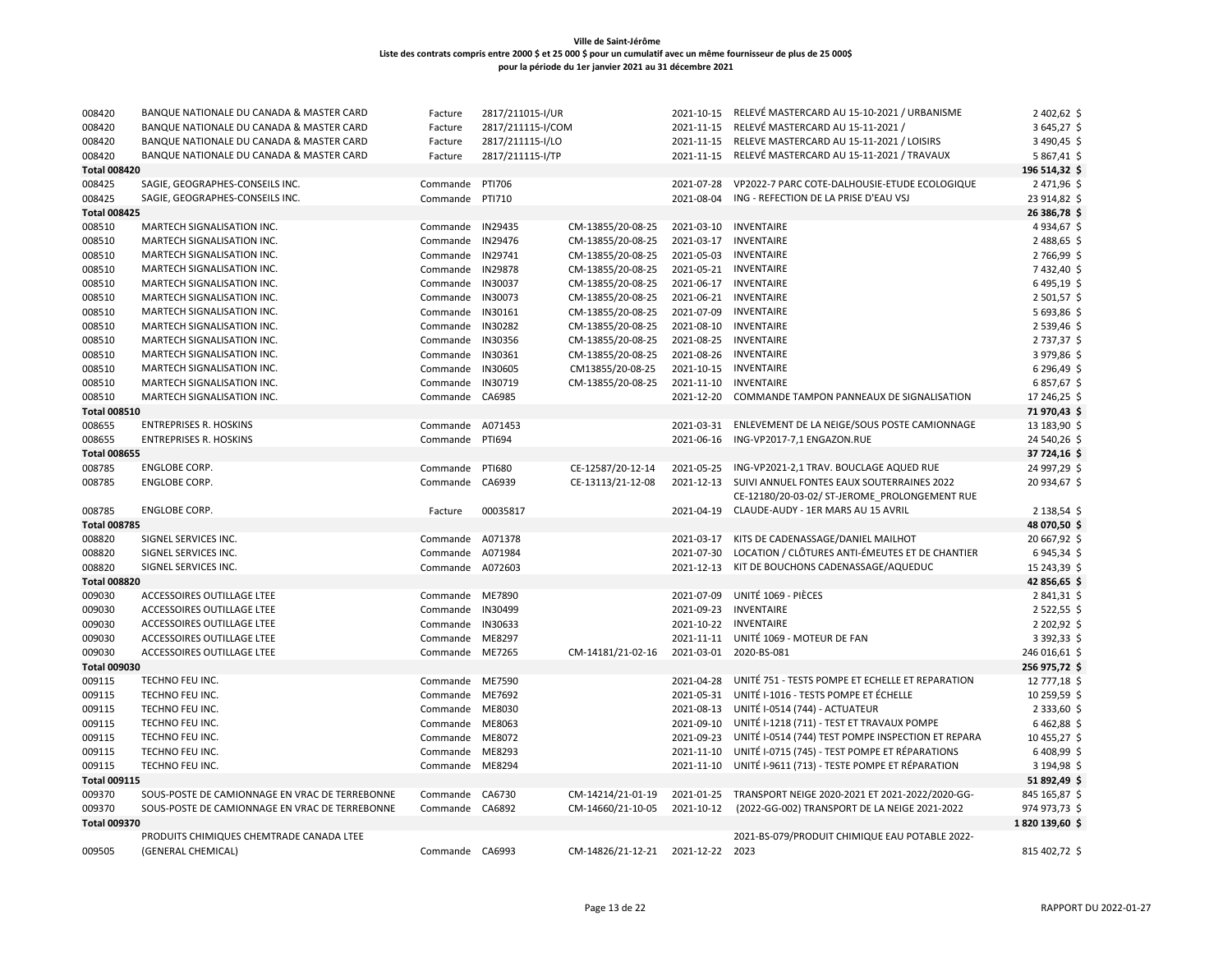| 008420              | BANQUE NATIONALE DU CANADA & MASTER CARD       | Facture          | 2817/211015-I/UR  |                                   | 2021-10-15 | RELEVÉ MASTERCARD AU 15-10-2021 / URBANISME                 | 2 402,62 \$     |
|---------------------|------------------------------------------------|------------------|-------------------|-----------------------------------|------------|-------------------------------------------------------------|-----------------|
| 008420              | BANQUE NATIONALE DU CANADA & MASTER CARD       | Facture          | 2817/211115-I/COM |                                   | 2021-11-15 | RELEVÉ MASTERCARD AU 15-11-2021 /                           | 3645,27\$       |
| 008420              | BANQUE NATIONALE DU CANADA & MASTER CARD       | Facture          | 2817/211115-I/LO  |                                   |            | 2021-11-15 RELEVE MASTERCARD AU 15-11-2021 / LOISIRS        | 3 490,45 \$     |
| 008420              | BANQUE NATIONALE DU CANADA & MASTER CARD       | Facture          | 2817/211115-I/TP  |                                   | 2021-11-15 | RELEVÉ MASTERCARD AU 15-11-2021 / TRAVAUX                   | 5867,41\$       |
| <b>Total 008420</b> |                                                |                  |                   |                                   |            |                                                             | 196 514,32 \$   |
| 008425              | SAGIE, GEOGRAPHES-CONSEILS INC.                | Commande         | PTI706            |                                   | 2021-07-28 | VP2022-7 PARC COTE-DALHOUSIE-ETUDE ECOLOGIQUE               | 2471,96 \$      |
| 008425              | SAGIE, GEOGRAPHES-CONSEILS INC.                | Commande         | PTI710            |                                   | 2021-08-04 | ING - REFECTION DE LA PRISE D'EAU VSJ                       | 23 914,82 \$    |
| <b>Total 008425</b> |                                                |                  |                   |                                   |            |                                                             | 26 386,78 \$    |
| 008510              | MARTECH SIGNALISATION INC.                     | Commande IN29435 |                   | CM-13855/20-08-25                 | 2021-03-10 | INVENTAIRE                                                  | 4 9 34, 67 \$   |
| 008510              | MARTECH SIGNALISATION INC.                     | Commande         | IN29476           | CM-13855/20-08-25                 | 2021-03-17 | <b>INVENTAIRE</b>                                           | 2488,65 \$      |
| 008510              | MARTECH SIGNALISATION INC.                     | Commande IN29741 |                   | CM-13855/20-08-25                 | 2021-05-03 | <b>INVENTAIRE</b>                                           | 2766,99 \$      |
| 008510              | MARTECH SIGNALISATION INC.                     | Commande         | <b>IN29878</b>    | CM-13855/20-08-25                 | 2021-05-21 | <b>INVENTAIRE</b>                                           | 7432,40 \$      |
| 008510              | MARTECH SIGNALISATION INC.                     | Commande IN30037 |                   | CM-13855/20-08-25                 |            | 2021-06-17 INVENTAIRE                                       | 6495,19 \$      |
| 008510              | MARTECH SIGNALISATION INC.                     | Commande         | IN30073           | CM-13855/20-08-25                 | 2021-06-21 | <b>INVENTAIRE</b>                                           | 2501,57\$       |
| 008510              | MARTECH SIGNALISATION INC.                     | Commande         | IN30161           | CM-13855/20-08-25                 | 2021-07-09 | INVENTAIRE                                                  | 5 693,86 \$     |
| 008510              | MARTECH SIGNALISATION INC.                     | Commande         | IN30282           | CM-13855/20-08-25                 | 2021-08-10 | INVENTAIRE                                                  | 2539,46\$       |
| 008510              | MARTECH SIGNALISATION INC.                     | Commande         | IN30356           | CM-13855/20-08-25                 | 2021-08-25 | <b>INVENTAIRE</b>                                           | 2737,37 \$      |
| 008510              | MARTECH SIGNALISATION INC.                     | Commande         | IN30361           | CM-13855/20-08-25                 |            | 2021-08-26 INVENTAIRE                                       | 3979,86 \$      |
| 008510              | MARTECH SIGNALISATION INC.                     | Commande         | IN30605           | CM13855/20-08-25                  | 2021-10-15 | INVENTAIRE                                                  | 6 296,49 \$     |
| 008510              | MARTECH SIGNALISATION INC.                     | Commande         | IN30719           | CM-13855/20-08-25                 | 2021-11-10 | <b>INVENTAIRE</b>                                           | 6857,67\$       |
| 008510              | MARTECH SIGNALISATION INC.                     | Commande         | CA6985            |                                   | 2021-12-20 | COMMANDE TAMPON PANNEAUX DE SIGNALISATION                   | 17 246,25 \$    |
| <b>Total 008510</b> |                                                |                  |                   |                                   |            |                                                             | 71970,43\$      |
| 008655              | <b>ENTREPRISES R. HOSKINS</b>                  | Commande A071453 |                   |                                   | 2021-03-31 | ENLEVEMENT DE LA NEIGE/SOUS POSTE CAMIONNAGE                | 13 183,90 \$    |
| 008655              | <b>ENTREPRISES R. HOSKINS</b>                  | Commande PTI694  |                   |                                   | 2021-06-16 | ING-VP2017-7,1 ENGAZON.RUE                                  | 24 540,26 \$    |
| <b>Total 008655</b> |                                                |                  |                   |                                   |            |                                                             | 37 724,16 \$    |
| 008785              | ENGLOBE CORP.                                  | Commande         | <b>PTI680</b>     | CE-12587/20-12-14                 | 2021-05-25 | ING-VP2021-2,1 TRAV. BOUCLAGE AQUED RUE                     | 24 997,29 \$    |
| 008785              | ENGLOBE CORP.                                  | Commande CA6939  |                   | CE-13113/21-12-08                 | 2021-12-13 | SUIVI ANNUEL FONTES EAUX SOUTERRAINES 2022                  | 20 934,67 \$    |
|                     |                                                |                  |                   |                                   |            | CE-12180/20-03-02/ ST-JEROME PROLONGEMENT RUE               |                 |
| 008785              | ENGLOBE CORP.                                  | Facture          | 00035817          |                                   | 2021-04-19 | CLAUDE-AUDY - 1ER MARS AU 15 AVRIL                          | 2 138,54 \$     |
| <b>Total 008785</b> |                                                |                  |                   |                                   |            |                                                             | 48 070,50 \$    |
| 008820              | SIGNEL SERVICES INC.                           | Commande A071378 |                   |                                   | 2021-03-17 | KITS DE CADENASSAGE/DANIEL MAILHOT                          | 20 667,92 \$    |
| 008820              | SIGNEL SERVICES INC.                           | Commande         | A071984           |                                   | 2021-07-30 | LOCATION / CLÔTURES ANTI-ÉMEUTES ET DE CHANTIER             | 6945,34\$       |
| 008820              | SIGNEL SERVICES INC.                           | Commande A072603 |                   |                                   | 2021-12-13 | KIT DE BOUCHONS CADENASSAGE/AQUEDUC                         | 15 243,39 \$    |
| <b>Total 008820</b> |                                                |                  |                   |                                   |            |                                                             | 42 856,65 \$    |
| 009030              | ACCESSOIRES OUTILLAGE LTEE                     | Commande ME7890  |                   |                                   | 2021-07-09 | UNITÉ 1069 - PIÈCES                                         | 2841,31\$       |
| 009030              | ACCESSOIRES OUTILLAGE LTEE                     | Commande         | IN30499           |                                   | 2021-09-23 | <b>INVENTAIRE</b>                                           | $2522,55$ \$    |
| 009030              | ACCESSOIRES OUTILLAGE LTEE                     | Commande         | IN30633           |                                   | 2021-10-22 | <b>INVENTAIRE</b>                                           | 2 202,92 \$     |
| 009030              | ACCESSOIRES OUTILLAGE LTEE                     | Commande         | ME8297            |                                   | 2021-11-11 | UNITÉ 1069 - MOTEUR DE FAN                                  | 3 392,33 \$     |
| 009030              | ACCESSOIRES OUTILLAGE LTEE                     | Commande ME7265  |                   | CM-14181/21-02-16                 | 2021-03-01 | 2020-BS-081                                                 | 246 016,61 \$   |
| <b>Total 009030</b> |                                                |                  |                   |                                   |            |                                                             | 256 975,72 \$   |
| 009115              | TECHNO FEU INC.                                | Commande ME7590  |                   |                                   |            | 2021-04-28 UNITÉ 751 - TESTS POMPE ET ECHELLE ET REPARATION | 12 777,18 \$    |
| 009115              | TECHNO FEU INC.                                | Commande ME7692  |                   |                                   |            | 2021-05-31 UNITÉ I-1016 - TESTS POMPE ET ÉCHELLE            | 10 259,59 \$    |
| 009115              | TECHNO FEU INC.                                | Commande         | ME8030            |                                   | 2021-08-13 | UNITÉ I-0514 (744) - ACTUATEUR                              | 2 3 3 3 , 60 \$ |
| 009115              | TECHNO FEU INC.                                | Commande         | ME8063            |                                   | 2021-09-10 | UNITÉ I-1218 (711) - TEST ET TRAVAUX POMPE                  | 6462,88\$       |
| 009115              | TECHNO FEU INC.                                | Commande         | ME8072            |                                   | 2021-09-23 | UNITÉ I-0514 (744) TEST POMPE INSPECTION ET REPARA          | 10 455,27 \$    |
| 009115              | TECHNO FEU INC.                                | Commande         | ME8293            |                                   | 2021-11-10 | UNITÉ I-0715 (745) - TEST POMPE ET RÉPARATIONS              | 6408,99\$       |
| 009115              | TECHNO FEU INC.                                | Commande ME8294  |                   |                                   | 2021-11-10 | UNITÉ I-9611 (713) - TESTE POMPE ET RÉPARATION              | 3 194,98 \$     |
| <b>Total 009115</b> |                                                |                  |                   |                                   |            |                                                             | 51 892,49 \$    |
| 009370              | SOUS-POSTE DE CAMIONNAGE EN VRAC DE TERREBONNE | Commande         | CA6730            | CM-14214/21-01-19                 | 2021-01-25 | TRANSPORT NEIGE 2020-2021 ET 2021-2022/2020-GG-             | 845 165,87 \$   |
| 009370              | SOUS-POSTE DE CAMIONNAGE EN VRAC DE TERREBONNE | Commande CA6892  |                   | CM-14660/21-10-05                 | 2021-10-12 | (2022-GG-002) TRANSPORT DE LA NEIGE 2021-2022               | 974 973,73 \$   |
| <b>Total 009370</b> |                                                |                  |                   |                                   |            |                                                             | 1820 139,60 \$  |
|                     | PRODUITS CHIMIQUES CHEMTRADE CANADA LTEE       |                  |                   |                                   |            | 2021-BS-079/PRODUIT CHIMIQUE EAU POTABLE 2022-              |                 |
| 009505              | (GENERAL CHEMICAL)                             | Commande CA6993  |                   | CM-14826/21-12-21 2021-12-22 2023 |            |                                                             | 815 402,72 \$   |
|                     |                                                |                  |                   |                                   |            |                                                             |                 |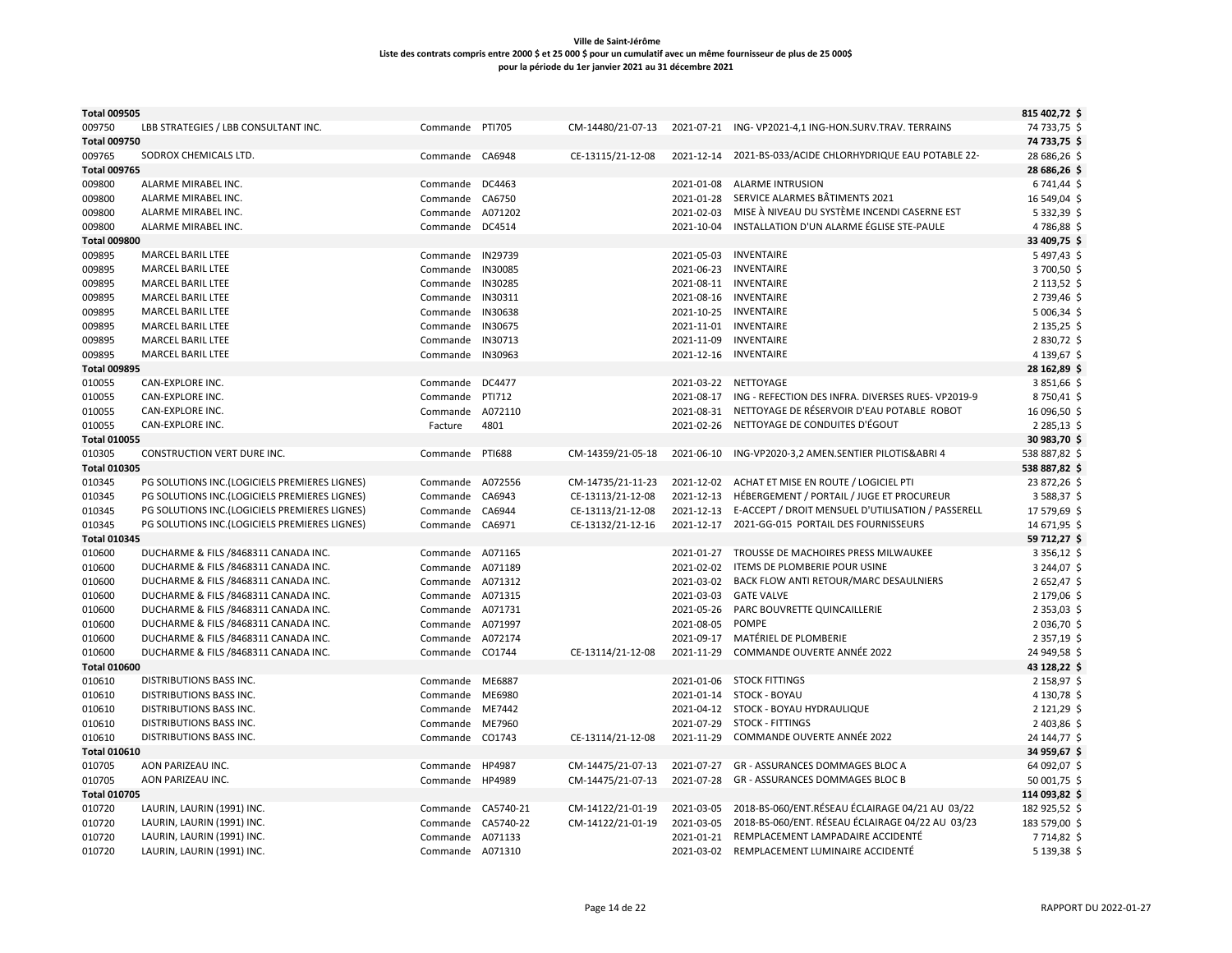| <b>Total 009505</b> |                                                                              |                              |               |                   |                       |                                                                         | 815 402,72 \$            |
|---------------------|------------------------------------------------------------------------------|------------------------------|---------------|-------------------|-----------------------|-------------------------------------------------------------------------|--------------------------|
| 009750              | LBB STRATEGIES / LBB CONSULTANT INC.                                         | Commande PTI705              |               | CM-14480/21-07-13 |                       | 2021-07-21 ING-VP2021-4,1 ING-HON.SURV.TRAV. TERRAINS                   | 74 733,75 \$             |
| <b>Total 009750</b> |                                                                              |                              |               |                   |                       |                                                                         | 74 733,75 \$             |
| 009765              | SODROX CHEMICALS LTD.                                                        | Commande CA6948              |               | CE-13115/21-12-08 | 2021-12-14            | 2021-BS-033/ACIDE CHLORHYDRIQUE EAU POTABLE 22-                         | 28 686,26 \$             |
| <b>Total 009765</b> |                                                                              |                              |               |                   |                       |                                                                         | 28 686,26 \$             |
| 009800              | ALARME MIRABEL INC.                                                          | Commande DC4463              |               |                   | 2021-01-08            | <b>ALARME INTRUSION</b>                                                 | 6741,44\$                |
| 009800              | ALARME MIRABEL INC.                                                          | Commande                     | CA6750        |                   | 2021-01-28            | SERVICE ALARMES BÂTIMENTS 2021                                          | 16 549,04 \$             |
| 009800              | ALARME MIRABEL INC.                                                          | Commande                     | A071202       |                   | 2021-02-03            | MISE À NIVEAU DU SYSTÈME INCENDI CASERNE EST                            | 5 3 3 2 , 3 9 \$         |
| 009800              | ALARME MIRABEL INC.                                                          | Commande DC4514              |               |                   | 2021-10-04            | INSTALLATION D'UN ALARME ÉGLISE STE-PAULE                               | 4786,88 \$               |
| <b>Total 009800</b> |                                                                              |                              |               |                   |                       |                                                                         | 33 409,75 \$             |
| 009895              | MARCEL BARIL LTEE                                                            | Commande IN29739             |               |                   | 2021-05-03            | INVENTAIRE                                                              | 5497,43 \$               |
| 009895              | MARCEL BARIL LTEE                                                            | Commande                     | IN30085       |                   | 2021-06-23            | <b>INVENTAIRE</b>                                                       | 3700,50 \$               |
| 009895              | <b>MARCEL BARIL LTEE</b>                                                     | Commande                     | IN30285       |                   | 2021-08-11 INVENTAIRE |                                                                         | $2113,52$ \$             |
| 009895              | <b>MARCEL BARIL LTEE</b>                                                     | Commande                     | IN30311       |                   | 2021-08-16            | <b>INVENTAIRE</b>                                                       | 2739,46 \$               |
| 009895              | MARCEL BARIL LTEE                                                            | Commande                     | IN30638       |                   | 2021-10-25            | INVENTAIRE                                                              | 5 006,34 \$              |
| 009895              | <b>MARCEL BARIL LTEE</b>                                                     | Commande                     | IN30675       |                   | 2021-11-01            | <b>INVENTAIRE</b>                                                       | 2 135,25 \$              |
| 009895              | <b>MARCEL BARIL LTEE</b>                                                     | Commande                     | IN30713       |                   | 2021-11-09            | <b>INVENTAIRE</b>                                                       | 2830,72\$                |
| 009895              | <b>MARCEL BARIL LTEE</b>                                                     | Commande                     | IN30963       |                   | 2021-12-16            | <b>INVENTAIRE</b>                                                       | 4 139,67 \$              |
| <b>Total 009895</b> |                                                                              |                              |               |                   |                       |                                                                         | 28 162,89 \$             |
| 010055              | CAN-EXPLORE INC.                                                             | Commande DC4477              |               |                   | 2021-03-22 NETTOYAGE  |                                                                         | 3851,66\$                |
| 010055              | CAN-EXPLORE INC.                                                             | Commande                     | PTI712        |                   | 2021-08-17            | ING - REFECTION DES INFRA. DIVERSES RUES-VP2019-9                       | 8750,41 \$               |
| 010055              | CAN-EXPLORE INC.                                                             | Commande                     | A072110       |                   | 2021-08-31            | NETTOYAGE DE RÉSERVOIR D'EAU POTABLE ROBOT                              | 16 096,50 \$             |
| 010055              | CAN-EXPLORE INC.                                                             | Facture                      | 4801          |                   | 2021-02-26            | NETTOYAGE DE CONDUITES D'ÉGOUT                                          | 2 2 8 5 , 1 3 \$         |
| <b>Total 010055</b> |                                                                              |                              |               |                   |                       |                                                                         | 30 983,70 \$             |
| 010305              | CONSTRUCTION VERT DURE INC.                                                  | Commande                     | <b>PTI688</b> | CM-14359/21-05-18 | 2021-06-10            | ING-VP2020-3,2 AMEN.SENTIER PILOTIS&ABRI 4                              | 538 887,82 \$            |
| <b>Total 010305</b> |                                                                              |                              |               |                   |                       |                                                                         | 538 887,82 \$            |
| 010345              | PG SOLUTIONS INC. (LOGICIELS PREMIERES LIGNES)                               | Commande A072556             |               | CM-14735/21-11-23 | 2021-12-02            | ACHAT ET MISE EN ROUTE / LOGICIEL PTI                                   | 23 872,26 \$             |
| 010345              | PG SOLUTIONS INC. (LOGICIELS PREMIERES LIGNES)                               | Commande                     | CA6943        | CE-13113/21-12-08 | 2021-12-13            | HÉBERGEMENT / PORTAIL / JUGE ET PROCUREUR                               | 3 5 88, 37 \$            |
| 010345              | PG SOLUTIONS INC. (LOGICIELS PREMIERES LIGNES)                               | Commande                     | CA6944        | CE-13113/21-12-08 | 2021-12-13            | E-ACCEPT / DROIT MENSUEL D'UTILISATION / PASSERELL                      | 17 579,69 \$             |
| 010345              | PG SOLUTIONS INC. (LOGICIELS PREMIERES LIGNES)                               | Commande                     | CA6971        | CE-13132/21-12-16 |                       | 2021-12-17 2021-GG-015 PORTAIL DES FOURNISSEURS                         | 14 671,95 \$             |
| <b>Total 010345</b> |                                                                              |                              |               |                   | 2021-01-27            |                                                                         | 59 712,27 \$             |
| 010600              | DUCHARME & FILS /8468311 CANADA INC.<br>DUCHARME & FILS /8468311 CANADA INC. | Commande A071165             |               |                   | 2021-02-02            | TROUSSE DE MACHOIRES PRESS MILWAUKEE                                    | 3 3 5 6, 1 2 \$          |
| 010600              | DUCHARME & FILS /8468311 CANADA INC.                                         | Commande<br>Commande A071312 | A071189       |                   | 2021-03-02            | ITEMS DE PLOMBERIE POUR USINE<br>BACK FLOW ANTI RETOUR/MARC DESAULNIERS | 3 244,07 \$<br>2652,47\$ |
| 010600<br>010600    | DUCHARME & FILS /8468311 CANADA INC.                                         | Commande A071315             |               |                   | 2021-03-03            | <b>GATE VALVE</b>                                                       | 2 179,06 \$              |
| 010600              | DUCHARME & FILS /8468311 CANADA INC.                                         | Commande A071731             |               |                   | 2021-05-26            | PARC BOUVRETTE QUINCAILLERIE                                            | 2 3 5 3 , 0 3 \$         |
| 010600              | DUCHARME & FILS /8468311 CANADA INC.                                         | Commande A071997             |               |                   | 2021-08-05            | POMPE                                                                   | 2 036,70 \$              |
| 010600              | DUCHARME & FILS /8468311 CANADA INC.                                         | Commande                     | A072174       |                   | 2021-09-17            | MATÉRIEL DE PLOMBERIE                                                   | 2 3 5 7 , 19 \$          |
| 010600              | DUCHARME & FILS /8468311 CANADA INC.                                         | Commande CO1744              |               | CE-13114/21-12-08 | 2021-11-29            | COMMANDE OUVERTE ANNÉE 2022                                             | 24 949,58 \$             |
| <b>Total 010600</b> |                                                                              |                              |               |                   |                       |                                                                         | 43 128,22 \$             |
| 010610              | DISTRIBUTIONS BASS INC.                                                      | Commande                     | ME6887        |                   |                       | 2021-01-06 STOCK FITTINGS                                               | 2 158,97 \$              |
| 010610              | DISTRIBUTIONS BASS INC.                                                      | Commande ME6980              |               |                   | 2021-01-14            | <b>STOCK - BOYAU</b>                                                    | 4 130,78 \$              |
| 010610              | DISTRIBUTIONS BASS INC.                                                      | Commande                     | ME7442        |                   |                       | 2021-04-12 STOCK - BOYAU HYDRAULIQUE                                    | 2 121,29 \$              |
| 010610              | DISTRIBUTIONS BASS INC.                                                      | Commande                     | ME7960        |                   | 2021-07-29            | <b>STOCK - FITTINGS</b>                                                 | 2 403,86 \$              |
| 010610              | DISTRIBUTIONS BASS INC.                                                      | Commande                     | CO1743        | CE-13114/21-12-08 | 2021-11-29            | COMMANDE OUVERTE ANNÉE 2022                                             | 24 144,77 \$             |
| <b>Total 010610</b> |                                                                              |                              |               |                   |                       |                                                                         | 34 959,67 \$             |
| 010705              | AON PARIZEAU INC.                                                            | Commande                     | HP4987        | CM-14475/21-07-13 | 2021-07-27            | <b>GR - ASSURANCES DOMMAGES BLOC A</b>                                  | 64 092,07 \$             |
| 010705              | AON PARIZEAU INC.                                                            | Commande HP4989              |               | CM-14475/21-07-13 | 2021-07-28            | <b>GR - ASSURANCES DOMMAGES BLOC B</b>                                  | 50 001,75 \$             |
| <b>Total 010705</b> |                                                                              |                              |               |                   |                       |                                                                         | 114 093,82 \$            |
| 010720              | LAURIN, LAURIN (1991) INC.                                                   | Commande CA5740-21           |               | CM-14122/21-01-19 | 2021-03-05            | 2018-BS-060/ENT.RÉSEAU ÉCLAIRAGE 04/21 AU 03/22                         | 182 925,52 \$            |
| 010720              | LAURIN, LAURIN (1991) INC.                                                   | Commande                     | CA5740-22     | CM-14122/21-01-19 | 2021-03-05            | 2018-BS-060/ENT. RÉSEAU ÉCLAIRAGE 04/22 AU 03/23                        | 183 579,00 \$            |
| 010720              | LAURIN, LAURIN (1991) INC.                                                   | Commande                     | A071133       |                   | 2021-01-21            | REMPLACEMENT LAMPADAIRE ACCIDENTÉ                                       | 7714,82 \$               |
| 010720              | LAURIN, LAURIN (1991) INC.                                                   | Commande A071310             |               |                   |                       | 2021-03-02 REMPLACEMENT LUMINAIRE ACCIDENTÉ                             | 5 139,38 \$              |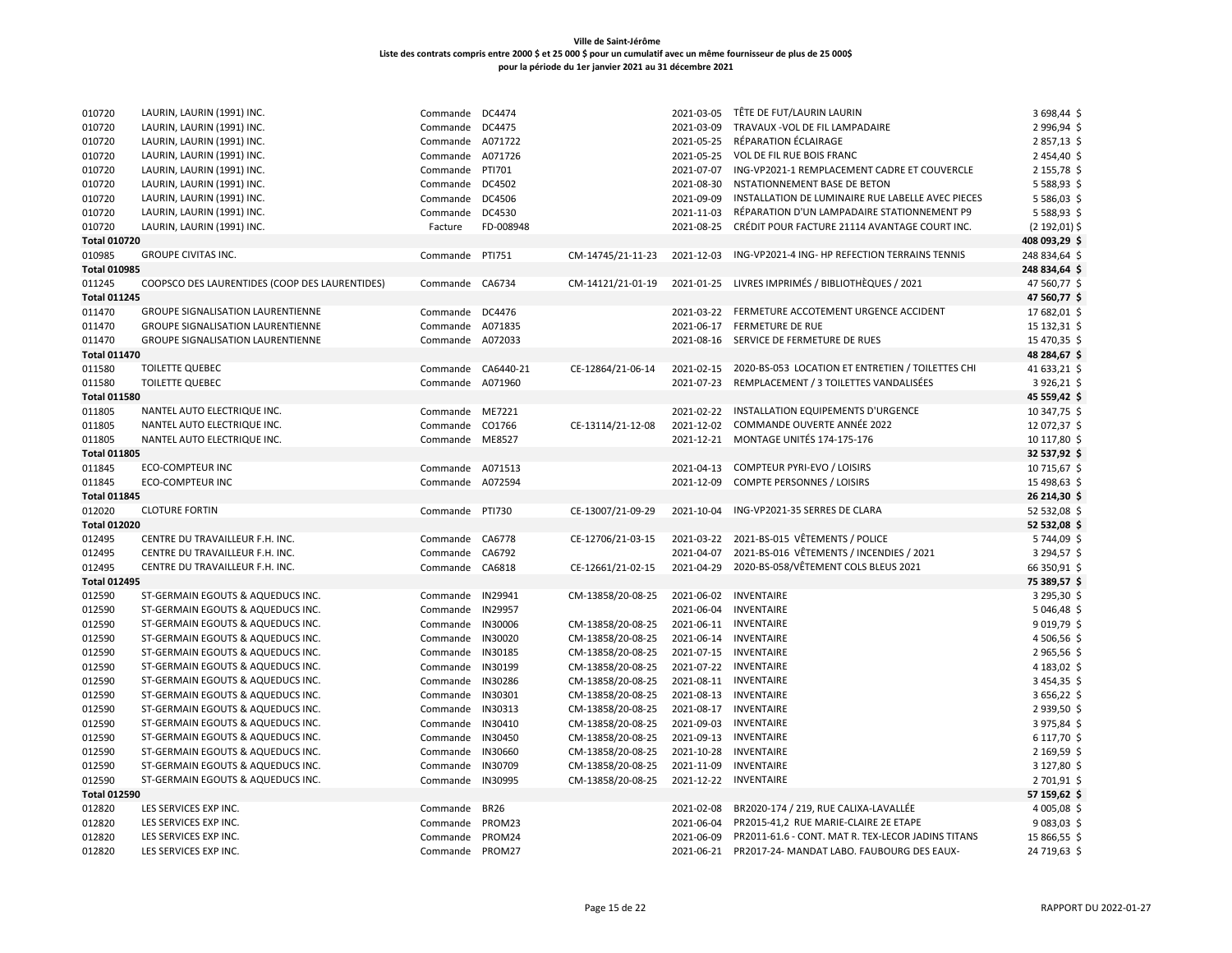# **Ville de Saint-Jérôme Liste des contrats compris entre 2000 \$ et 25 000 \$ pour un cumulatif avec un même fournisseur de plus de 25 000\$**

010720 LAURIN, LAURIN (1991) INC. COMENY COMMANDE DC4474 2021-03-05 TÊTE DE FUT/LAURIN LAURIN 1991) INC. 3 698,44 \$ LAURIN, LAURIN (1991) INC. Commande DC4475 2021-03-09 TRAVAUX -VOL DE FIL LAMPADAIRE 2 996,94 \$ 010720 LAURIN, LAURIN (1991) INC. COMENY COMMANDE A071722 Commande A071722 2021-05-25 RÉPARATION ÉCLAIRAGE 2 857,13 \$

**pour la période du 1er janvier 2021 au 31 décembre 2021**

| 010720              | LAURIN, LAURIN (1991) INC.                     | Commande A071726   |           |                   | 2021-05-25 | VOL DE FIL RUE BOIS FRANC                                    | 2454,40\$        |
|---------------------|------------------------------------------------|--------------------|-----------|-------------------|------------|--------------------------------------------------------------|------------------|
| 010720              | LAURIN, LAURIN (1991) INC.                     | Commande PTI701    |           |                   | 2021-07-07 | ING-VP2021-1 REMPLACEMENT CADRE ET COUVERCLE                 | 2 155,78 \$      |
| 010720              | LAURIN, LAURIN (1991) INC.                     | Commande DC4502    |           |                   | 2021-08-30 | NSTATIONNEMENT BASE DE BETON                                 | 5 5 8 8 , 9 3 \$ |
| 010720              | LAURIN, LAURIN (1991) INC.                     | Commande DC4506    |           |                   | 2021-09-09 | INSTALLATION DE LUMINAIRE RUE LABELLE AVEC PIECES            | 5 5 8 6 , 0 3 \$ |
| 010720              | LAURIN, LAURIN (1991) INC.                     | Commande DC4530    |           |                   | 2021-11-03 | RÉPARATION D'UN LAMPADAIRE STATIONNEMENT P9                  | 5 5 8 8 , 9 3 \$ |
| 010720              | LAURIN, LAURIN (1991) INC.                     | Facture            | FD-008948 |                   | 2021-08-25 | CRÉDIT POUR FACTURE 21114 AVANTAGE COURT INC.                | $(2 192, 01)$ \$ |
| <b>Total 010720</b> |                                                |                    |           |                   |            |                                                              | 408 093,29 \$    |
| 010985              | <b>GROUPE CIVITAS INC.</b>                     | Commande PTI751    |           | CM-14745/21-11-23 | 2021-12-03 | ING-VP2021-4 ING- HP REFECTION TERRAINS TENNIS               | 248 834,64 \$    |
| <b>Total 010985</b> |                                                |                    |           |                   |            |                                                              | 248 834,64 \$    |
| 011245              | COOPSCO DES LAURENTIDES (COOP DES LAURENTIDES) | Commande CA6734    |           | CM-14121/21-01-19 |            | 2021-01-25 LIVRES IMPRIMÉS / BIBLIOTHÈQUES / 2021            | 47 560,77 \$     |
| <b>Total 011245</b> |                                                |                    |           |                   |            |                                                              | 47 560,77 \$     |
| 011470              | GROUPE SIGNALISATION LAURENTIENNE              | Commande DC4476    |           |                   | 2021-03-22 | FERMETURE ACCOTEMENT URGENCE ACCIDENT                        | 17 682,01 \$     |
| 011470              | <b>GROUPE SIGNALISATION LAURENTIENNE</b>       | Commande A071835   |           |                   | 2021-06-17 | <b>FERMETURE DE RUE</b>                                      | 15 132,31 \$     |
| 011470              | <b>GROUPE SIGNALISATION LAURENTIENNE</b>       | Commande A072033   |           |                   |            | 2021-08-16 SERVICE DE FERMETURE DE RUES                      | 15 470,35 \$     |
| <b>Total 011470</b> |                                                |                    |           |                   |            |                                                              | 48 284,67 \$     |
| 011580              | <b>TOILETTE QUEBEC</b>                         | Commande CA6440-21 |           | CE-12864/21-06-14 |            | 2021-02-15 2020-BS-053 LOCATION ET ENTRETIEN / TOILETTES CHI | 41 633,21 \$     |
| 011580              | <b>TOILETTE QUEBEC</b>                         | Commande A071960   |           |                   | 2021-07-23 | REMPLACEMENT / 3 TOILETTES VANDALISÉES                       | 3926,21 \$       |
| <b>Total 011580</b> |                                                |                    |           |                   |            |                                                              | 45 559,42 \$     |
| 011805              | NANTEL AUTO ELECTRIQUE INC.                    | Commande ME7221    |           |                   | 2021-02-22 | INSTALLATION EQUIPEMENTS D'URGENCE                           | 10 347,75 \$     |
| 011805              | NANTEL AUTO ELECTRIQUE INC.                    | Commande           | CO1766    | CE-13114/21-12-08 | 2021-12-02 | COMMANDE OUVERTE ANNÉE 2022                                  | 12 072,37 \$     |
| 011805              | NANTEL AUTO ELECTRIQUE INC.                    | Commande ME8527    |           |                   |            | 2021-12-21 MONTAGE UNITÉS 174-175-176                        | 10 117,80 \$     |
| <b>Total 011805</b> |                                                |                    |           |                   |            |                                                              | 32 537,92 \$     |
| 011845              | <b>ECO-COMPTEUR INC</b>                        | Commande A071513   |           |                   | 2021-04-13 | <b>COMPTEUR PYRI-EVO / LOISIRS</b>                           | 10 715,67 \$     |
| 011845              | <b>ECO-COMPTEUR INC</b>                        | Commande A072594   |           |                   | 2021-12-09 | <b>COMPTE PERSONNES / LOISIRS</b>                            | 15 498,63 \$     |
| <b>Total 011845</b> |                                                |                    |           |                   |            |                                                              | 26 214,30 \$     |
| 012020              | <b>CLOTURE FORTIN</b>                          | Commande PTI730    |           | CE-13007/21-09-29 | 2021-10-04 | ING-VP2021-35 SERRES DE CLARA                                | 52 532,08 \$     |
| <b>Total 012020</b> |                                                |                    |           |                   |            |                                                              | 52 532,08 \$     |
| 012495              | CENTRE DU TRAVAILLEUR F.H. INC.                | Commande CA6778    |           | CE-12706/21-03-15 | 2021-03-22 | 2021-BS-015 VÊTEMENTS / POLICE                               | 5 744,09 \$      |
| 012495              | CENTRE DU TRAVAILLEUR F.H. INC.                | Commande CA6792    |           |                   | 2021-04-07 | 2021-BS-016 VÊTEMENTS / INCENDIES / 2021                     | 3 294,57 \$      |
| 012495              | CENTRE DU TRAVAILLEUR F.H. INC.                | Commande CA6818    |           | CE-12661/21-02-15 | 2021-04-29 | 2020-BS-058/VÊTEMENT COLS BLEUS 2021                         | 66 350,91 \$     |
| <b>Total 012495</b> |                                                |                    |           |                   |            |                                                              | 75 389,57 \$     |
| 012590              | ST-GERMAIN EGOUTS & AQUEDUCS INC.              | Commande           | IN29941   | CM-13858/20-08-25 | 2021-06-02 | INVENTAIRE                                                   | 3 295,30 \$      |
| 012590              | ST-GERMAIN EGOUTS & AQUEDUCS INC.              | Commande IN29957   |           |                   | 2021-06-04 | <b>INVENTAIRE</b>                                            | 5046,48          |
| 012590              | ST-GERMAIN EGOUTS & AQUEDUCS INC.              | Commande IN30006   |           | CM-13858/20-08-25 |            | 2021-06-11 INVENTAIRE                                        | $9019,79$ \$     |
| 012590              | ST-GERMAIN EGOUTS & AQUEDUCS INC.              | Commande           | IN30020   | CM-13858/20-08-25 | 2021-06-14 | <b>INVENTAIRE</b>                                            | 4 506,56 \$      |
| 012590              | ST-GERMAIN EGOUTS & AQUEDUCS INC.              | Commande IN30185   |           | CM-13858/20-08-25 | 2021-07-15 | INVENTAIRE                                                   | 2965,56\$        |
| 012590              | ST-GERMAIN EGOUTS & AQUEDUCS INC.              | Commande           | IN30199   | CM-13858/20-08-25 | 2021-07-22 | INVENTAIRE                                                   | 4 183,02 \$      |
| 012590              | ST-GERMAIN EGOUTS & AQUEDUCS INC.              | Commande IN30286   |           | CM-13858/20-08-25 | 2021-08-11 | <b>INVENTAIRE</b>                                            | 3454,35          |
| 012590              | ST-GERMAIN EGOUTS & AQUEDUCS INC.              | Commande IN30301   |           | CM-13858/20-08-25 | 2021-08-13 | <b>INVENTAIRE</b>                                            | 3656,22 \$       |
| 012590              | ST-GERMAIN EGOUTS & AQUEDUCS INC.              | Commande           | IN30313   | CM-13858/20-08-25 | 2021-08-17 | INVENTAIRE                                                   | 2939,50 \$       |
| 012590              | ST-GERMAIN EGOUTS & AQUEDUCS INC.              | Commande IN30410   |           | CM-13858/20-08-25 | 2021-09-03 | <b>INVENTAIRE</b>                                            | 3975,84 \$       |
| 012590              | ST-GERMAIN EGOUTS & AQUEDUCS INC.              | Commande IN30450   |           | CM-13858/20-08-25 | 2021-09-13 | <b>INVENTAIRE</b>                                            | 6 117,70 \$      |
| 012590              | ST-GERMAIN EGOUTS & AQUEDUCS INC.              | Commande           | IN30660   | CM-13858/20-08-25 | 2021-10-28 | INVENTAIRE                                                   | 2169,59          |
| 012590              | ST-GERMAIN EGOUTS & AQUEDUCS INC.              | Commande           | IN30709   | CM-13858/20-08-25 | 2021-11-09 | <b>INVENTAIRE</b>                                            | 3 127,80 \$      |
| 012590              | ST-GERMAIN EGOUTS & AQUEDUCS INC.              | Commande IN30995   |           | CM-13858/20-08-25 |            | 2021-12-22 INVENTAIRE                                        | 2 701,91 \$      |
| <b>Total 012590</b> |                                                |                    |           |                   |            |                                                              | 57 159,62 \$     |
| 012820              | LES SERVICES EXP INC.                          | Commande BR26      |           |                   |            | 2021-02-08 BR2020-174 / 219, RUE CALIXA-LAVALLÉE             | 4 005,08 \$      |

 LES SERVICES EXP INC. Commande PROM23 2021-06-04 PR2015-41,2 RUE MARIE-CLAIRE 2E ETAPE 9 083,03 \$ 012820 LES SERVICES EXP INC. COM SALLER SERVICES EXPINC. COMMANDE PROM24 Commande PROM24 COMMANDEN 2021-06-09 PR2011-61.6 - CONT. MAT R. TEX-LECOR JADINS TITANS 15 866,55 \$ 012820 LES SERVICES EXP INC. 
24 719,63 \$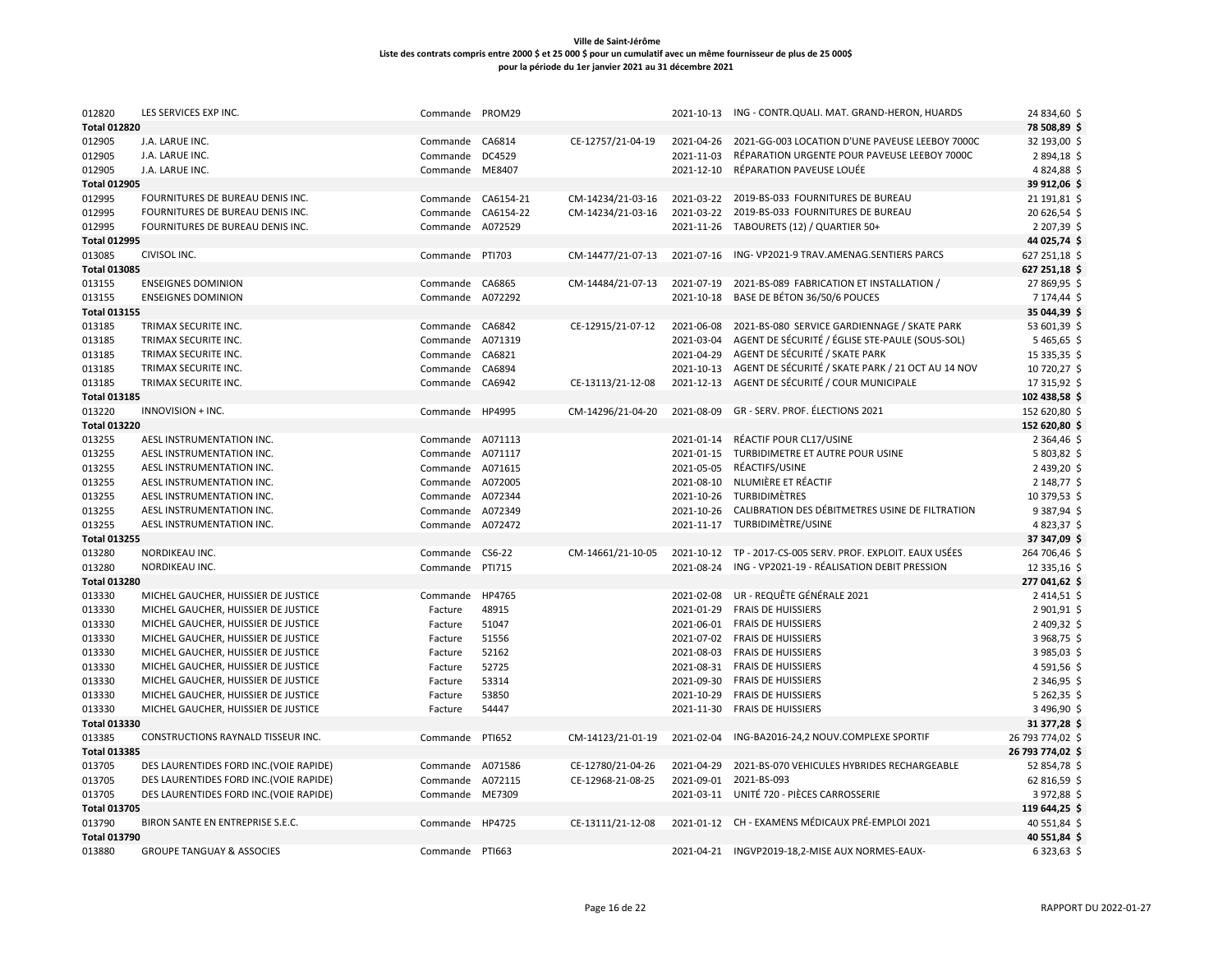| 012820              | LES SERVICES EXP INC.                   | Commande           | PROM29  |                   | 2021-10-13 | ING - CONTR.QUALI. MAT. GRAND-HERON, HUARDS                  | 24 834,60 \$     |
|---------------------|-----------------------------------------|--------------------|---------|-------------------|------------|--------------------------------------------------------------|------------------|
| <b>Total 012820</b> |                                         |                    |         |                   |            |                                                              | 78 508,89 \$     |
| 012905              | J.A. LARUE INC.                         | Commande           | CA6814  | CE-12757/21-04-19 | 2021-04-26 | 2021-GG-003 LOCATION D'UNE PAVEUSE LEEBOY 7000C              | 32 193,00 \$     |
| 012905              | J.A. LARUE INC.                         | Commande           | DC4529  |                   | 2021-11-03 | RÉPARATION URGENTE POUR PAVEUSE LEEBOY 7000C                 | 2894,18\$        |
| 012905              | J.A. LARUE INC.                         | Commande ME8407    |         |                   | 2021-12-10 | RÉPARATION PAVEUSE LOUÉE                                     | 4824,88          |
| <b>Total 012905</b> |                                         |                    |         |                   |            |                                                              | 39 912,06 \$     |
| 012995              | FOURNITURES DE BUREAU DENIS INC.        | Commande CA6154-21 |         | CM-14234/21-03-16 |            | 2021-03-22 2019-BS-033 FOURNITURES DE BUREAU                 | 21 191,81 \$     |
| 012995              | FOURNITURES DE BUREAU DENIS INC.        | Commande CA6154-22 |         | CM-14234/21-03-16 | 2021-03-22 | 2019-BS-033 FOURNITURES DE BUREAU                            | 20 626,54 \$     |
| 012995              | FOURNITURES DE BUREAU DENIS INC.        | Commande           | A072529 |                   | 2021-11-26 | TABOURETS (12) / QUARTIER 50+                                | 2 207,39 \$      |
| <b>Total 012995</b> |                                         |                    |         |                   |            |                                                              | 44 025,74 \$     |
| 013085              | CIVISOL INC.                            | Commande PTI703    |         | CM-14477/21-07-13 | 2021-07-16 | ING-VP2021-9 TRAV.AMENAG.SENTIERS PARCS                      | 627 251,18 \$    |
| <b>Total 013085</b> |                                         |                    |         |                   |            |                                                              | 627 251,18 \$    |
| 013155              | <b>ENSEIGNES DOMINION</b>               | Commande           | CA6865  | CM-14484/21-07-13 | 2021-07-19 | 2021-BS-089 FABRICATION ET INSTALLATION /                    | 27 869,95 \$     |
| 013155              | <b>ENSEIGNES DOMINION</b>               | Commande           | A072292 |                   | 2021-10-18 | BASE DE BÉTON 36/50/6 POUCES                                 | 7 174,44 \$      |
| <b>Total 013155</b> |                                         |                    |         |                   |            |                                                              | 35 044,39 \$     |
| 013185              | TRIMAX SECURITE INC.                    | Commande CA6842    |         | CE-12915/21-07-12 | 2021-06-08 | 2021-BS-080 SERVICE GARDIENNAGE / SKATE PARK                 | 53 601,39 \$     |
| 013185              | TRIMAX SECURITE INC.                    | Commande           | A071319 |                   | 2021-03-04 | AGENT DE SÉCURITÉ / ÉGLISE STE-PAULE (SOUS-SOL)              | 5465,65\$        |
| 013185              | TRIMAX SECURITE INC.                    | Commande           | CA6821  |                   | 2021-04-29 | AGENT DE SÉCURITÉ / SKATE PARK                               | 15 335,35 \$     |
| 013185              | TRIMAX SECURITE INC.                    | Commande           | CA6894  |                   |            | 2021-10-13 AGENT DE SÉCURITÉ / SKATE PARK / 21 OCT AU 14 NOV | 10 720,27 \$     |
| 013185              | TRIMAX SECURITE INC.                    | Commande CA6942    |         | CE-13113/21-12-08 |            | 2021-12-13 AGENT DE SÉCURITÉ / COUR MUNICIPALE               | 17 315,92 \$     |
| <b>Total 013185</b> |                                         |                    |         |                   |            |                                                              | 102 438,58 \$    |
| 013220              | INNOVISION + INC.                       | Commande HP4995    |         | CM-14296/21-04-20 | 2021-08-09 | GR - SERV. PROF. ÉLECTIONS 2021                              | 152 620,80 \$    |
| <b>Total 013220</b> |                                         |                    |         |                   |            |                                                              | 152 620,80 \$    |
| 013255              | AESL INSTRUMENTATION INC.               | Commande A071113   |         |                   | 2021-01-14 | RÉACTIF POUR CL17/USINE                                      | 2 364,46         |
| 013255              | AESL INSTRUMENTATION INC.               | Commande A071117   |         |                   |            | 2021-01-15 TURBIDIMETRE ET AUTRE POUR USINE                  | 5803,82          |
| 013255              | AESL INSTRUMENTATION INC.               | Commande A071615   |         |                   | 2021-05-05 | RÉACTIFS/USINE                                               | 2 439,20 \$      |
| 013255              | AESL INSTRUMENTATION INC.               | Commande A072005   |         |                   | 2021-08-10 | NLUMIÈRE ET RÉACTIF                                          | 2 148,77 \$      |
| 013255              | AESL INSTRUMENTATION INC.               | Commande A072344   |         |                   | 2021-10-26 | TURBIDIMÈTRES                                                | 10 379,53 \$     |
| 013255              | AESL INSTRUMENTATION INC.               | Commande           | A072349 |                   | 2021-10-26 | CALIBRATION DES DÉBITMETRES USINE DE FILTRATION              | 9 3 8 7, 9 4 \$  |
| 013255              | AESL INSTRUMENTATION INC.               | Commande           | A072472 |                   |            | 2021-11-17 TURBIDIMÈTRE/USINE                                | 4823,37 \$       |
| <b>Total 013255</b> |                                         |                    |         |                   |            |                                                              | 37 347,09 \$     |
| 013280              | NORDIKEAU INC.                          | Commande           | CS6-22  | CM-14661/21-10-05 |            | 2021-10-12 TP - 2017-CS-005 SERV. PROF. EXPLOIT. EAUX USÉES  | 264 706,46       |
| 013280              | NORDIKEAU INC.                          | Commande           | PTI715  |                   | 2021-08-24 | ING - VP2021-19 - RÉALISATION DEBIT PRESSION                 | 12 335,16 \$     |
| <b>Total 013280</b> |                                         |                    |         |                   |            |                                                              | 277 041,62 \$    |
| 013330              | MICHEL GAUCHER, HUISSIER DE JUSTICE     | Commande           | HP4765  |                   | 2021-02-08 | UR - REQUÊTE GÉNÉRALE 2021                                   | 2414,51\$        |
| 013330              | MICHEL GAUCHER, HUISSIER DE JUSTICE     | Facture            | 48915   |                   | 2021-01-29 | <b>FRAIS DE HUISSIERS</b>                                    | 2 901,91 \$      |
| 013330              | MICHEL GAUCHER, HUISSIER DE JUSTICE     | Facture            | 51047   |                   |            | 2021-06-01 FRAIS DE HUISSIERS                                | 2 409,32 \$      |
| 013330              | MICHEL GAUCHER, HUISSIER DE JUSTICE     | Facture            | 51556   |                   | 2021-07-02 | <b>FRAIS DE HUISSIERS</b>                                    | 3968,75\$        |
| 013330              | MICHEL GAUCHER, HUISSIER DE JUSTICE     | Facture            | 52162   |                   | 2021-08-03 | <b>FRAIS DE HUISSIERS</b>                                    | 3985,03 \$       |
| 013330              | MICHEL GAUCHER, HUISSIER DE JUSTICE     | Facture            | 52725   |                   | 2021-08-31 | <b>FRAIS DE HUISSIERS</b>                                    | 4591,56\$        |
| 013330              | MICHEL GAUCHER, HUISSIER DE JUSTICE     | Facture            | 53314   |                   | 2021-09-30 | <b>FRAIS DE HUISSIERS</b>                                    | 2 346,95 \$      |
| 013330              | MICHEL GAUCHER, HUISSIER DE JUSTICE     | Facture            | 53850   |                   | 2021-10-29 | <b>FRAIS DE HUISSIERS</b>                                    | 5262,35          |
| 013330              | MICHEL GAUCHER, HUISSIER DE JUSTICE     | Facture            | 54447   |                   | 2021-11-30 | <b>FRAIS DE HUISSIERS</b>                                    | 3 496,90 \$      |
| <b>Total 013330</b> |                                         |                    |         |                   |            |                                                              | 31 377,28 \$     |
| 013385              | CONSTRUCTIONS RAYNALD TISSEUR INC.      | Commande           | PTI652  | CM-14123/21-01-19 | 2021-02-04 | ING-BA2016-24,2 NOUV.COMPLEXE SPORTIF                        | 26 793 774,02 \$ |
| <b>Total 013385</b> |                                         |                    |         |                   |            |                                                              | 26 793 774,02 \$ |
| 013705              | DES LAURENTIDES FORD INC. (VOIE RAPIDE) | Commande           | A071586 | CE-12780/21-04-26 | 2021-04-29 | 2021-BS-070 VEHICULES HYBRIDES RECHARGEABLE                  | 52 854,78 \$     |
| 013705              | DES LAURENTIDES FORD INC. (VOIE RAPIDE) | Commande           | A072115 | CE-12968-21-08-25 | 2021-09-01 | 2021-BS-093                                                  | 62 816,59 \$     |
| 013705              | DES LAURENTIDES FORD INC. (VOIE RAPIDE) | Commande ME7309    |         |                   | 2021-03-11 | UNITÉ 720 - PIÈCES CARROSSERIE                               | 3972,88 \$       |
| <b>Total 013705</b> |                                         |                    |         |                   |            |                                                              | 119 644,25 \$    |
| 013790              | BIRON SANTE EN ENTREPRISE S.E.C.        | Commande HP4725    |         | CE-13111/21-12-08 |            | 2021-01-12 CH - EXAMENS MÉDICAUX PRÉ-EMPLOI 2021             | 40 551,84 \$     |
| <b>Total 013790</b> |                                         |                    |         |                   |            |                                                              | 40 551,84 \$     |
| 013880              | <b>GROUPE TANGUAY &amp; ASSOCIES</b>    | Commande PTI663    |         |                   |            | 2021-04-21 INGVP2019-18,2-MISE AUX NORMES-EAUX-              | 6323,63 \$       |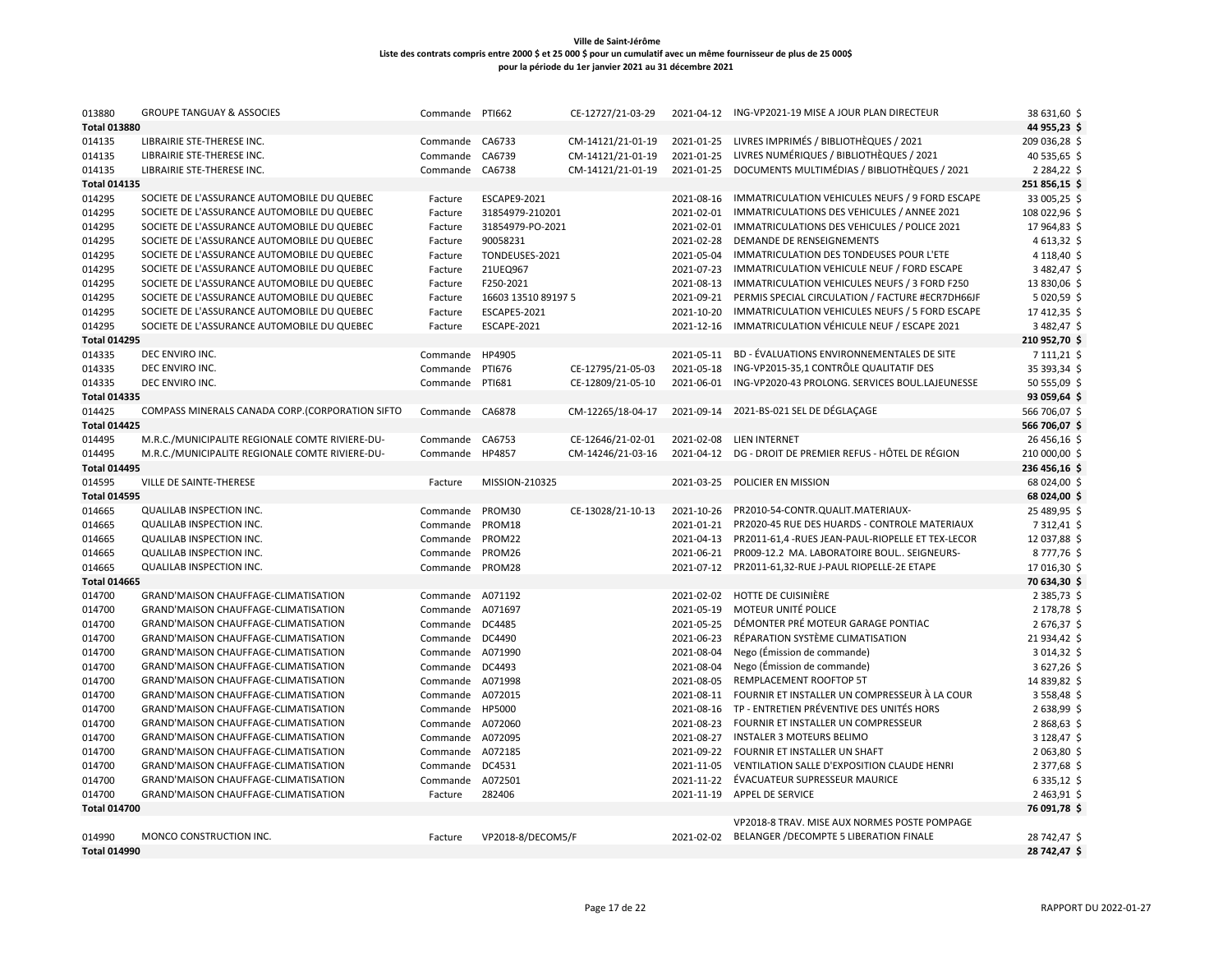| 013880              | <b>GROUPE TANGUAY &amp; ASSOCIES</b>            | Commande         | <b>PTI662</b>       | CE-12727/21-03-29 | 2021-04-12 | ING-VP2021-19 MISE A JOUR PLAN DIRECTEUR           | 38 631,60 \$     |
|---------------------|-------------------------------------------------|------------------|---------------------|-------------------|------------|----------------------------------------------------|------------------|
| <b>Total 013880</b> |                                                 |                  |                     |                   |            |                                                    | 44 955,23 \$     |
| 014135              | LIBRAIRIE STE-THERESE INC.                      | Commande         | CA6733              | CM-14121/21-01-19 | 2021-01-25 | LIVRES IMPRIMÉS / BIBLIOTHÈQUES / 2021             | 209 036,28 \$    |
| 014135              | LIBRAIRIE STE-THERESE INC.                      | Commande         | CA6739              | CM-14121/21-01-19 | 2021-01-25 | LIVRES NUMÉRIQUES / BIBLIOTHÈQUES / 2021           | 40 535,65 \$     |
| 014135              | LIBRAIRIE STE-THERESE INC.                      | Commande         | CA6738              | CM-14121/21-01-19 | 2021-01-25 | DOCUMENTS MULTIMÉDIAS / BIBLIOTHÈQUES / 2021       | 2 2 8 4 , 2 2 \$ |
| <b>Total 014135</b> |                                                 |                  |                     |                   |            |                                                    | 251 856,15 \$    |
| 014295              | SOCIETE DE L'ASSURANCE AUTOMOBILE DU QUEBEC     | Facture          | ESCAPE9-2021        |                   | 2021-08-16 | IMMATRICULATION VEHICULES NEUFS / 9 FORD ESCAPE    | 33 005,25 \$     |
| 014295              | SOCIETE DE L'ASSURANCE AUTOMOBILE DU QUEBEC     | Facture          | 31854979-210201     |                   | 2021-02-01 | IMMATRICULATIONS DES VEHICULES / ANNEE 2021        | 108 022,96 \$    |
| 014295              | SOCIETE DE L'ASSURANCE AUTOMOBILE DU QUEBEC     | Facture          | 31854979-PO-2021    |                   | 2021-02-01 | IMMATRICULATIONS DES VEHICULES / POLICE 2021       | 17964,83\$       |
| 014295              | SOCIETE DE L'ASSURANCE AUTOMOBILE DU QUEBEC     | Facture          | 90058231            |                   | 2021-02-28 | DEMANDE DE RENSEIGNEMENTS                          | 4 613,32 \$      |
| 014295              | SOCIETE DE L'ASSURANCE AUTOMOBILE DU QUEBEC     | Facture          | TONDEUSES-2021      |                   | 2021-05-04 | IMMATRICULATION DES TONDEUSES POUR L'ETE           | 4 118,40 \$      |
| 014295              | SOCIETE DE L'ASSURANCE AUTOMOBILE DU QUEBEC     | Facture          | 21UEQ967            |                   | 2021-07-23 | IMMATRICULATION VEHICULE NEUF / FORD ESCAPE        | 3 482,47 \$      |
| 014295              | SOCIETE DE L'ASSURANCE AUTOMOBILE DU QUEBEC     | Facture          | F250-2021           |                   | 2021-08-13 | IMMATRICULATION VEHICULES NEUFS / 3 FORD F250      | 13 830,06 \$     |
| 014295              | SOCIETE DE L'ASSURANCE AUTOMOBILE DU QUEBEC     | Facture          | 16603 13510 89197 5 |                   | 2021-09-21 | PERMIS SPECIAL CIRCULATION / FACTURE #ECR7DH66JF   | 5 020,59 \$      |
| 014295              | SOCIETE DE L'ASSURANCE AUTOMOBILE DU QUEBEC     | Facture          | <b>ESCAPE5-2021</b> |                   | 2021-10-20 | IMMATRICULATION VEHICULES NEUFS / 5 FORD ESCAPE    | 17412,35\$       |
| 014295              | SOCIETE DE L'ASSURANCE AUTOMOBILE DU QUEBEC     | Facture          | ESCAPE-2021         |                   | 2021-12-16 | IMMATRICULATION VÉHICULE NEUF / ESCAPE 2021        | 3 482,47 \$      |
| <b>Total 014295</b> |                                                 |                  |                     |                   |            |                                                    | 210 952,70 \$    |
| 014335              | DEC ENVIRO INC.                                 | Commande         | HP4905              |                   | 2021-05-11 | BD - ÉVALUATIONS ENVIRONNEMENTALES DE SITE         | 7 111,21 \$      |
| 014335              | DEC ENVIRO INC.                                 | Commande         | PTI676              | CE-12795/21-05-03 | 2021-05-18 | ING-VP2015-35,1 CONTRÔLE QUALITATIF DES            | 35 393,34 \$     |
| 014335              | DEC ENVIRO INC.                                 | Commande         | PTI681              | CE-12809/21-05-10 | 2021-06-01 | ING-VP2020-43 PROLONG. SERVICES BOUL.LAJEUNESSE    | 50 555,09 \$     |
| <b>Total 014335</b> |                                                 |                  |                     |                   |            |                                                    | 93 059,64 \$     |
| 014425              | COMPASS MINERALS CANADA CORP.(CORPORATION SIFTO | Commande         | CA6878              | CM-12265/18-04-17 | 2021-09-14 | 2021-BS-021 SEL DE DÉGLAÇAGE                       | 566 706,07 \$    |
| <b>Total 014425</b> |                                                 |                  |                     |                   |            |                                                    | 566 706,07 \$    |
| 014495              | M.R.C./MUNICIPALITE REGIONALE COMTE RIVIERE-DU- | Commande CA6753  |                     | CE-12646/21-02-01 | 2021-02-08 | <b>LIEN INTERNET</b>                               | 26 456,16 \$     |
| 014495              | M.R.C./MUNICIPALITE REGIONALE COMTE RIVIERE-DU- | Commande         | HP4857              | CM-14246/21-03-16 | 2021-04-12 | DG - DROIT DE PREMIER REFUS - HÔTEL DE RÉGION      | 210 000,00 \$    |
| <b>Total 014495</b> |                                                 |                  |                     |                   |            |                                                    | 236 456,16 \$    |
| 014595              | VILLE DE SAINTE-THERESE                         | Facture          | MISSION-210325      |                   | 2021-03-25 | POLICIER EN MISSION                                | 68 024,00 \$     |
| <b>Total 014595</b> |                                                 |                  |                     |                   |            |                                                    | 68 024,00 \$     |
| 014665              | QUALILAB INSPECTION INC.                        | Commande         | PROM30              | CE-13028/21-10-13 | 2021-10-26 | PR2010-54-CONTR.QUALIT.MATERIAUX-                  | 25 489,95 \$     |
| 014665              | QUALILAB INSPECTION INC.                        | Commande         | PROM18              |                   | 2021-01-21 | PR2020-45 RUE DES HUARDS - CONTROLE MATERIAUX      | 7312,41 \$       |
| 014665              | <b>QUALILAB INSPECTION INC.</b>                 | Commande         | PROM22              |                   | 2021-04-13 | PR2011-61,4 -RUES JEAN-PAUL-RIOPELLE ET TEX-LECOR  | 12 037,88 \$     |
| 014665              | <b>QUALILAB INSPECTION INC.</b>                 | Commande         | PROM26              |                   | 2021-06-21 | PR009-12.2 MA. LABORATOIRE BOUL SEIGNEURS-         | 8777,76\$        |
| 014665              | QUALILAB INSPECTION INC.                        | Commande         | PROM28              |                   | 2021-07-12 | PR2011-61,32-RUE J-PAUL RIOPELLE-2E ETAPE          | 17 016,30 \$     |
| <b>Total 014665</b> |                                                 |                  |                     |                   |            |                                                    | 70 634,30 \$     |
| 014700              | <b>GRAND'MAISON CHAUFFAGE-CLIMATISATION</b>     | Commande A071192 |                     |                   | 2021-02-02 | HOTTE DE CUISINIÈRE                                | 2 3 8 5 , 7 3 \$ |
| 014700              | GRAND'MAISON CHAUFFAGE-CLIMATISATION            | Commande A071697 |                     |                   | 2021-05-19 | MOTEUR UNITÉ POLICE                                | 2 178,78 \$      |
| 014700              | <b>GRAND'MAISON CHAUFFAGE-CLIMATISATION</b>     | Commande         | DC4485              |                   | 2021-05-25 | DÉMONTER PRÉ MOTEUR GARAGE PONTIAC                 | 2 676,37 \$      |
| 014700              | GRAND'MAISON CHAUFFAGE-CLIMATISATION            | Commande         | DC4490              |                   | 2021-06-23 | RÉPARATION SYSTÈME CLIMATISATION                   | 21 934,42 \$     |
| 014700              | <b>GRAND'MAISON CHAUFFAGE-CLIMATISATION</b>     | Commande A071990 |                     |                   | 2021-08-04 | Nego (Émission de commande)                        | 3 014,32 \$      |
| 014700              | <b>GRAND'MAISON CHAUFFAGE-CLIMATISATION</b>     | Commande         | DC4493              |                   | 2021-08-04 | Nego (Émission de commande)                        | 3627,26\$        |
| 014700              | GRAND'MAISON CHAUFFAGE-CLIMATISATION            | Commande A071998 |                     |                   | 2021-08-05 | REMPLACEMENT ROOFTOP 5T                            | 14 839,82 \$     |
| 014700              | GRAND'MAISON CHAUFFAGE-CLIMATISATION            | Commande A072015 |                     |                   | 2021-08-11 | FOURNIR ET INSTALLER UN COMPRESSEUR À LA COUR      | 3 5 5 8,48 \$    |
| 014700              | <b>GRAND'MAISON CHAUFFAGE-CLIMATISATION</b>     | Commande         | HP5000              |                   | 2021-08-16 | TP - ENTRETIEN PRÉVENTIVE DES UNITÉS HORS          | 2 638,99 \$      |
| 014700              | <b>GRAND'MAISON CHAUFFAGE-CLIMATISATION</b>     | Commande A072060 |                     |                   | 2021-08-23 | FOURNIR ET INSTALLER UN COMPRESSEUR                | 2868,63\$        |
| 014700              | GRAND'MAISON CHAUFFAGE-CLIMATISATION            | Commande A072095 |                     |                   | 2021-08-27 | <b>INSTALER 3 MOTEURS BELIMO</b>                   | 3 128,47 \$      |
| 014700              | <b>GRAND'MAISON CHAUFFAGE-CLIMATISATION</b>     | Commande         | A072185             |                   | 2021-09-22 | FOURNIR ET INSTALLER UN SHAFT                      | 2 063,80 \$      |
| 014700              | GRAND'MAISON CHAUFFAGE-CLIMATISATION            | Commande         | DC4531              |                   | 2021-11-05 | VENTILATION SALLE D'EXPOSITION CLAUDE HENRI        | 2 377,68 \$      |
| 014700              | <b>GRAND'MAISON CHAUFFAGE-CLIMATISATION</b>     | Commande         | A072501             |                   | 2021-11-22 | ÉVACUATEUR SUPRESSEUR MAURICE                      | $6335,12$ \$     |
| 014700              | <b>GRAND'MAISON CHAUFFAGE-CLIMATISATION</b>     | Facture          | 282406              |                   | 2021-11-19 | <b>APPEL DE SERVICE</b>                            | 2463,91\$        |
| <b>Total 014700</b> |                                                 |                  |                     |                   |            |                                                    | 76 091,78 \$     |
|                     |                                                 |                  |                     |                   |            | VP2018-8 TRAV. MISE AUX NORMES POSTE POMPAGE       |                  |
| 014990              | MONCO CONSTRUCTION INC.                         | Facture          | VP2018-8/DECOM5/F   |                   |            | 2021-02-02 BELANGER / DECOMPTE 5 LIBERATION FINALE | 28 742,47 \$     |
| <b>Total 014990</b> |                                                 |                  |                     |                   |            |                                                    | 28 742,47 \$     |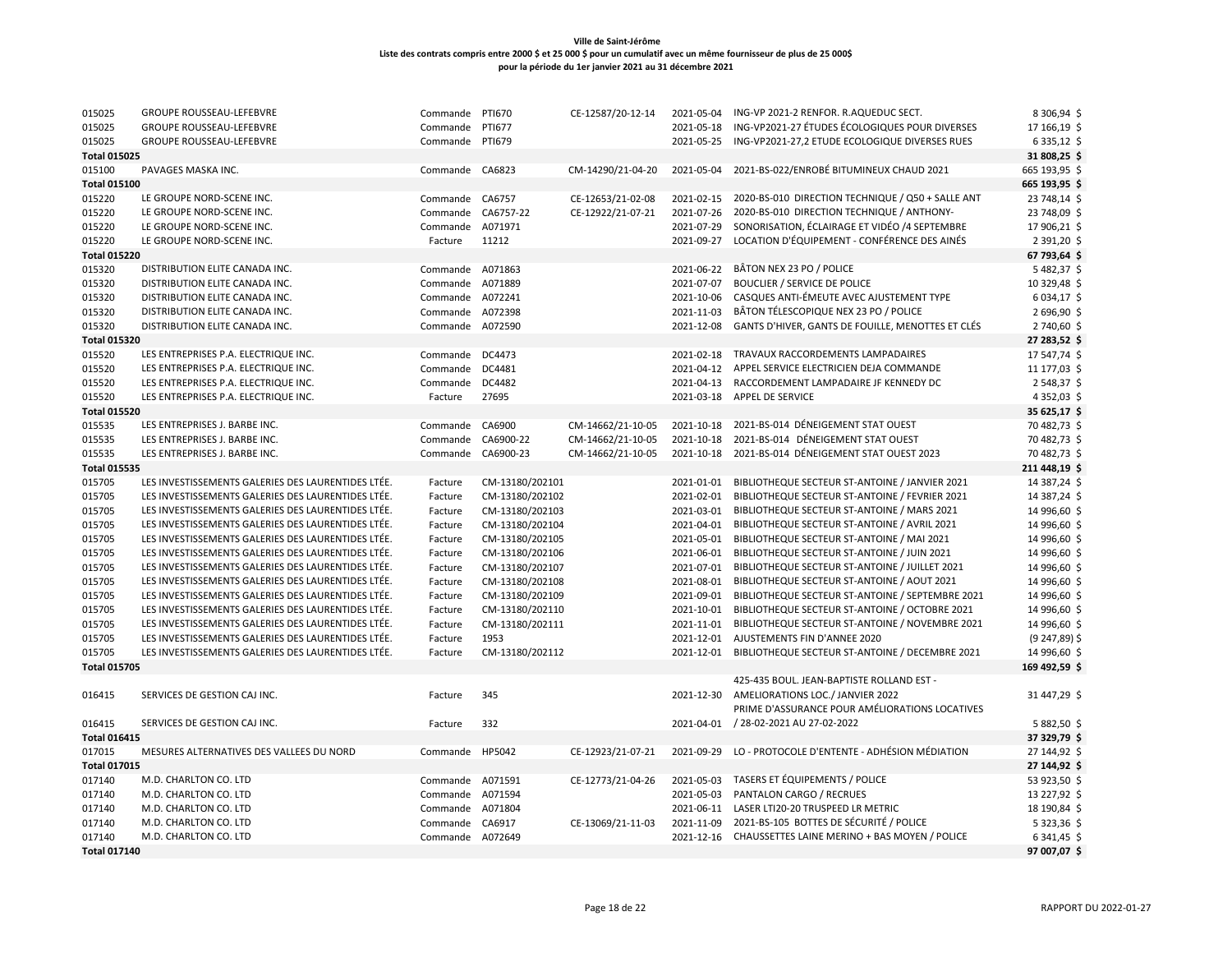| 015025              | <b>GROUPE ROUSSEAU-LEFEBVRE</b>                    | Commande         | PTI670          | CE-12587/20-12-14 | 2021-05-04 | ING-VP 2021-2 RENFOR. R.AQUEDUC SECT.                    | 8 306,94 \$      |
|---------------------|----------------------------------------------------|------------------|-----------------|-------------------|------------|----------------------------------------------------------|------------------|
| 015025              | <b>GROUPE ROUSSEAU-LEFEBVRE</b>                    | Commande         | PTI677          |                   | 2021-05-18 | ING-VP2021-27 ÉTUDES ÉCOLOGIQUES POUR DIVERSES           | 17 166,19 \$     |
| 015025              | <b>GROUPE ROUSSEAU-LEFEBVRE</b>                    | Commande PTI679  |                 |                   | 2021-05-25 | ING-VP2021-27,2 ETUDE ECOLOGIQUE DIVERSES RUES           | $6335,12$ \$     |
| <b>Total 015025</b> |                                                    |                  |                 |                   |            |                                                          | 31 808,25 \$     |
| 015100              | PAVAGES MASKA INC.                                 | Commande CA6823  |                 | CM-14290/21-04-20 | 2021-05-04 | 2021-BS-022/ENROBÉ BITUMINEUX CHAUD 2021                 | 665 193,95 \$    |
| <b>Total 015100</b> |                                                    |                  |                 |                   |            |                                                          | 665 193,95 \$    |
| 015220              | LE GROUPE NORD-SCENE INC.                          | Commande         | CA6757          | CE-12653/21-02-08 | 2021-02-15 | 2020-BS-010 DIRECTION TECHNIQUE / Q50 + SALLE ANT        | 23 748,14        |
| 015220              | LE GROUPE NORD-SCENE INC.                          | Commande         | CA6757-22       | CE-12922/21-07-21 | 2021-07-26 | 2020-BS-010 DIRECTION TECHNIQUE / ANTHONY-               | 23 748,09 \$     |
| 015220              | LE GROUPE NORD-SCENE INC.                          | Commande A071971 |                 |                   | 2021-07-29 | SONORISATION, ÉCLAIRAGE ET VIDÉO /4 SEPTEMBRE            | 17 906,21        |
| 015220              | LE GROUPE NORD-SCENE INC.                          | Facture          | 11212           |                   | 2021-09-27 | LOCATION D'ÉQUIPEMENT - CONFÉRENCE DES AINÉS             | 2 391,20 \$      |
| <b>Total 015220</b> |                                                    |                  |                 |                   |            |                                                          | 67 793,64 \$     |
| 015320              | DISTRIBUTION ELITE CANADA INC.                     | Commande A071863 |                 |                   | 2021-06-22 | BÂTON NEX 23 PO / POLICE                                 | 5482,37          |
| 015320              | DISTRIBUTION ELITE CANADA INC.                     | Commande         | A071889         |                   | 2021-07-07 | <b>BOUCLIER / SERVICE DE POLICE</b>                      | 10 329,48        |
| 015320              | DISTRIBUTION ELITE CANADA INC.                     | Commande         | A072241         |                   | 2021-10-06 | CASQUES ANTI-ÉMEUTE AVEC AJUSTEMENT TYPE                 | 6034,17          |
| 015320              | DISTRIBUTION ELITE CANADA INC.                     | Commande A072398 |                 |                   | 2021-11-03 | BÂTON TÉLESCOPIQUE NEX 23 PO / POLICE                    | 2 696,90 \$      |
| 015320              | DISTRIBUTION ELITE CANADA INC.                     | Commande         | A072590         |                   | 2021-12-08 | GANTS D'HIVER, GANTS DE FOUILLE, MENOTTES ET CLÉS        | 2740,60 \$       |
| <b>Total 015320</b> |                                                    |                  |                 |                   |            |                                                          | 27 283,52 \$     |
| 015520              | LES ENTREPRISES P.A. ELECTRIQUE INC.               | Commande DC4473  |                 |                   | 2021-02-18 | TRAVAUX RACCORDEMENTS LAMPADAIRES                        | 17 547,74 \$     |
| 015520              | LES ENTREPRISES P.A. ELECTRIQUE INC.               | Commande         | DC4481          |                   | 2021-04-12 | APPEL SERVICE ELECTRICIEN DEJA COMMANDE                  | 11 177,03 \$     |
| 015520              | LES ENTREPRISES P.A. ELECTRIQUE INC.               | Commande         | DC4482          |                   | 2021-04-13 | RACCORDEMENT LAMPADAIRE JF KENNEDY DC                    | 2548,37\$        |
| 015520              | LES ENTREPRISES P.A. ELECTRIQUE INC.               | Facture          | 27695           |                   | 2021-03-18 | <b>APPEL DE SERVICE</b>                                  | 4 3 5 2 , 0 3 \$ |
| <b>Total 015520</b> |                                                    |                  |                 |                   |            |                                                          | 35 625,17 \$     |
| 015535              | LES ENTREPRISES J. BARBE INC.                      | Commande         | CA6900          | CM-14662/21-10-05 | 2021-10-18 | 2021-BS-014 DÉNEIGEMENT STAT OUEST                       | 70 482,73 \$     |
| 015535              | LES ENTREPRISES J. BARBE INC.                      | Commande         | CA6900-22       | CM-14662/21-10-05 | 2021-10-18 | 2021-BS-014 DÉNEIGEMENT STAT OUEST                       | 70 482,73 \$     |
| 015535              | LES ENTREPRISES J. BARBE INC.                      | Commande         | CA6900-23       | CM-14662/21-10-05 | 2021-10-18 | 2021-BS-014 DÉNEIGEMENT STAT OUEST 2023                  | 70 482,73 \$     |
| <b>Total 015535</b> |                                                    |                  |                 |                   |            |                                                          | 211 448,19 \$    |
| 015705              | LES INVESTISSEMENTS GALERIES DES LAURENTIDES LTÉE. | Facture          | CM-13180/202101 |                   | 2021-01-01 | BIBLIOTHEQUE SECTEUR ST-ANTOINE / JANVIER 2021           | 14 387,24 \$     |
| 015705              | LES INVESTISSEMENTS GALERIES DES LAURENTIDES LTÉE. | Facture          | CM-13180/202102 |                   | 2021-02-01 | BIBLIOTHEQUE SECTEUR ST-ANTOINE / FEVRIER 2021           | 14 387,24 \$     |
| 015705              | LES INVESTISSEMENTS GALERIES DES LAURENTIDES LTÉE. | Facture          | CM-13180/202103 |                   | 2021-03-01 | BIBLIOTHEQUE SECTEUR ST-ANTOINE / MARS 2021              | 14 996,60 \$     |
| 015705              | LES INVESTISSEMENTS GALERIES DES LAURENTIDES LTÉE. | Facture          | CM-13180/202104 |                   | 2021-04-01 | BIBLIOTHEQUE SECTEUR ST-ANTOINE / AVRIL 2021             | 14 996,60 \$     |
| 015705              | LES INVESTISSEMENTS GALERIES DES LAURENTIDES LTÉE. | Facture          | CM-13180/202105 |                   | 2021-05-01 | BIBLIOTHEQUE SECTEUR ST-ANTOINE / MAI 2021               | 14 996,60 \$     |
| 015705              | LES INVESTISSEMENTS GALERIES DES LAURENTIDES LTÉE. | Facture          | CM-13180/202106 |                   | 2021-06-01 | BIBLIOTHEQUE SECTEUR ST-ANTOINE / JUIN 2021              | 14 996,60 \$     |
| 015705              | LES INVESTISSEMENTS GALERIES DES LAURENTIDES LTÉE. | Facture          | CM-13180/202107 |                   | 2021-07-01 | BIBLIOTHEQUE SECTEUR ST-ANTOINE / JUILLET 2021           | 14 996,60 \$     |
| 015705              | LES INVESTISSEMENTS GALERIES DES LAURENTIDES LTÉE. | Facture          | CM-13180/202108 |                   | 2021-08-01 | BIBLIOTHEQUE SECTEUR ST-ANTOINE / AOUT 2021              | 14 996,60 \$     |
| 015705              | LES INVESTISSEMENTS GALERIES DES LAURENTIDES LTÉE. | Facture          | CM-13180/202109 |                   | 2021-09-01 | BIBLIOTHEQUE SECTEUR ST-ANTOINE / SEPTEMBRE 2021         | 14 996,60 \$     |
| 015705              | LES INVESTISSEMENTS GALERIES DES LAURENTIDES LTÉE. | Facture          | CM-13180/202110 |                   | 2021-10-01 | BIBLIOTHEQUE SECTEUR ST-ANTOINE / OCTOBRE 2021           | 14 996,60 \$     |
| 015705              | LES INVESTISSEMENTS GALERIES DES LAURENTIDES LTÉE. | Facture          | CM-13180/202111 |                   | 2021-11-01 | BIBLIOTHEQUE SECTEUR ST-ANTOINE / NOVEMBRE 2021          | 14 996,60 \$     |
| 015705              | LES INVESTISSEMENTS GALERIES DES LAURENTIDES LTÉE. | Facture          | 1953            |                   | 2021-12-01 | AJUSTEMENTS FIN D'ANNEE 2020                             | (9 247,89) \$    |
| 015705              | LES INVESTISSEMENTS GALERIES DES LAURENTIDES LTÉE. | Facture          | CM-13180/202112 |                   | 2021-12-01 | BIBLIOTHEQUE SECTEUR ST-ANTOINE / DECEMBRE 2021          | 14 996,60 \$     |
| <b>Total 015705</b> |                                                    |                  |                 |                   |            |                                                          | 169 492,59 \$    |
|                     |                                                    |                  |                 |                   |            | 425-435 BOUL. JEAN-BAPTISTE ROLLAND EST -                |                  |
| 016415              | SERVICES DE GESTION CAJ INC.                       | Facture          | 345             |                   | 2021-12-30 | AMELIORATIONS LOC./ JANVIER 2022                         | 31 447,29 \$     |
|                     |                                                    |                  |                 |                   |            | PRIME D'ASSURANCE POUR AMÉLIORATIONS LOCATIVES           |                  |
| 016415              | SERVICES DE GESTION CAJ INC.                       | Facture          | 332             |                   | 2021-04-01 | / 28-02-2021 AU 27-02-2022                               | 5882,50 \$       |
| <b>Total 016415</b> |                                                    |                  |                 |                   |            |                                                          | 37 329,79 \$     |
| 017015              | MESURES ALTERNATIVES DES VALLEES DU NORD           | Commande HP5042  |                 | CE-12923/21-07-21 | 2021-09-29 | LO - PROTOCOLE D'ENTENTE - ADHÉSION MÉDIATION            | 27 144,92 \$     |
| <b>Total 017015</b> |                                                    |                  |                 |                   |            |                                                          | 27 144,92 \$     |
| 017140              | M.D. CHARLTON CO. LTD                              | Commande A071591 |                 | CE-12773/21-04-26 | 2021-05-03 | TASERS ET ÉQUIPEMENTS / POLICE                           | 53 923,50 \$     |
| 017140              | M.D. CHARLTON CO. LTD                              | Commande A071594 |                 |                   | 2021-05-03 | PANTALON CARGO / RECRUES                                 | 13 227,92 \$     |
| 017140              | M.D. CHARLTON CO. LTD                              | Commande         | A071804         |                   | 2021-06-11 | LASER LTI20-20 TRUSPEED LR METRIC                        | 18 190,84 \$     |
| 017140              | M.D. CHARLTON CO. LTD                              | Commande         | CA6917          | CE-13069/21-11-03 | 2021-11-09 | 2021-BS-105 BOTTES DE SÉCURITÉ / POLICE                  | 5323,365         |
| 017140              | M.D. CHARLTON CO. LTD                              | Commande A072649 |                 |                   |            | 2021-12-16 CHAUSSETTES LAINE MERINO + BAS MOYEN / POLICE | $6341,45$ \$     |
| <b>Total 017140</b> |                                                    |                  |                 |                   |            |                                                          | 97 007,07 \$     |
|                     |                                                    |                  |                 |                   |            |                                                          |                  |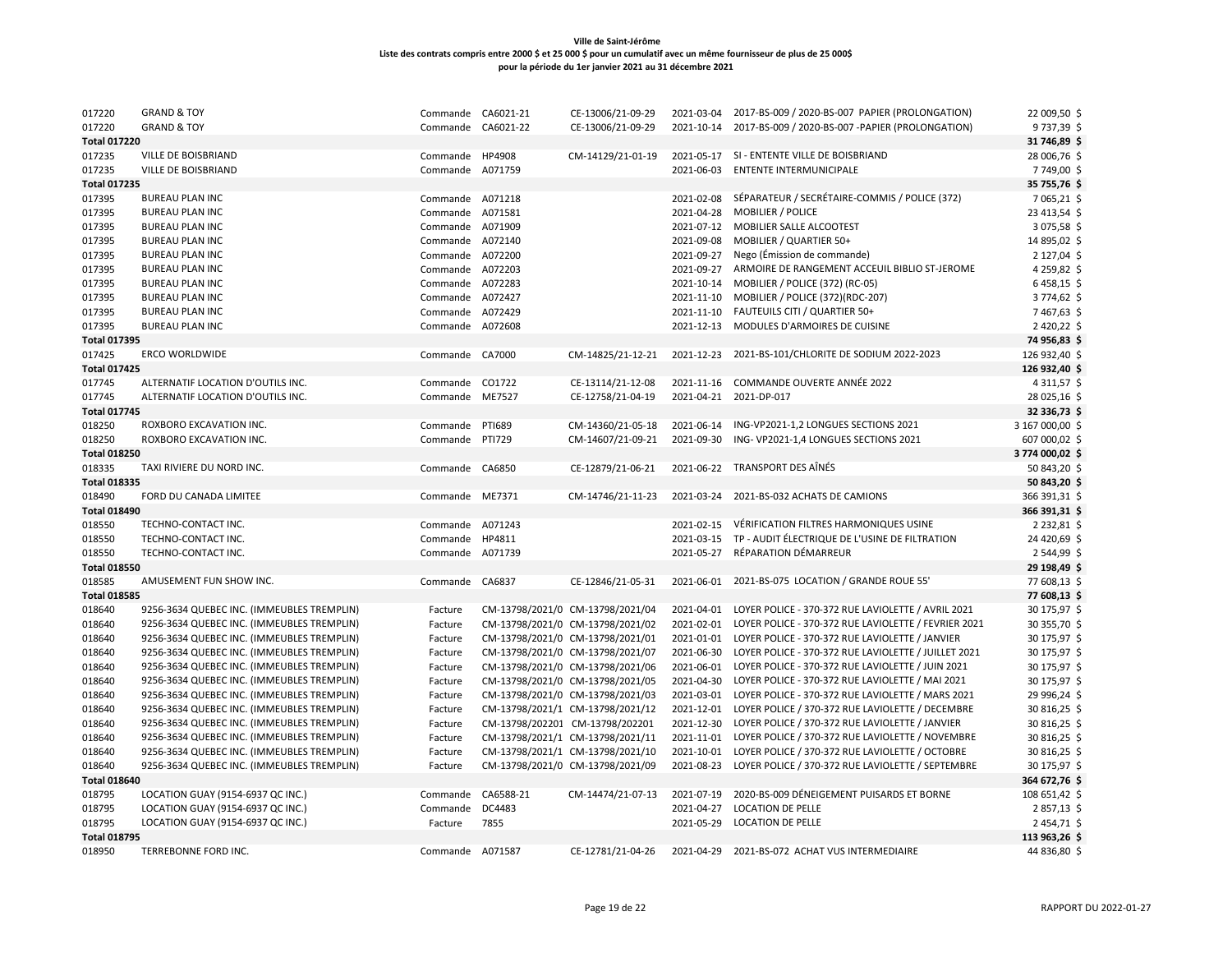| 017220              | <b>GRAND &amp; TOY</b>                     | Commande CA6021-21 |               | CE-13006/21-09-29                | 2021-03-04 | 2017-BS-009 / 2020-BS-007 PAPIER (PROLONGATION)      | 22 009,50 \$     |
|---------------------|--------------------------------------------|--------------------|---------------|----------------------------------|------------|------------------------------------------------------|------------------|
| 017220              | <b>GRAND &amp; TOY</b>                     | Commande CA6021-22 |               | CE-13006/21-09-29                | 2021-10-14 | 2017-BS-009 / 2020-BS-007 -PAPIER (PROLONGATION)     | 9737,39\$        |
| <b>Total 017220</b> |                                            |                    |               |                                  |            |                                                      | 31 746,89 \$     |
| 017235              | VILLE DE BOISBRIAND                        | Commande HP4908    |               | CM-14129/21-01-19                |            | 2021-05-17 SI - ENTENTE VILLE DE BOISBRIAND          | 28 006,76 \$     |
| 017235              | VILLE DE BOISBRIAND                        | Commande A071759   |               |                                  | 2021-06-03 | <b>ENTENTE INTERMUNICIPALE</b>                       | 7749,00 \$       |
| <b>Total 017235</b> |                                            |                    |               |                                  |            |                                                      | 35 755,76 \$     |
| 017395              | <b>BUREAU PLAN INC</b>                     | Commande A071218   |               |                                  | 2021-02-08 | SÉPARATEUR / SECRÉTAIRE-COMMIS / POLICE (372)        | 7 065,21 \$      |
| 017395              | <b>BUREAU PLAN INC</b>                     | Commande A071581   |               |                                  | 2021-04-28 | <b>MOBILIER / POLICE</b>                             | 23 413,54 \$     |
| 017395              | <b>BUREAU PLAN INC</b>                     | Commande A071909   |               |                                  | 2021-07-12 | MOBILIER SALLE ALCOOTEST                             | 3075,58\$        |
| 017395              | <b>BUREAU PLAN INC</b>                     | Commande A072140   |               |                                  | 2021-09-08 | MOBILIER / QUARTIER 50+                              | 14 895,02 \$     |
| 017395              | <b>BUREAU PLAN INC</b>                     | Commande A072200   |               |                                  | 2021-09-27 | Nego (Émission de commande)                          | 2 127,04 \$      |
| 017395              | <b>BUREAU PLAN INC</b>                     | Commande A072203   |               |                                  | 2021-09-27 | ARMOIRE DE RANGEMENT ACCEUIL BIBLIO ST-JEROME        | 4 2 5 9 , 8 2 \$ |
| 017395              | <b>BUREAU PLAN INC</b>                     | Commande A072283   |               |                                  | 2021-10-14 | MOBILIER / POLICE (372) (RC-05)                      | 6458,15\$        |
| 017395              | <b>BUREAU PLAN INC</b>                     | Commande A072427   |               |                                  | 2021-11-10 | MOBILIER / POLICE (372)(RDC-207)                     | 3 774,62 \$      |
| 017395              | <b>BUREAU PLAN INC</b>                     | Commande A072429   |               |                                  | 2021-11-10 | FAUTEUILS CITI / QUARTIER 50+                        | 7467,63\$        |
| 017395              | <b>BUREAU PLAN INC</b>                     | Commande           | A072608       |                                  | 2021-12-13 | MODULES D'ARMOIRES DE CUISINE                        | 2420,22\$        |
| <b>Total 017395</b> |                                            |                    |               |                                  |            |                                                      | 74 956,83 \$     |
| 017425              | <b>ERCO WORLDWIDE</b>                      | Commande CA7000    |               | CM-14825/21-12-21                | 2021-12-23 | 2021-BS-101/CHLORITE DE SODIUM 2022-2023             | 126 932,40 \$    |
| <b>Total 017425</b> |                                            |                    |               |                                  |            |                                                      | 126 932,40 \$    |
| 017745              | ALTERNATIF LOCATION D'OUTILS INC.          | Commande           | CO1722        | CE-13114/21-12-08                | 2021-11-16 | COMMANDE OUVERTE ANNÉE 2022                          | 4 3 1 1, 5 7 \$  |
| 017745              | ALTERNATIF LOCATION D'OUTILS INC.          | Commande           | ME7527        | CE-12758/21-04-19                | 2021-04-21 | 2021-DP-017                                          | 28 025,16 \$     |
| <b>Total 017745</b> |                                            |                    |               |                                  |            |                                                      | 32 336,73 \$     |
| 018250              | ROXBORO EXCAVATION INC.                    | Commande           | <b>PTI689</b> | CM-14360/21-05-18                | 2021-06-14 | ING-VP2021-1,2 LONGUES SECTIONS 2021                 | 3 167 000,00 \$  |
| 018250              | ROXBORO EXCAVATION INC.                    | Commande           | <b>PTI729</b> | CM-14607/21-09-21                | 2021-09-30 | ING-VP2021-1,4 LONGUES SECTIONS 2021                 | 607 000,02 \$    |
| <b>Total 018250</b> |                                            |                    |               |                                  |            |                                                      | 3774 000,02 \$   |
| 018335              | TAXI RIVIERE DU NORD INC.                  | Commande CA6850    |               | CE-12879/21-06-21                | 2021-06-22 | TRANSPORT DES AÎNÉS                                  | 50 843,20 \$     |
| <b>Total 018335</b> |                                            |                    |               |                                  |            |                                                      | 50 843,20 \$     |
| 018490              | FORD DU CANADA LIMITEE                     | Commande ME7371    |               | CM-14746/21-11-23                | 2021-03-24 | 2021-BS-032 ACHATS DE CAMIONS                        | 366 391,31 \$    |
| <b>Total 018490</b> |                                            |                    |               |                                  |            |                                                      | 366 391,31 \$    |
| 018550              | TECHNO-CONTACT INC.                        | Commande           | A071243       |                                  | 2021-02-15 | VÉRIFICATION FILTRES HARMONIQUES USINE               | 2 2 3 2, 8 1 \$  |
| 018550              | TECHNO-CONTACT INC.                        | Commande           | HP4811        |                                  | 2021-03-15 | TP - AUDIT ÉLECTRIQUE DE L'USINE DE FILTRATION       | 24 420,69 \$     |
| 018550              | TECHNO-CONTACT INC.                        | Commande A071739   |               |                                  | 2021-05-27 | RÉPARATION DÉMARREUR                                 | 2544,99\$        |
| <b>Total 018550</b> |                                            |                    |               |                                  |            |                                                      | 29 198,49 \$     |
| 018585              | AMUSEMENT FUN SHOW INC.                    | Commande CA6837    |               | CE-12846/21-05-31                | 2021-06-01 | 2021-BS-075 LOCATION / GRANDE ROUE 55'               | 77 608,13 \$     |
| <b>Total 018585</b> |                                            |                    |               |                                  |            |                                                      | 77 608,13 \$     |
| 018640              | 9256-3634 QUEBEC INC. (IMMEUBLES TREMPLIN) | Facture            |               | CM-13798/2021/0 CM-13798/2021/04 | 2021-04-01 | LOYER POLICE - 370-372 RUE LAVIOLETTE / AVRIL 2021   | 30 175,97 \$     |
| 018640              | 9256-3634 QUEBEC INC. (IMMEUBLES TREMPLIN) | Facture            |               | CM-13798/2021/0 CM-13798/2021/02 | 2021-02-01 | LOYER POLICE - 370-372 RUE LAVIOLETTE / FEVRIER 2021 | 30 355,70 \$     |
| 018640              | 9256-3634 QUEBEC INC. (IMMEUBLES TREMPLIN) | Facture            |               | CM-13798/2021/0 CM-13798/2021/01 | 2021-01-01 | LOYER POLICE - 370-372 RUE LAVIOLETTE / JANVIER      | 30 175,97 \$     |
| 018640              | 9256-3634 QUEBEC INC. (IMMEUBLES TREMPLIN) | Facture            |               | CM-13798/2021/0 CM-13798/2021/07 | 2021-06-30 | LOYER POLICE - 370-372 RUE LAVIOLETTE / JUILLET 2021 | 30 175,97 \$     |
| 018640              | 9256-3634 QUEBEC INC. (IMMEUBLES TREMPLIN) | Facture            |               | CM-13798/2021/0 CM-13798/2021/06 | 2021-06-01 | LOYER POLICE - 370-372 RUE LAVIOLETTE / JUIN 2021    | 30 175,97 \$     |
| 018640              | 9256-3634 QUEBEC INC. (IMMEUBLES TREMPLIN) | Facture            |               | CM-13798/2021/0 CM-13798/2021/05 | 2021-04-30 | LOYER POLICE - 370-372 RUE LAVIOLETTE / MAI 2021     | 30 175,97 \$     |
| 018640              | 9256-3634 QUEBEC INC. (IMMEUBLES TREMPLIN) | Facture            |               | CM-13798/2021/0 CM-13798/2021/03 | 2021-03-01 | LOYER POLICE - 370-372 RUE LAVIOLETTE / MARS 2021    | 29 996,24 \$     |
| 018640              | 9256-3634 QUEBEC INC. (IMMEUBLES TREMPLIN) | Facture            |               | CM-13798/2021/1 CM-13798/2021/12 | 2021-12-01 | LOYER POLICE / 370-372 RUE LAVIOLETTE / DECEMBRE     | 30 816,25 \$     |
| 018640              | 9256-3634 QUEBEC INC. (IMMEUBLES TREMPLIN) | Facture            |               | CM-13798/202201 CM-13798/202201  | 2021-12-30 | LOYER POLICE / 370-372 RUE LAVIOLETTE / JANVIER      | 30 816,25 \$     |
| 018640              | 9256-3634 QUEBEC INC. (IMMEUBLES TREMPLIN) | Facture            |               | CM-13798/2021/1 CM-13798/2021/11 | 2021-11-01 | LOYER POLICE / 370-372 RUE LAVIOLETTE / NOVEMBRE     | 30 816,25 \$     |
| 018640              | 9256-3634 QUEBEC INC. (IMMEUBLES TREMPLIN) | Facture            |               | CM-13798/2021/1 CM-13798/2021/10 | 2021-10-01 | LOYER POLICE / 370-372 RUE LAVIOLETTE / OCTOBRE      | 30 816,25 \$     |
| 018640              | 9256-3634 QUEBEC INC. (IMMEUBLES TREMPLIN) | Facture            |               | CM-13798/2021/0 CM-13798/2021/09 | 2021-08-23 | LOYER POLICE / 370-372 RUE LAVIOLETTE / SEPTEMBRE    | 30 175,97 \$     |
| <b>Total 018640</b> |                                            |                    |               |                                  |            |                                                      | 364 672,76 \$    |
| 018795              | LOCATION GUAY (9154-6937 QC INC.)          | Commande           | CA6588-21     | CM-14474/21-07-13                | 2021-07-19 | 2020-BS-009 DÉNEIGEMENT PUISARDS ET BORNE            | 108 651,42 \$    |
| 018795              | LOCATION GUAY (9154-6937 QC INC.)          | Commande           | DC4483        |                                  | 2021-04-27 | <b>LOCATION DE PELLE</b>                             | 2857,13\$        |
| 018795              | LOCATION GUAY (9154-6937 QC INC.)          | Facture            | 7855          |                                  | 2021-05-29 | <b>LOCATION DE PELLE</b>                             | 2454,71\$        |
| <b>Total 018795</b> |                                            |                    |               |                                  |            |                                                      | 113 963,26 \$    |
| 018950              | TERREBONNE FORD INC.                       | Commande A071587   |               | CE-12781/21-04-26                |            | 2021-04-29 2021-BS-072 ACHAT VUS INTERMEDIAIRE       | 44 836,80 \$     |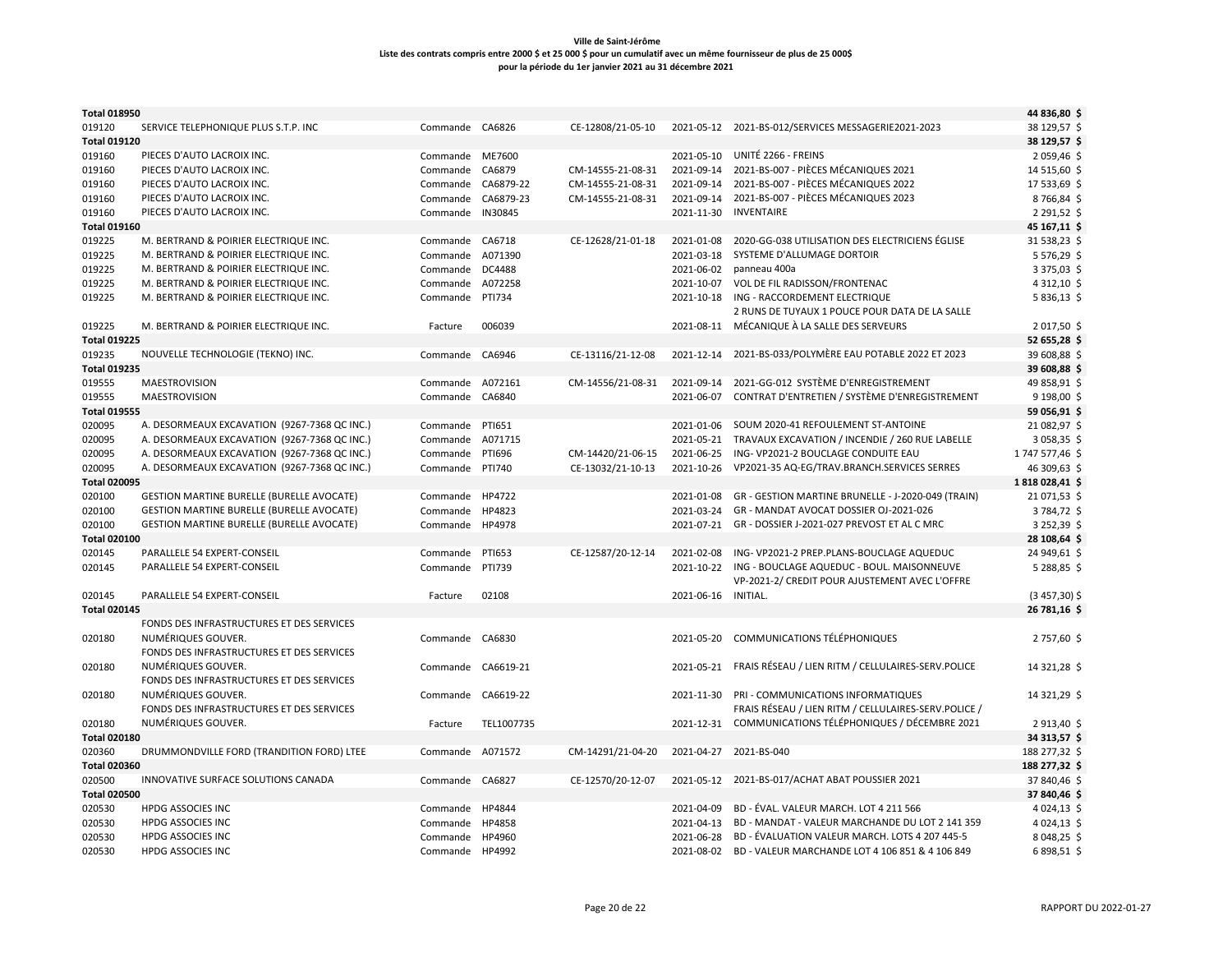| <b>Total 018950</b> |                                                  |                    |               |                   |                     |                                                            | 44 836,80 \$     |
|---------------------|--------------------------------------------------|--------------------|---------------|-------------------|---------------------|------------------------------------------------------------|------------------|
| 019120              | SERVICE TELEPHONIQUE PLUS S.T.P. INC             | Commande CA6826    |               | CE-12808/21-05-10 |                     | 2021-05-12 2021-BS-012/SERVICES MESSAGERIE2021-2023        | 38 129,57 \$     |
| <b>Total 019120</b> |                                                  |                    |               |                   |                     |                                                            | 38 129,57 \$     |
| 019160              | PIECES D'AUTO LACROIX INC.                       | Commande ME7600    |               |                   | 2021-05-10          | UNITÉ 2266 - FREINS                                        | 2059,46\$        |
| 019160              | PIECES D'AUTO LACROIX INC.                       | Commande           | CA6879        | CM-14555-21-08-31 | 2021-09-14          | 2021-BS-007 - PIÈCES MÉCANIQUES 2021                       | 14 515,60 \$     |
| 019160              | PIECES D'AUTO LACROIX INC.                       | Commande           | CA6879-22     | CM-14555-21-08-31 | 2021-09-14          | 2021-BS-007 - PIÈCES MÉCANIQUES 2022                       | 17 533,69 \$     |
| 019160              | PIECES D'AUTO LACROIX INC.                       | Commande           | CA6879-23     | CM-14555-21-08-31 | 2021-09-14          | 2021-BS-007 - PIÈCES MÉCANIQUES 2023                       | 8766,84          |
| 019160              | PIECES D'AUTO LACROIX INC.                       | Commande           | IN30845       |                   | 2021-11-30          | <b>INVENTAIRE</b>                                          | 2 2 9 1 , 5 2 \$ |
| <b>Total 019160</b> |                                                  |                    |               |                   |                     |                                                            | 45 167,11 \$     |
| 019225              | M. BERTRAND & POIRIER ELECTRIQUE INC.            | Commande           | CA6718        | CE-12628/21-01-18 | 2021-01-08          | 2020-GG-038 UTILISATION DES ELECTRICIENS ÉGLISE            | 31 538,23 \$     |
| 019225              | M. BERTRAND & POIRIER ELECTRIQUE INC.            | Commande           | A071390       |                   | 2021-03-18          | SYSTEME D'ALLUMAGE DORTOIR                                 | 5576,29          |
| 019225              | M. BERTRAND & POIRIER ELECTRIQUE INC.            | Commande DC4488    |               |                   | 2021-06-02          | panneau 400a                                               | 3 375,03 \$      |
| 019225              | M. BERTRAND & POIRIER ELECTRIQUE INC.            | Commande           | A072258       |                   | 2021-10-07          | VOL DE FIL RADISSON/FRONTENAC                              | 4 3 12, 10 \$    |
| 019225              | M. BERTRAND & POIRIER ELECTRIQUE INC.            | Commande           | <b>PTI734</b> |                   | 2021-10-18          | ING - RACCORDEMENT ELECTRIQUE                              | 5836,13\$        |
|                     |                                                  |                    |               |                   |                     | 2 RUNS DE TUYAUX 1 POUCE POUR DATA DE LA SALLE             |                  |
| 019225              | M. BERTRAND & POIRIER ELECTRIQUE INC.            | Facture            | 006039        |                   | 2021-08-11          | MÉCANIQUE À LA SALLE DES SERVEURS                          | 2 017,50 \$      |
| <b>Total 019225</b> |                                                  |                    |               |                   |                     |                                                            | 52 655,28 \$     |
| 019235              | NOUVELLE TECHNOLOGIE (TEKNO) INC.                | Commande           | CA6946        | CE-13116/21-12-08 | 2021-12-14          | 2021-BS-033/POLYMÈRE EAU POTABLE 2022 ET 2023              | 39 608,88 \$     |
| <b>Total 019235</b> |                                                  |                    |               |                   |                     |                                                            | 39 608,88 \$     |
| 019555              | <b>MAESTROVISION</b>                             | Commande A072161   |               | CM-14556/21-08-31 | 2021-09-14          | 2021-GG-012 SYSTÈME D'ENREGISTREMENT                       | 49 858,91 \$     |
| 019555              | MAESTROVISION                                    | Commande           | CA6840        |                   | 2021-06-07          | CONTRAT D'ENTRETIEN / SYSTÈME D'ENREGISTREMENT             | $9198,00$ \$     |
| <b>Total 019555</b> |                                                  |                    |               |                   |                     |                                                            | 59 056,91 \$     |
| 020095              | A. DESORMEAUX EXCAVATION (9267-7368 QC INC.)     | Commande           | PTI651        |                   | 2021-01-06          | SOUM 2020-41 REFOULEMENT ST-ANTOINE                        | 21 082,97        |
| 020095              | A. DESORMEAUX EXCAVATION (9267-7368 QC INC.)     | Commande           | A071715       |                   | 2021-05-21          | TRAVAUX EXCAVATION / INCENDIE / 260 RUE LABELLE            | 3 058,35 \$      |
| 020095              | A. DESORMEAUX EXCAVATION (9267-7368 QC INC.)     | Commande           | PTI696        | CM-14420/21-06-15 | 2021-06-25          | ING-VP2021-2 BOUCLAGE CONDUITE EAU                         | 1747577,46\$     |
| 020095              | A. DESORMEAUX EXCAVATION (9267-7368 QC INC.)     | Commande           | <b>PTI740</b> | CE-13032/21-10-13 | 2021-10-26          | VP2021-35 AQ-EG/TRAV.BRANCH.SERVICES SERRES                | 46 309,63 \$     |
| <b>Total 020095</b> |                                                  |                    |               |                   |                     |                                                            | 1818028,41       |
| 020100              | <b>GESTION MARTINE BURELLE (BURELLE AVOCATE)</b> | Commande HP4722    |               |                   | 2021-01-08          | GR - GESTION MARTINE BRUNELLE - J-2020-049 (TRAIN)         | 21 071,53 \$     |
| 020100              | <b>GESTION MARTINE BURELLE (BURELLE AVOCATE)</b> | Commande           | HP4823        |                   | 2021-03-24          | GR - MANDAT AVOCAT DOSSIER OJ-2021-026                     | 3784,72\$        |
| 020100              | <b>GESTION MARTINE BURELLE (BURELLE AVOCATE)</b> | Commande           | HP4978        |                   | 2021-07-21          | GR - DOSSIER J-2021-027 PREVOST ET AL C MRC                | 3 252,39 \$      |
| <b>Total 020100</b> |                                                  |                    |               |                   |                     |                                                            | 28 108,64 \$     |
| 020145              | PARALLELE 54 EXPERT-CONSEIL                      | Commande           | PTI653        | CE-12587/20-12-14 | 2021-02-08          | ING-VP2021-2 PREP.PLANS-BOUCLAGE AQUEDUC                   | 24 949,61 \$     |
| 020145              | PARALLELE 54 EXPERT-CONSEIL                      | Commande           | PTI739        |                   | 2021-10-22          | ING - BOUCLAGE AQUEDUC - BOUL. MAISONNEUVE                 | 5 288,85 \$      |
|                     |                                                  |                    |               |                   |                     | VP-2021-2/ CREDIT POUR AJUSTEMENT AVEC L'OFFRE             |                  |
| 020145              | PARALLELE 54 EXPERT-CONSEIL                      | Facture            | 02108         |                   | 2021-06-16 INITIAL. |                                                            | $(3457,30)$ \$   |
| <b>Total 020145</b> |                                                  |                    |               |                   |                     |                                                            | 26 781,16 \$     |
|                     | FONDS DES INFRASTRUCTURES ET DES SERVICES        |                    |               |                   |                     |                                                            |                  |
| 020180              | NUMÉRIQUES GOUVER.                               | Commande CA6830    |               |                   | 2021-05-20          | <b>COMMUNICATIONS TÉLÉPHONIQUES</b>                        | 2757,60 \$       |
|                     | FONDS DES INFRASTRUCTURES ET DES SERVICES        |                    |               |                   |                     |                                                            |                  |
| 020180              | NUMÉRIQUES GOUVER.                               | Commande CA6619-21 |               |                   | 2021-05-21          | FRAIS RÉSEAU / LIEN RITM / CELLULAIRES-SERV.POLICE         | 14 321,28 \$     |
|                     | FONDS DES INFRASTRUCTURES ET DES SERVICES        |                    |               |                   |                     |                                                            |                  |
| 020180              | NUMÉRIQUES GOUVER.                               | Commande           | CA6619-22     |                   | 2021-11-30          | PRI - COMMUNICATIONS INFORMATIQUES                         | 14 321,29 \$     |
|                     | FONDS DES INFRASTRUCTURES ET DES SERVICES        |                    |               |                   |                     | FRAIS RÉSEAU / LIEN RITM / CELLULAIRES-SERV.POLICE /       |                  |
| 020180              | NUMÉRIQUES GOUVER.                               | Facture            | TEL1007735    |                   | 2021-12-31          | COMMUNICATIONS TÉLÉPHONIQUES / DÉCEMBRE 2021               | 2913,40\$        |
| <b>Total 020180</b> |                                                  |                    |               |                   |                     |                                                            | 34 313,57 \$     |
| 020360              | DRUMMONDVILLE FORD (TRANDITION FORD) LTEE        | Commande A071572   |               | CM-14291/21-04-20 | 2021-04-27          | 2021-BS-040                                                | 188 277,32 \$    |
| <b>Total 020360</b> |                                                  |                    |               |                   |                     |                                                            | 188 277,32 \$    |
| 020500              | INNOVATIVE SURFACE SOLUTIONS CANADA              | Commande CA6827    |               | CE-12570/20-12-07 | 2021-05-12          | 2021-BS-017/ACHAT ABAT POUSSIER 2021                       | 37 840,46 \$     |
| <b>Total 020500</b> |                                                  |                    |               |                   |                     |                                                            | 37 840,46        |
| 020530              | HPDG ASSOCIES INC                                | Commande           | HP4844        |                   | 2021-04-09          | BD - ÉVAL. VALEUR MARCH. LOT 4 211 566                     | 4 0 24, 13 \$    |
| 020530              | <b>HPDG ASSOCIES INC</b>                         | Commande           | HP4858        |                   | 2021-04-13          | BD - MANDAT - VALEUR MARCHANDE DU LOT 2 141 359            | 4 0 24, 13 \$    |
| 020530              | <b>HPDG ASSOCIES INC</b>                         | Commande           | HP4960        |                   | 2021-06-28          | BD - ÉVALUATION VALEUR MARCH. LOTS 4 207 445-5             | 8 048,25 \$      |
| 020530              | <b>HPDG ASSOCIES INC</b>                         | Commande HP4992    |               |                   |                     | 2021-08-02 BD - VALEUR MARCHANDE LOT 4 106 851 & 4 106 849 | 6898,51 \$       |
|                     |                                                  |                    |               |                   |                     |                                                            |                  |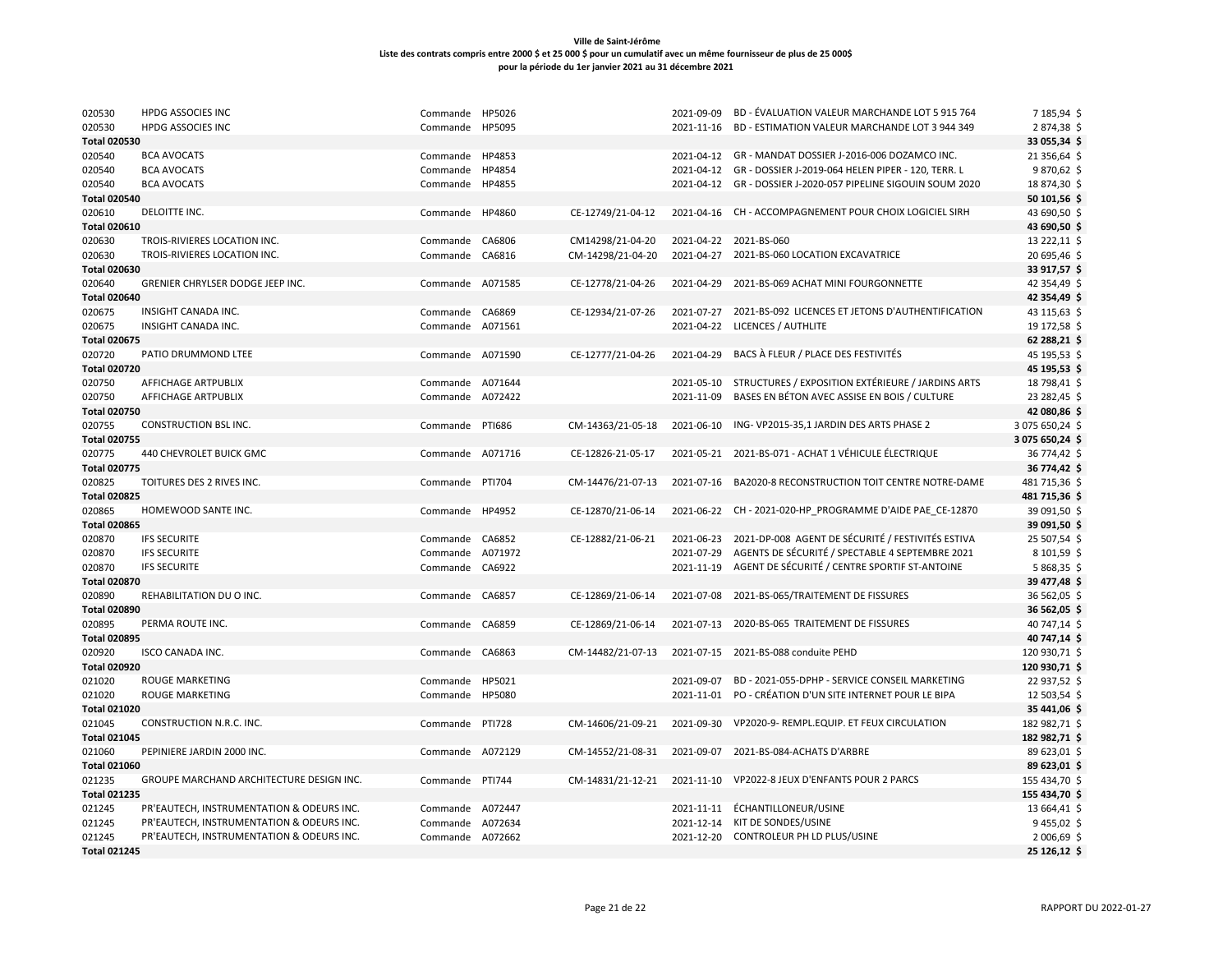| 020530              | <b>HPDG ASSOCIES INC</b>                  | Commande         | HP5026  |                   | 2021-09-09 | BD - ÉVALUATION VALEUR MARCHANDE LOT 5 915 764                     | 7 185,94 \$     |
|---------------------|-------------------------------------------|------------------|---------|-------------------|------------|--------------------------------------------------------------------|-----------------|
| 020530              | HPDG ASSOCIES INC                         | Commande         | HP5095  |                   |            | 2021-11-16 BD - ESTIMATION VALEUR MARCHANDE LOT 3 944 349          | 2874,38\$       |
| <b>Total 020530</b> |                                           |                  |         |                   |            |                                                                    | 33 055,34 \$    |
| 020540              | <b>BCA AVOCATS</b>                        | Commande HP4853  |         |                   |            | 2021-04-12 GR - MANDAT DOSSIER J-2016-006 DOZAMCO INC.             | 21 356,64       |
| 020540              | <b>BCA AVOCATS</b>                        | Commande         | HP4854  |                   |            | 2021-04-12 GR - DOSSIER J-2019-064 HELEN PIPER - 120, TERR. L      | 9870,62\$       |
| 020540              | <b>BCA AVOCATS</b>                        | Commande         | HP4855  |                   |            | 2021-04-12 GR - DOSSIER J-2020-057 PIPELINE SIGOUIN SOUM 2020      | 18 874,30 \$    |
| <b>Total 020540</b> |                                           |                  |         |                   |            |                                                                    | 50 101,56 \$    |
| 020610              | DELOITTE INC.                             | Commande HP4860  |         |                   |            | 2021-04-16 CH - ACCOMPAGNEMENT POUR CHOIX LOGICIEL SIRH            |                 |
|                     |                                           |                  |         | CE-12749/21-04-12 |            |                                                                    | 43 690,50 \$    |
| <b>Total 020610</b> |                                           |                  |         |                   |            |                                                                    | 43 690,50 \$    |
| 020630              | TROIS-RIVIERES LOCATION INC.              | Commande CA6806  |         | CM14298/21-04-20  |            | 2021-04-22 2021-BS-060                                             | 13 222,11 \$    |
| 020630              | TROIS-RIVIERES LOCATION INC.              | Commande         | CA6816  | CM-14298/21-04-20 | 2021-04-27 | 2021-BS-060 LOCATION EXCAVATRICE                                   | 20 695,46 \$    |
| <b>Total 020630</b> |                                           |                  |         |                   |            |                                                                    | 33 917,57 \$    |
| 020640              | GRENIER CHRYLSER DODGE JEEP INC.          | Commande A071585 |         | CE-12778/21-04-26 | 2021-04-29 | 2021-BS-069 ACHAT MINI FOURGONNETTE                                | 42 354,49       |
| <b>Total 020640</b> |                                           |                  |         |                   |            |                                                                    | 42 354,49 \$    |
| 020675              | INSIGHT CANADA INC.                       | Commande CA6869  |         | CE-12934/21-07-26 |            | 2021-07-27 2021-BS-092 LICENCES ET JETONS D'AUTHENTIFICATION       | 43 115,63 \$    |
| 020675              | INSIGHT CANADA INC.                       | Commande A071561 |         |                   |            | 2021-04-22 LICENCES / AUTHLITE                                     | 19 172,58 \$    |
| <b>Total 020675</b> |                                           |                  |         |                   |            |                                                                    | 62 288,21 \$    |
| 020720              | PATIO DRUMMOND LTEE                       | Commande A071590 |         | CE-12777/21-04-26 | 2021-04-29 | BACS À FLEUR / PLACE DES FESTIVITÉS                                | 45 195,53 \$    |
| <b>Total 020720</b> |                                           |                  |         |                   |            |                                                                    | 45 195,53 \$    |
| 020750              | <b>AFFICHAGE ARTPUBLIX</b>                | Commande A071644 |         |                   |            | 2021-05-10 STRUCTURES / EXPOSITION EXTÉRIEURE / JARDINS ARTS       | 18 798,41       |
| 020750              | AFFICHAGE ARTPUBLIX                       | Commande         | A072422 |                   | 2021-11-09 | BASES EN BÉTON AVEC ASSISE EN BOIS / CULTURE                       | 23 282,45 \$    |
| <b>Total 020750</b> |                                           |                  |         |                   |            |                                                                    | 42 080,86 \$    |
| 020755              | <b>CONSTRUCTION BSL INC.</b>              | Commande PTI686  |         | CM-14363/21-05-18 | 2021-06-10 | ING-VP2015-35,1 JARDIN DES ARTS PHASE 2                            | 3 075 650,24 \$ |
| <b>Total 020755</b> |                                           |                  |         |                   |            |                                                                    | 3 075 650,24 \$ |
| 020775              | 440 CHEVROLET BUICK GMC                   | Commande A071716 |         | CE-12826-21-05-17 |            | 2021-05-21 2021-BS-071 - ACHAT 1 VÉHICULE ÉLECTRIQUE               | 36 774,42 \$    |
| <b>Total 020775</b> |                                           |                  |         |                   |            |                                                                    | 36 774,42 \$    |
| 020825              | TOITURES DES 2 RIVES INC.                 | Commande PTI704  |         | CM-14476/21-07-13 |            | 2021-07-16 BA2020-8 RECONSTRUCTION TOIT CENTRE NOTRE-DAME          | 481 715,36 \$   |
| <b>Total 020825</b> |                                           |                  |         |                   |            |                                                                    | 481 715,36 \$   |
| 020865              | HOMEWOOD SANTE INC.                       | Commande HP4952  |         | CE-12870/21-06-14 |            | 2021-06-22 CH-2021-020-HP PROGRAMME D'AIDE PAE CE-12870            | 39 091,50 \$    |
| <b>Total 020865</b> |                                           |                  |         |                   |            |                                                                    | 39 091,50 \$    |
|                     | <b>IFS SECURITE</b>                       | Commande CA6852  |         | CE-12882/21-06-21 |            | 2021-06-23    2021-DP-008    AGENT DE SÉCURITÉ / FESTIVITÉS ESTIVA | 25 507,54 \$    |
| 020870              |                                           |                  |         |                   | 2021-07-29 | AGENTS DE SÉCURITÉ / SPECTABLE 4 SEPTEMBRE 2021                    |                 |
| 020870              | <b>IFS SECURITE</b>                       | Commande         | A071972 |                   |            |                                                                    | 8 101,59 \$     |
| 020870              | <b>IFS SECURITE</b>                       | Commande CA6922  |         |                   | 2021-11-19 | AGENT DE SÉCURITÉ / CENTRE SPORTIF ST-ANTOINE                      | 5 868,35 \$     |
| <b>Total 020870</b> |                                           |                  |         |                   |            |                                                                    | 39 477,48       |
| 020890              | REHABILITATION DU O INC.                  | Commande CA6857  |         | CE-12869/21-06-14 | 2021-07-08 | 2021-BS-065/TRAITEMENT DE FISSURES                                 | 36 562,05 \$    |
| <b>Total 020890</b> |                                           |                  |         |                   |            |                                                                    | 36 562,05 \$    |
| 020895              | PERMA ROUTE INC.                          | Commande CA6859  |         | CE-12869/21-06-14 | 2021-07-13 | 2020-BS-065 TRAITEMENT DE FISSURES                                 | 40 747,14 \$    |
| <b>Total 020895</b> |                                           |                  |         |                   |            |                                                                    | 40 747,14 \$    |
| 020920              | ISCO CANADA INC.                          | Commande CA6863  |         | CM-14482/21-07-13 |            | 2021-07-15 2021-BS-088 conduite PEHD                               | 120 930,71 \$   |
| <b>Total 020920</b> |                                           |                  |         |                   |            |                                                                    | 120 930,71 \$   |
| 021020              | <b>ROUGE MARKETING</b>                    | Commande HP5021  |         |                   | 2021-09-07 | BD - 2021-055-DPHP - SERVICE CONSEIL MARKETING                     | 22 937,52 \$    |
| 021020              | <b>ROUGE MARKETING</b>                    | Commande HP5080  |         |                   |            | 2021-11-01 PO - CRÉATION D'UN SITE INTERNET POUR LE BIPA           | 12 503,54 \$    |
| <b>Total 021020</b> |                                           |                  |         |                   |            |                                                                    | 35 441,06 \$    |
| 021045              | CONSTRUCTION N.R.C. INC.                  | Commande PTI728  |         | CM-14606/21-09-21 | 2021-09-30 | VP2020-9- REMPL.EQUIP. ET FEUX CIRCULATION                         | 182 982,71 \$   |
| <b>Total 021045</b> |                                           |                  |         |                   |            |                                                                    | 182 982,71 \$   |
| 021060              | PEPINIERE JARDIN 2000 INC.                | Commande A072129 |         | CM-14552/21-08-31 | 2021-09-07 | 2021-BS-084-ACHATS D'ARBRE                                         | 89 623,01 \$    |
| <b>Total 021060</b> |                                           |                  |         |                   |            |                                                                    | 89 623,01 \$    |
| 021235              | GROUPE MARCHAND ARCHITECTURE DESIGN INC.  | Commande PTI744  |         | CM-14831/21-12-21 |            | 2021-11-10 VP2022-8 JEUX D'ENFANTS POUR 2 PARCS                    | 155 434,70 \$   |
| <b>Total 021235</b> |                                           |                  |         |                   |            |                                                                    | 155 434,70 \$   |
| 021245              | PR'EAUTECH, INSTRUMENTATION & ODEURS INC. | Commande A072447 |         |                   |            | 2021-11-11 ÉCHANTILLONEUR/USINE                                    | 13 664,41 \$    |
| 021245              | PR'EAUTECH, INSTRUMENTATION & ODEURS INC. | Commande A072634 |         |                   |            | 2021-12-14 KIT DE SONDES/USINE                                     | 9 455,02 \$     |
| 021245              | PR'EAUTECH, INSTRUMENTATION & ODEURS INC. | Commande A072662 |         |                   |            | 2021-12-20 CONTROLEUR PH LD PLUS/USINE                             | 2 006,69 \$     |
| <b>Total 021245</b> |                                           |                  |         |                   |            |                                                                    | 25 126,12 \$    |
|                     |                                           |                  |         |                   |            |                                                                    |                 |